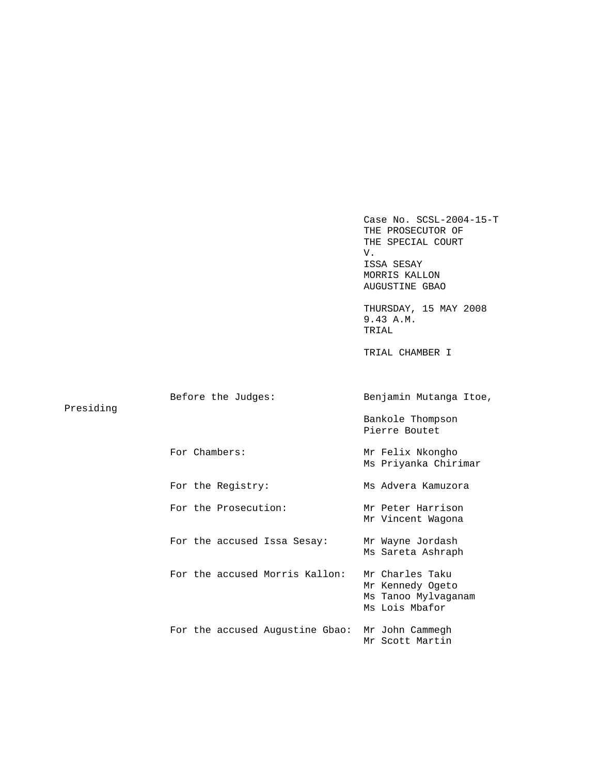Case No. SCSL-2004-15-T THE PROSECUTOR OF THE SPECIAL COURT V. ISSA SESAY MORRIS KALLON AUGUSTINE GBAO THURSDAY, 15 MAY 2008 9.43 A.M. TRIAL TRIAL CHAMBER I Before the Judges: Benjamin Mutanga Itoe, Bankole Thompson Pierre Boutet For Chambers: Mr Felix Nkongho Ms Priyanka Chirimar For the Registry: Ms Advera Kamuzora For the Prosecution: Mr Peter Harrison Mr Vincent Wagona For the accused Issa Sesay: Mr Wayne Jordash Ms Sareta Ashraph For the accused Morris Kallon: Mr Charles Taku Mr Kennedy Ogeto Ms Tanoo Mylvaganam Ms Lois Mbafor For the accused Augustine Gbao: Mr John Cammegh Mr Scott Martin

Presiding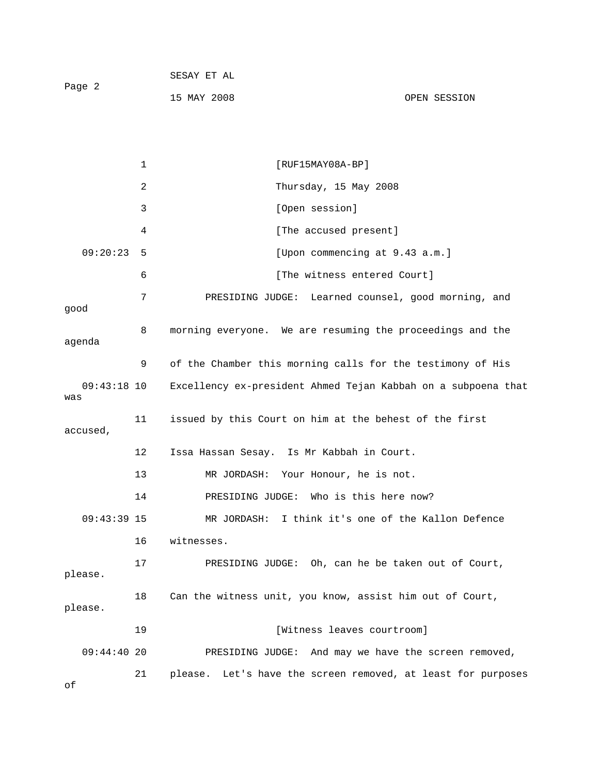|        | SESAY ET AL |              |
|--------|-------------|--------------|
| Page 2 |             |              |
|        | 15 MAY 2008 | OPEN SESSION |

1 [RUF15MAY08A-BP] 2 Thursday, 15 May 2008 3 [Open session] 4 [The accused present] 09:20:23 5 [Upon commencing at 9.43 a.m.] 6 [The witness entered Court] 7 PRESIDING JUDGE: Learned counsel, good morning, and good 8 morning everyone. We are resuming the proceedings and the agenda 9 of the Chamber this morning calls for the testimony of His 09:43:18 10 Excellency ex-president Ahmed Tejan Kabbah on a subpoena that was 11 issued by this Court on him at the behest of the first accused, 12 Issa Hassan Sesay. Is Mr Kabbah in Court. 13 MR JORDASH: Your Honour, he is not. 14 PRESIDING JUDGE: Who is this here now? 09:43:39 15 MR JORDASH: I think it's one of the Kallon Defence 16 witnesses. 17 PRESIDING JUDGE: Oh, can he be taken out of Court, please. 18 Can the witness unit, you know, assist him out of Court, please. 19 **Interest Exercise Exercise 19** [Witness leaves courtroom] 09:44:40 20 PRESIDING JUDGE: And may we have the screen removed, 21 please. Let's have the screen removed, at least for purposes

of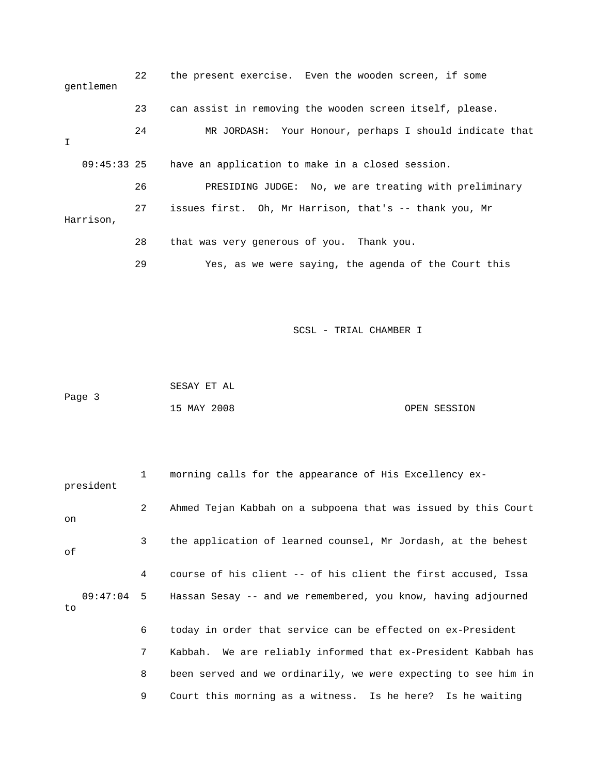| gentlemen     | 22 | the present exercise. Even the wooden screen, if some    |
|---------------|----|----------------------------------------------------------|
|               | 23 | can assist in removing the wooden screen itself, please. |
| I             | 24 | MR JORDASH: Your Honour, perhaps I should indicate that  |
| $09:45:33$ 25 |    | have an application to make in a closed session.         |
|               | 26 | PRESIDING JUDGE: No, we are treating with preliminary    |
| Harrison,     | 27 | issues first. Oh, Mr Harrison, that's -- thank you, Mr   |
|               | 28 | that was very generous of you. Thank you.                |
|               | 29 | Yes, as we were saying, the agenda of the Court this     |

 SESAY ET AL Page 3 15 MAY 2008 OPEN SESSION

| president | $1 \quad$       | morning calls for the appearance of His Excellency ex-                   |
|-----------|-----------------|--------------------------------------------------------------------------|
| on        | $\mathbf{2}$    | Ahmed Tejan Kabbah on a subpoena that was issued by this Court           |
| оf        | $\mathbf{3}$    | the application of learned counsel, Mr Jordash, at the behest            |
|           | $4\overline{ }$ | course of his client -- of his client the first accused, Issa            |
| to        |                 | 09:47:04 5 Hassan Sesay -- and we remembered, you know, having adjourned |
|           | 6               | today in order that service can be effected on ex-President              |
|           | 7 <sup>7</sup>  | Kabbah. We are reliably informed that ex-President Kabbah has            |
|           | 8               | been served and we ordinarily, we were expecting to see him in           |
|           | 9               | Court this morning as a witness. Is he here? Is he waiting               |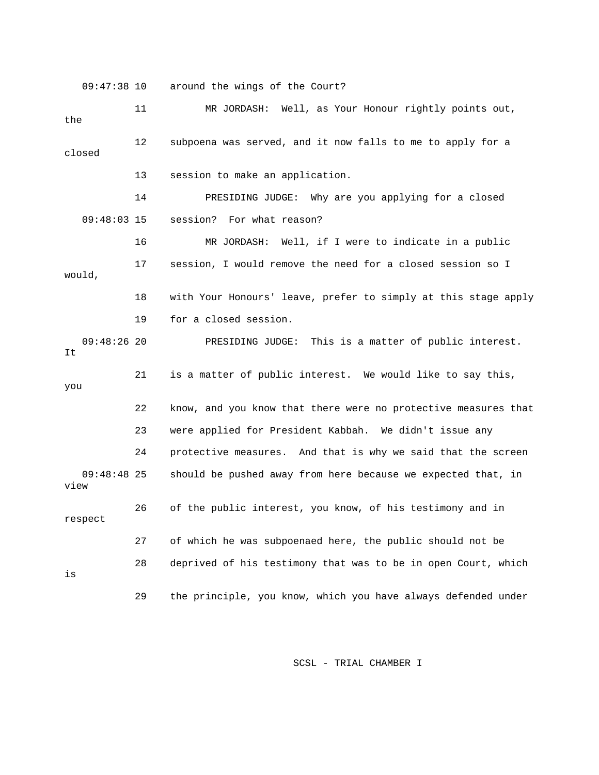09:47:38 10 around the wings of the Court?

 11 MR JORDASH: Well, as Your Honour rightly points out, the 12 subpoena was served, and it now falls to me to apply for a closed 13 session to make an application. 14 PRESIDING JUDGE: Why are you applying for a closed 09:48:03 15 session? For what reason? 16 MR JORDASH: Well, if I were to indicate in a public 17 session, I would remove the need for a closed session so I would, 18 with Your Honours' leave, prefer to simply at this stage apply 19 for a closed session. 09:48:26 20 PRESIDING JUDGE: This is a matter of public interest. It 21 is a matter of public interest. We would like to say this, you 22 know, and you know that there were no protective measures that 23 were applied for President Kabbah. We didn't issue any 24 protective measures. And that is why we said that the screen 09:48:48 25 should be pushed away from here because we expected that, in view 26 of the public interest, you know, of his testimony and in respect 27 of which he was subpoenaed here, the public should not be 28 deprived of his testimony that was to be in open Court, which is 29 the principle, you know, which you have always defended under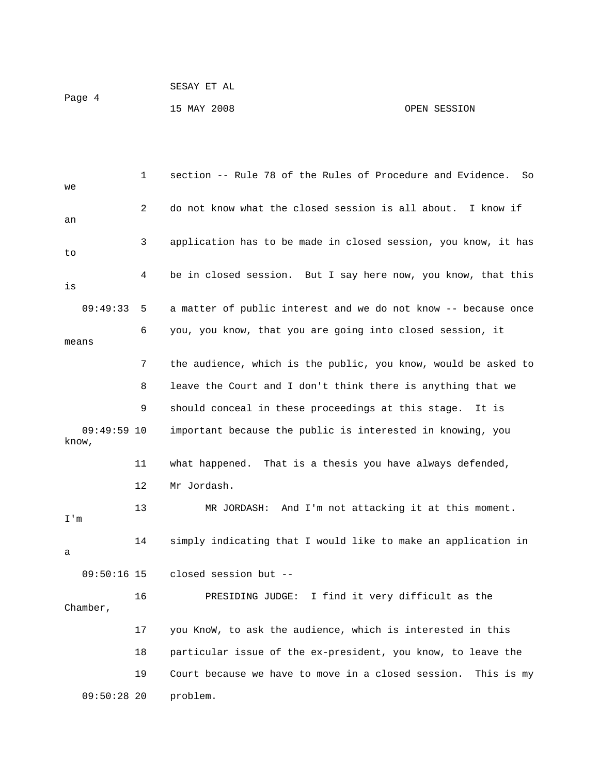Page 4

15 MAY 2008 OPEN SESSION

 1 section -- Rule 78 of the Rules of Procedure and Evidence. So we 2 do not know what the closed session is all about. I know if an 3 application has to be made in closed session, you know, it has to 4 be in closed session. But I say here now, you know, that this is 09:49:33 5 a matter of public interest and we do not know -- because once 6 you, you know, that you are going into closed session, it means 7 the audience, which is the public, you know, would be asked to 8 leave the Court and I don't think there is anything that we 9 should conceal in these proceedings at this stage. It is 09:49:59 10 important because the public is interested in knowing, you know, 11 what happened. That is a thesis you have always defended, 12 Mr Jordash. 13 MR JORDASH: And I'm not attacking it at this moment. I'm 14 simply indicating that I would like to make an application in a 09:50:16 15 closed session but -- 16 PRESIDING JUDGE: I find it very difficult as the Chamber, 17 you KnoW, to ask the audience, which is interested in this 18 particular issue of the ex-president, you know, to leave the 19 Court because we have to move in a closed session. This is my 09:50:28 20 problem.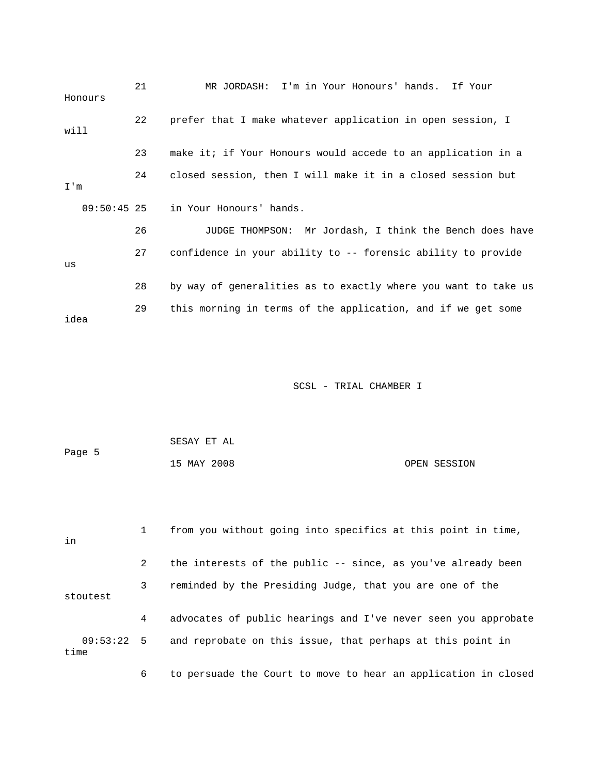| Honours     |               | 21 | MR JORDASH: I'm in Your Honours' hands. If Your                |
|-------------|---------------|----|----------------------------------------------------------------|
| will        |               | 22 | prefer that I make whatever application in open session, I     |
|             |               | 23 | make it; if Your Honours would accede to an application in a   |
| $T \cdot m$ |               | 24 | closed session, then I will make it in a closed session but    |
|             | $09:50:45$ 25 |    | in Your Honours' hands.                                        |
|             |               | 26 | JUDGE THOMPSON: Mr Jordash, I think the Bench does have        |
| us          |               | 27 | confidence in your ability to -- forensic ability to provide   |
|             |               | 28 | by way of generalities as to exactly where you want to take us |
| idea        |               | 29 | this morning in terms of the application, and if we get some   |

|        | SESAY ET AL |              |
|--------|-------------|--------------|
| Page 5 |             |              |
|        | 15 MAY 2008 | OPEN SESSION |

| in                   |   | from you without going into specifics at this point in time,   |
|----------------------|---|----------------------------------------------------------------|
|                      | 2 | the interests of the public -- since, as you've already been   |
| stoutest             | 3 | reminded by the Presiding Judge, that you are one of the       |
|                      | 4 | advocates of public hearings and I've never seen you approbate |
| $09:53:22$ 5<br>time |   | and reprobate on this issue, that perhaps at this point in     |
|                      | 6 | to persuade the Court to move to hear an application in closed |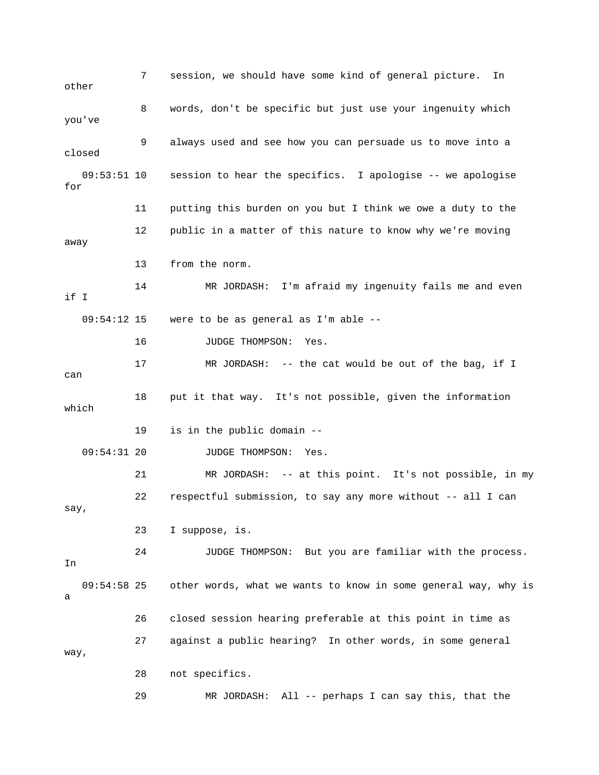7 session, we should have some kind of general picture. In other 8 words, don't be specific but just use your ingenuity which you've 9 always used and see how you can persuade us to move into a closed 09:53:51 10 session to hear the specifics. I apologise -- we apologise for 11 putting this burden on you but I think we owe a duty to the 12 public in a matter of this nature to know why we're moving away 13 from the norm. 14 MR JORDASH: I'm afraid my ingenuity fails me and even if I 09:54:12 15 were to be as general as I'm able -- 16 JUDGE THOMPSON: Yes. 17 MR JORDASH: -- the cat would be out of the bag, if I can 18 put it that way. It's not possible, given the information which 19 is in the public domain -- 09:54:31 20 JUDGE THOMPSON: Yes. 21 MR JORDASH: -- at this point. It's not possible, in my 22 respectful submission, to say any more without -- all I can say, 23 I suppose, is. 24 JUDGE THOMPSON: But you are familiar with the process. In 09:54:58 25 other words, what we wants to know in some general way, why is a 26 closed session hearing preferable at this point in time as 27 against a public hearing? In other words, in some general way, 28 not specifics. 29 MR JORDASH: All -- perhaps I can say this, that the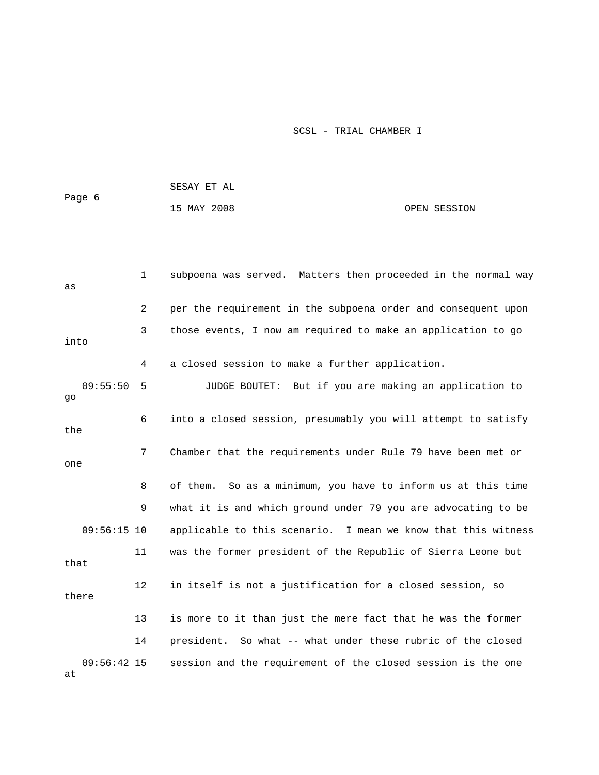|                     |              | SESAY ET AL                                                     |              |
|---------------------|--------------|-----------------------------------------------------------------|--------------|
| Page 6              |              | 15 MAY 2008                                                     | OPEN SESSION |
|                     |              |                                                                 |              |
|                     |              |                                                                 |              |
| as                  | $\mathbf{1}$ | subpoena was served. Matters then proceeded in the normal way   |              |
|                     | 2            | per the requirement in the subpoena order and consequent upon   |              |
| into                | 3            | those events, I now am required to make an application to go    |              |
|                     | 4            | a closed session to make a further application.                 |              |
| 09:55:50<br>go      | 5            | JUDGE BOUTET: But if you are making an application to           |              |
| the                 | 6            | into a closed session, presumably you will attempt to satisfy   |              |
| one                 | 7            | Chamber that the requirements under Rule 79 have been met or    |              |
|                     | 8            | So as a minimum, you have to inform us at this time<br>of them. |              |
|                     | 9            | what it is and which ground under 79 you are advocating to be   |              |
| $09:56:15$ 10       |              | applicable to this scenario. I mean we know that this witness   |              |
| that                | 11           | was the former president of the Republic of Sierra Leone but    |              |
| there               | 12           | in itself is not a justification for a closed session, so       |              |
|                     | 13           | is more to it than just the mere fact that he was the former    |              |
|                     | 14           | So what -- what under these rubric of the closed<br>president.  |              |
| $09:56:42$ 15<br>at |              | session and the requirement of the closed session is the one    |              |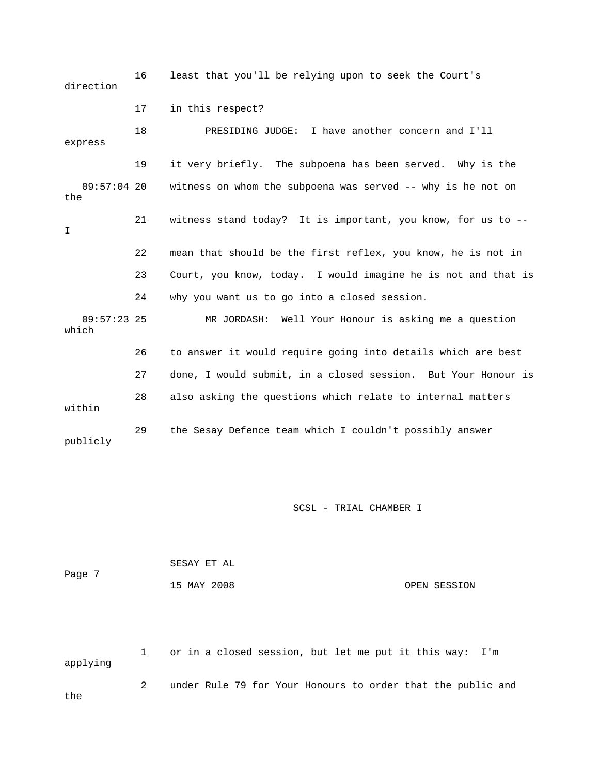16 least that you'll be relying upon to seek the Court's direction 17 in this respect? 18 PRESIDING JUDGE: I have another concern and I'll express 19 it very briefly. The subpoena has been served. Why is the 09:57:04 20 witness on whom the subpoena was served -- why is he not on the 21 witness stand today? It is important, you know, for us to -- I 22 mean that should be the first reflex, you know, he is not in 23 Court, you know, today. I would imagine he is not and that is 24 why you want us to go into a closed session. 09:57:23 25 MR JORDASH: Well Your Honour is asking me a question which 26 to answer it would require going into details which are best 27 done, I would submit, in a closed session. But Your Honour is 28 also asking the questions which relate to internal matters within 29 the Sesay Defence team which I couldn't possibly answer publicly

SCSL - TRIAL CHAMBER I

| Page 7 | SESAY ET AL |              |
|--------|-------------|--------------|
|        | 15 MAY 2008 | OPEN SESSION |

 1 or in a closed session, but let me put it this way: I'm applying 2 under Rule 79 for Your Honours to order that the public and the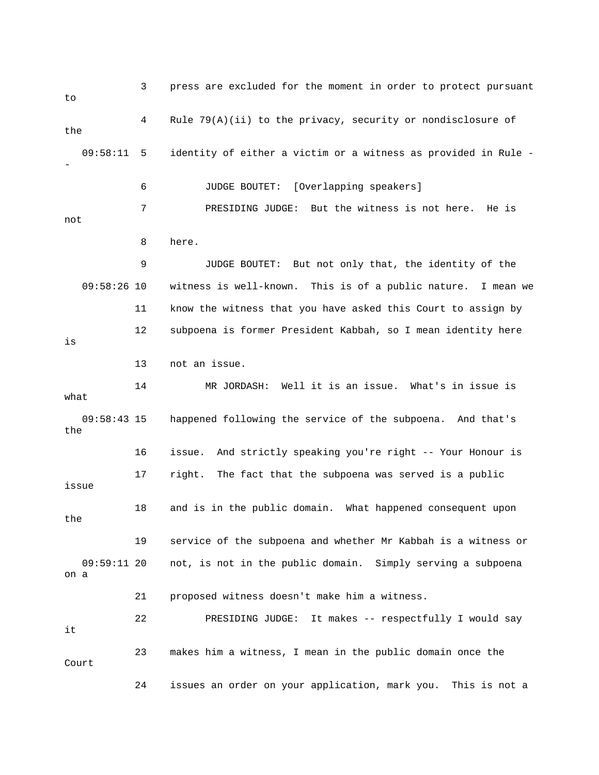3 press are excluded for the moment in order to protect pursuant to 4 Rule 79(A)(ii) to the privacy, security or nondisclosure of the 09:58:11 5 identity of either a victim or a witness as provided in Rule - - 6 JUDGE BOUTET: [Overlapping speakers] 7 PRESIDING JUDGE: But the witness is not here. He is not 8 here. 9 JUDGE BOUTET: But not only that, the identity of the 09:58:26 10 witness is well-known. This is of a public nature. I mean we 11 know the witness that you have asked this Court to assign by 12 subpoena is former President Kabbah, so I mean identity here is 13 not an issue. 14 MR JORDASH: Well it is an issue. What's in issue is what 09:58:43 15 happened following the service of the subpoena. And that's the 16 issue. And strictly speaking you're right -- Your Honour is 17 right. The fact that the subpoena was served is a public issue 18 and is in the public domain. What happened consequent upon the 19 service of the subpoena and whether Mr Kabbah is a witness or 09:59:11 20 not, is not in the public domain. Simply serving a subpoena on a 21 proposed witness doesn't make him a witness. 22 PRESIDING JUDGE: It makes -- respectfully I would say it 23 makes him a witness, I mean in the public domain once the Court 24 issues an order on your application, mark you. This is not a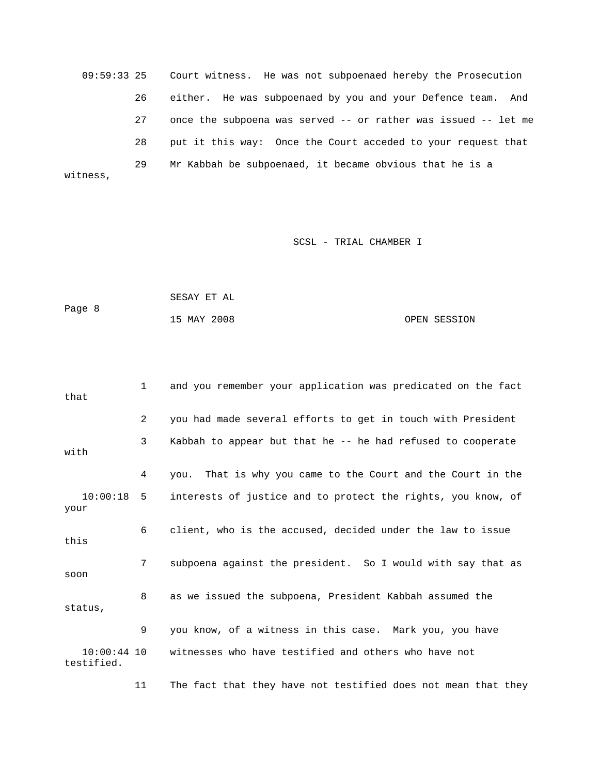09:59:33 25 Court witness. He was not subpoenaed hereby the Prosecution 26 either. He was subpoenaed by you and your Defence team. And 27 once the subpoena was served -- or rather was issued -- let me 28 put it this way: Once the Court acceded to your request that 29 Mr Kabbah be subpoenaed, it became obvious that he is a witness,

# SCSL - TRIAL CHAMBER I

| Page 8 | SESAY ET AL |              |  |
|--------|-------------|--------------|--|
|        | 15 MAY 2008 | OPEN SESSION |  |

| that                        | $\mathbf{1}$   | and you remember your application was predicated on the fact |
|-----------------------------|----------------|--------------------------------------------------------------|
|                             | $\overline{2}$ | you had made several efforts to get in touch with President  |
| with                        | 3              | Kabbah to appear but that he -- he had refused to cooperate  |
|                             | 4              | you. That is why you came to the Court and the Court in the  |
| $10:00:18$ 5<br>your        |                | interests of justice and to protect the rights, you know, of |
| this                        | 6              | client, who is the accused, decided under the law to issue   |
| soon                        | 7              | subpoena against the president. So I would with say that as  |
| status,                     | 8              | as we issued the subpoena, President Kabbah assumed the      |
|                             | 9              | you know, of a witness in this case. Mark you, you have      |
| $10:00:44$ 10<br>testified. |                | witnesses who have testified and others who have not         |

11 The fact that they have not testified does not mean that they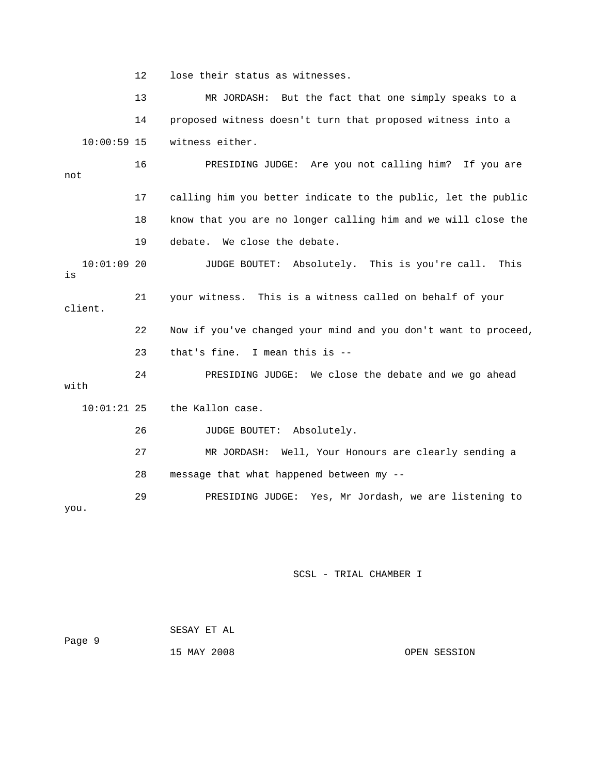12 lose their status as witnesses.

 13 MR JORDASH: But the fact that one simply speaks to a 14 proposed witness doesn't turn that proposed witness into a 10:00:59 15 witness either. 16 PRESIDING JUDGE: Are you not calling him? If you are not 17 calling him you better indicate to the public, let the public 18 know that you are no longer calling him and we will close the 19 debate. We close the debate. 10:01:09 20 JUDGE BOUTET: Absolutely. This is you're call. This is 21 your witness. This is a witness called on behalf of your client. 22 Now if you've changed your mind and you don't want to proceed, 23 that's fine. I mean this is -- 24 PRESIDING JUDGE: We close the debate and we go ahead with 10:01:21 25 the Kallon case. 26 JUDGE BOUTET: Absolutely. 27 MR JORDASH: Well, Your Honours are clearly sending a 28 message that what happened between my -- 29 PRESIDING JUDGE: Yes, Mr Jordash, we are listening to you.

| Page 9 | SESAY ET AL |              |
|--------|-------------|--------------|
|        | 15 MAY 2008 | OPEN SESSION |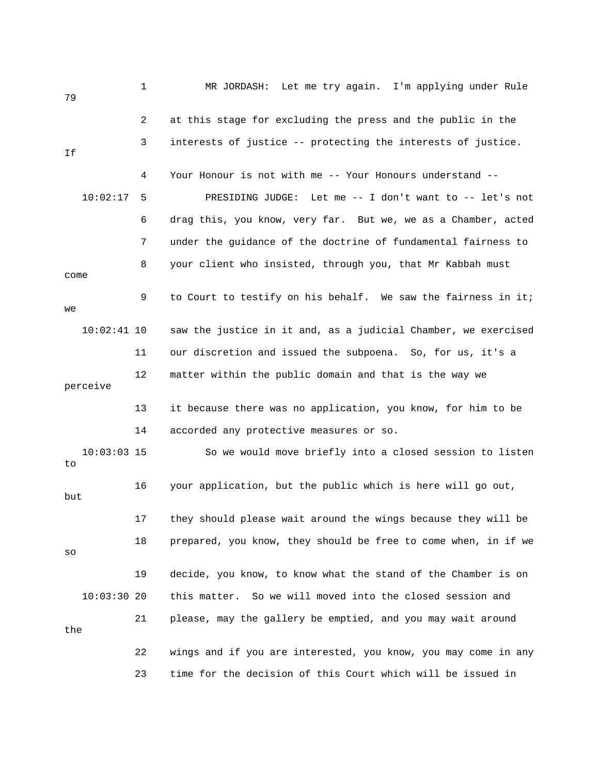| 79       |               | $\mathbf 1$ | MR JORDASH: Let me try again. I'm applying under Rule          |
|----------|---------------|-------------|----------------------------------------------------------------|
|          |               | 2           | at this stage for excluding the press and the public in the    |
| Ιf       |               | 3           | interests of justice -- protecting the interests of justice.   |
|          |               | 4           | Your Honour is not with me -- Your Honours understand --       |
|          | 10:02:17      | 5           | PRESIDING JUDGE: Let me -- I don't want to -- let's not        |
|          |               | 6           | drag this, you know, very far. But we, we as a Chamber, acted  |
|          |               | 7           | under the guidance of the doctrine of fundamental fairness to  |
| come     |               | 8           | your client who insisted, through you, that Mr Kabbah must     |
| we       |               | 9           | to Court to testify on his behalf. We saw the fairness in it;  |
|          | $10:02:41$ 10 |             | saw the justice in it and, as a judicial Chamber, we exercised |
|          |               | 11          | our discretion and issued the subpoena. So, for us, it's a     |
| perceive |               | 12          | matter within the public domain and that is the way we         |
|          |               | 13          | it because there was no application, you know, for him to be   |
|          |               | 14          | accorded any protective measures or so.                        |
| to       | $10:03:03$ 15 |             | So we would move briefly into a closed session to listen       |
| but      |               | 16          | your application, but the public which is here will go out,    |
|          |               | 17          | they should please wait around the wings because they will be  |
| SO       |               | 18          | prepared, you know, they should be free to come when, in if we |
|          |               | 19          | decide, you know, to know what the stand of the Chamber is on  |
|          | 10:03:3020    |             | this matter. So we will moved into the closed session and      |
| the      |               | 21          | please, may the gallery be emptied, and you may wait around    |
|          |               | 22          | wings and if you are interested, you know, you may come in any |
|          |               | 23          | time for the decision of this Court which will be issued in    |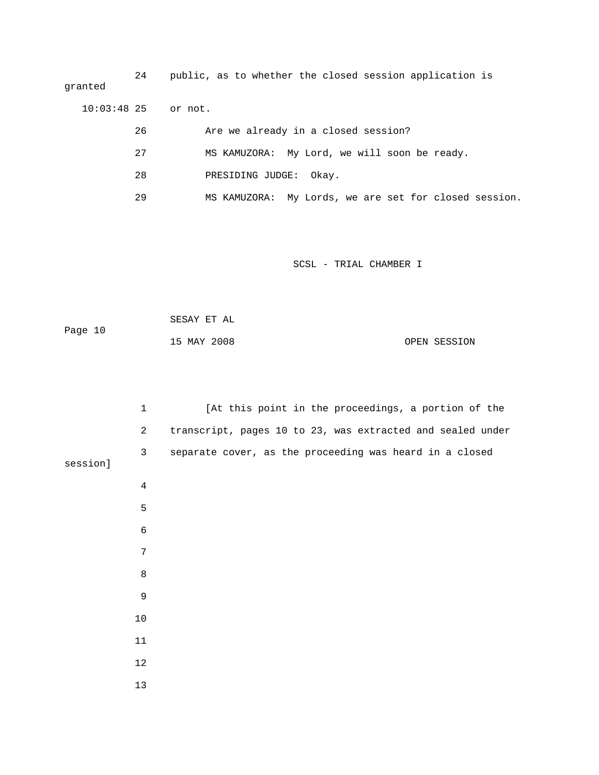24 public, as to whether the closed session application is granted 10:03:48 25 or not. 26 Are we already in a closed session?

27 MS KAMUZORA: My Lord, we will soon be ready.

- 28 PRESIDING JUDGE: Okay.
- 29 MS KAMUZORA: My Lords, we are set for closed session.

| Page 10 | SESAY ET AL |              |
|---------|-------------|--------------|
|         | 15 MAY 2008 | OPEN SESSION |

|          | $\mathbf{1}$   | [At this point in the proceedings, a portion of the        |
|----------|----------------|------------------------------------------------------------|
|          | $\overline{a}$ | transcript, pages 10 to 23, was extracted and sealed under |
| session] | 3              | separate cover, as the proceeding was heard in a closed    |
|          | $\sqrt{4}$     |                                                            |
|          | 5              |                                                            |
|          | $\sqrt{6}$     |                                                            |
|          | 7              |                                                            |
|          | $\,8\,$        |                                                            |
|          | 9              |                                                            |
|          | $10$           |                                                            |
|          | 11             |                                                            |
|          | $12$           |                                                            |
|          | 13             |                                                            |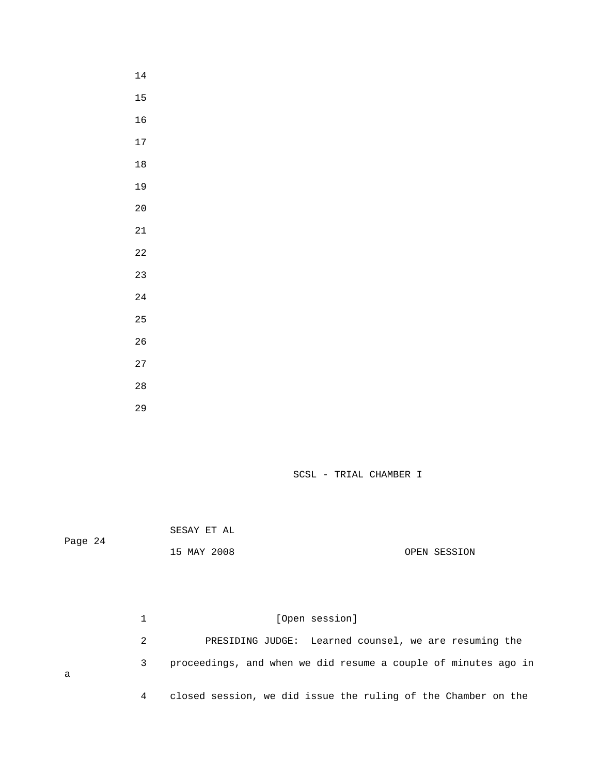- 
- 
- 
- 
- 
- 
- 
- 
- 
- 
- 
- 
- 
- 
- 
- 
- 
- 

SESAY ET AL

Page 24

a

15 MAY 2008 OPEN SESSION

1 [Open session] 2 PRESIDING JUDGE: Learned counsel, we are resuming the 3 proceedings, and when we did resume a couple of minutes ago in 4 closed session, we did issue the ruling of the Chamber on the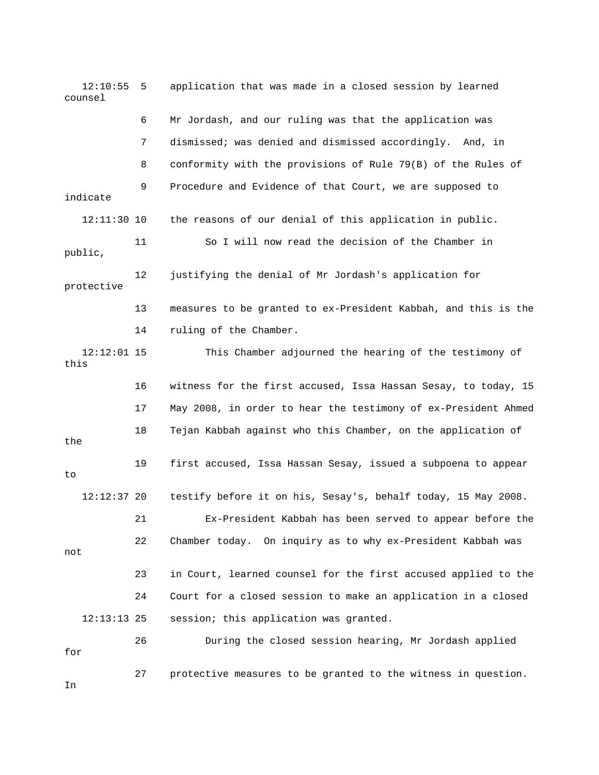12:10:55 5 application that was made in a closed session by learned counsel 6 Mr Jordash, and our ruling was that the application was 7 dismissed; was denied and dismissed accordingly. And, in 8 conformity with the provisions of Rule 79(B) of the Rules of 9 Procedure and Evidence of that Court, we are supposed to indicate 12:11:30 10 the reasons of our denial of this application in public. 11 So I will now read the decision of the Chamber in public, 12 justifying the denial of Mr Jordash's application for protective 13 measures to be granted to ex-President Kabbah, and this is the 14 ruling of the Chamber. 12:12:01 15 This Chamber adjourned the hearing of the testimony of this 16 witness for the first accused, Issa Hassan Sesay, to today, 15 17 May 2008, in order to hear the testimony of ex-President Ahmed 18 Tejan Kabbah against who this Chamber, on the application of the 19 first accused, Issa Hassan Sesay, issued a subpoena to appear to 12:12:37 20 testify before it on his, Sesay's, behalf today, 15 May 2008. 21 Ex-President Kabbah has been served to appear before the 22 Chamber today. On inquiry as to why ex-President Kabbah was not 23 in Court, learned counsel for the first accused applied to the 24 Court for a closed session to make an application in a closed 12:13:13 25 session; this application was granted. 26 During the closed session hearing, Mr Jordash applied for 27 protective measures to be granted to the witness in question. In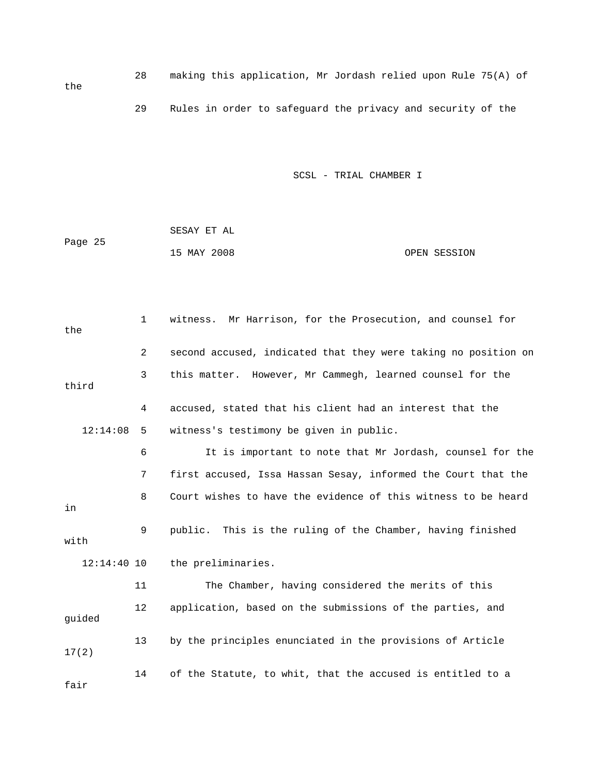28 making this application, Mr Jordash relied upon Rule 75(A) of 29 Rules in order to safeguard the privacy and security of the

SCSL - TRIAL CHAMBER I

 SESAY ET AL Page 25 15 MAY 2008 OPEN SESSION

the

 1 witness. Mr Harrison, for the Prosecution, and counsel for the 2 second accused, indicated that they were taking no position on 3 this matter. However, Mr Cammegh, learned counsel for the third 4 accused, stated that his client had an interest that the 12:14:08 5 witness's testimony be given in public. 6 It is important to note that Mr Jordash, counsel for the 7 first accused, Issa Hassan Sesay, informed the Court that the 8 Court wishes to have the evidence of this witness to be heard in 9 public. This is the ruling of the Chamber, having finished with 12:14:40 10 the preliminaries. 11 The Chamber, having considered the merits of this 12 application, based on the submissions of the parties, and guided 13 by the principles enunciated in the provisions of Article 17(2) 14 of the Statute, to whit, that the accused is entitled to a fair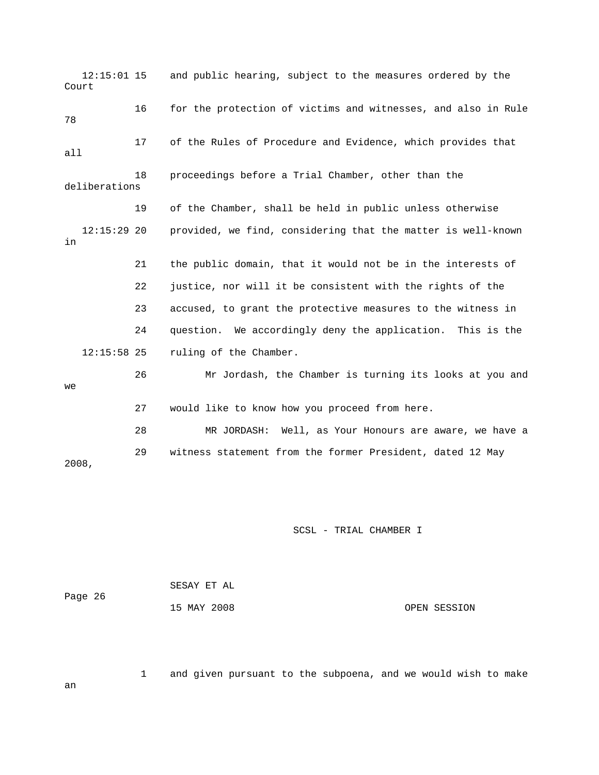12:15:01 15 and public hearing, subject to the measures ordered by the Court 16 for the protection of victims and witnesses, and also in Rule 78 17 of the Rules of Procedure and Evidence, which provides that all 18 proceedings before a Trial Chamber, other than the deliberations 19 of the Chamber, shall be held in public unless otherwise 12:15:29 20 provided, we find, considering that the matter is well-known in 21 the public domain, that it would not be in the interests of 22 justice, nor will it be consistent with the rights of the 23 accused, to grant the protective measures to the witness in 24 question. We accordingly deny the application. This is the 12:15:58 25 ruling of the Chamber. 26 Mr Jordash, the Chamber is turning its looks at you and we 27 would like to know how you proceed from here. 28 MR JORDASH: Well, as Your Honours are aware, we have a 29 witness statement from the former President, dated 12 May 2008,

SCSL - TRIAL CHAMBER I

|         | SESAY ET AL |              |
|---------|-------------|--------------|
| Page 26 |             |              |
|         | 15 MAY 2008 | OPEN SESSION |

1 and given pursuant to the subpoena, and we would wish to make

an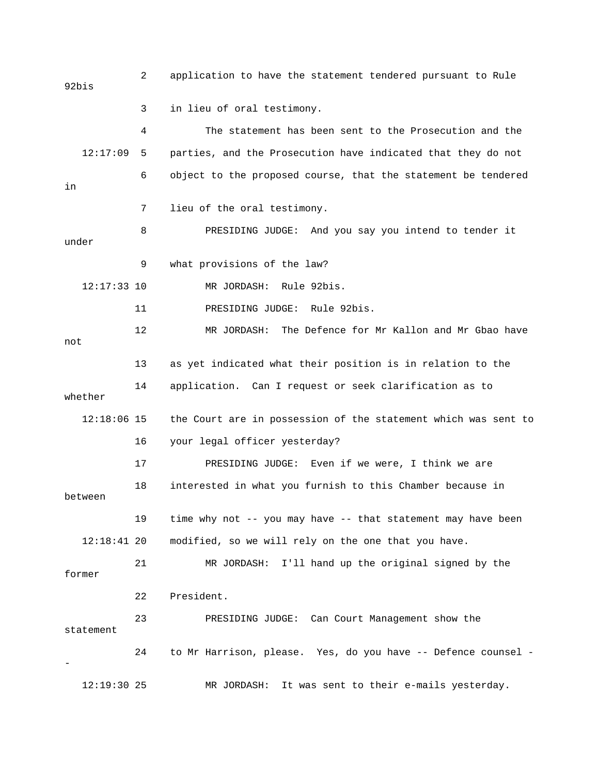2 application to have the statement tendered pursuant to Rule 92bis 3 in lieu of oral testimony. 4 The statement has been sent to the Prosecution and the 12:17:09 5 parties, and the Prosecution have indicated that they do not 6 object to the proposed course, that the statement be tendered in 7 lieu of the oral testimony. 8 PRESIDING JUDGE: And you say you intend to tender it under 9 what provisions of the law? 12:17:33 10 MR JORDASH: Rule 92bis. 11 PRESIDING JUDGE: Rule 92bis. 12 MR JORDASH: The Defence for Mr Kallon and Mr Gbao have not 13 as yet indicated what their position is in relation to the 14 application. Can I request or seek clarification as to whether 12:18:06 15 the Court are in possession of the statement which was sent to 16 your legal officer yesterday? 17 PRESIDING JUDGE: Even if we were, I think we are 18 interested in what you furnish to this Chamber because in between 19 time why not -- you may have -- that statement may have been 12:18:41 20 modified, so we will rely on the one that you have. 21 MR JORDASH: I'll hand up the original signed by the former 22 President. 23 PRESIDING JUDGE: Can Court Management show the statement 24 to Mr Harrison, please. Yes, do you have -- Defence counsel - - 12:19:30 25 MR JORDASH: It was sent to their e-mails yesterday.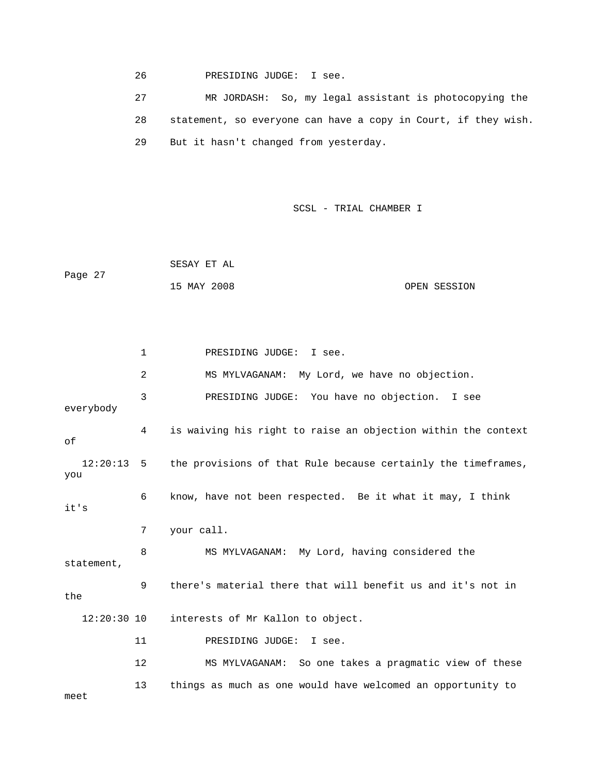26 PRESIDING JUDGE: I see.

 27 MR JORDASH: So, my legal assistant is photocopying the 28 statement, so everyone can have a copy in Court, if they wish. 29 But it hasn't changed from yesterday.

SCSL - TRIAL CHAMBER I

 SESAY ET AL Page 27 15 MAY 2008 OPEN SESSION

 1 PRESIDING JUDGE: I see. 2 MS MYLVAGANAM: My Lord, we have no objection. 3 PRESIDING JUDGE: You have no objection. I see everybody 4 is waiving his right to raise an objection within the context of 12:20:13 5 the provisions of that Rule because certainly the timeframes, you 6 know, have not been respected. Be it what it may, I think it's 7 your call. 8 MS MYLVAGANAM: My Lord, having considered the statement, 9 there's material there that will benefit us and it's not in the 12:20:30 10 interests of Mr Kallon to object. 11 PRESIDING JUDGE: I see. 12 MS MYLVAGANAM: So one takes a pragmatic view of these 13 things as much as one would have welcomed an opportunity to meet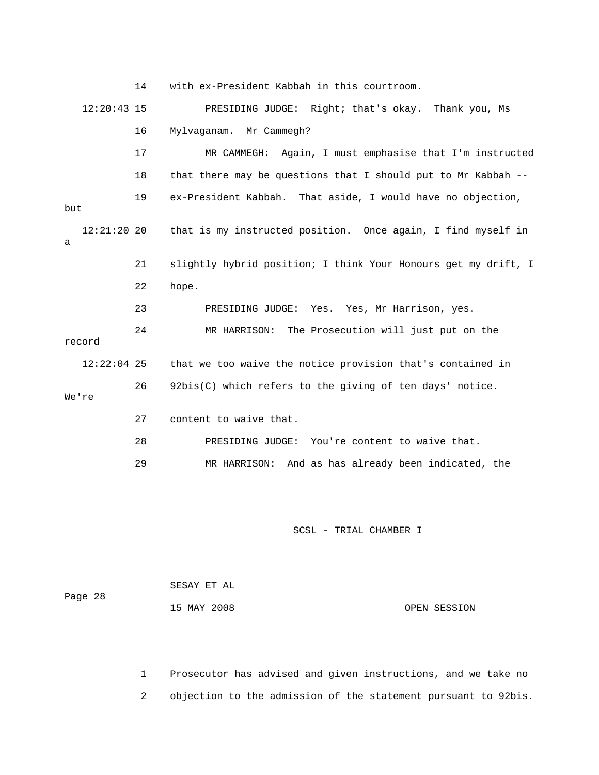|     |               | 14 | with ex-President Kabbah in this courtroom.                    |
|-----|---------------|----|----------------------------------------------------------------|
|     | $12:20:43$ 15 |    | PRESIDING JUDGE: Right; that's okay. Thank you, Ms             |
|     |               | 16 | Mr Cammegh?<br>Mylvaganam.                                     |
|     |               | 17 | Again, I must emphasise that I'm instructed<br>MR CAMMEGH:     |
|     |               | 18 | that there may be questions that I should put to Mr Kabbah --  |
| but |               | 19 | ex-President Kabbah. That aside, I would have no objection,    |
| a   | $12:21:20$ 20 |    | that is my instructed position. Once again, I find myself in   |
|     |               | 21 | slightly hybrid position; I think Your Honours get my drift, I |
|     |               | 22 | hope.                                                          |
|     |               | 23 | PRESIDING JUDGE: Yes. Yes, Mr Harrison, yes.                   |
|     | record        | 24 | MR HARRISON: The Prosecution will just put on the              |
|     | $12:22:04$ 25 |    | that we too waive the notice provision that's contained in     |
|     | We're         | 26 | 92bis(C) which refers to the giving of ten days' notice.       |
|     |               | 27 | content to waive that.                                         |
|     |               | 28 | PRESIDING JUDGE: You're content to waive that.                 |
|     |               | 29 | MR HARRISON: And as has already been indicated, the            |
|     |               |    |                                                                |

| Page 28 | SESAY ET AL |              |
|---------|-------------|--------------|
|         | 15 MAY 2008 | OPEN SESSION |

 1 Prosecutor has advised and given instructions, and we take no 2 objection to the admission of the statement pursuant to 92bis.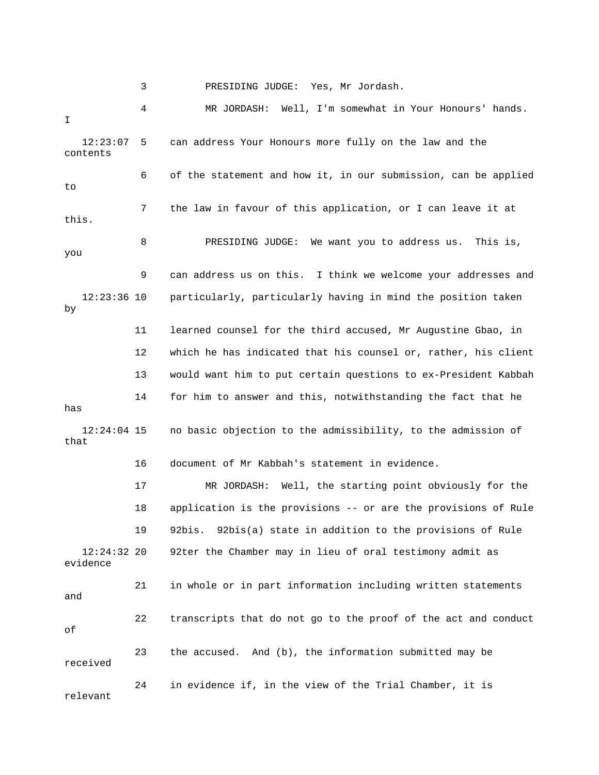3 PRESIDING JUDGE: Yes, Mr Jordash.

 4 MR JORDASH: Well, I'm somewhat in Your Honours' hands. I 12:23:07 5 can address Your Honours more fully on the law and the contents 6 of the statement and how it, in our submission, can be applied to 7 the law in favour of this application, or I can leave it at this. 8 PRESIDING JUDGE: We want you to address us. This is, you 9 can address us on this. I think we welcome your addresses and 12:23:36 10 particularly, particularly having in mind the position taken by 11 learned counsel for the third accused, Mr Augustine Gbao, in 12 which he has indicated that his counsel or, rather, his client 13 would want him to put certain questions to ex-President Kabbah 14 for him to answer and this, notwithstanding the fact that he has 12:24:04 15 no basic objection to the admissibility, to the admission of that 16 document of Mr Kabbah's statement in evidence. 17 MR JORDASH: Well, the starting point obviously for the 18 application is the provisions -- or are the provisions of Rule 19 92bis. 92bis(a) state in addition to the provisions of Rule 12:24:32 20 92ter the Chamber may in lieu of oral testimony admit as evidence 21 in whole or in part information including written statements and 22 transcripts that do not go to the proof of the act and conduct of 23 the accused. And (b), the information submitted may be received 24 in evidence if, in the view of the Trial Chamber, it is relevant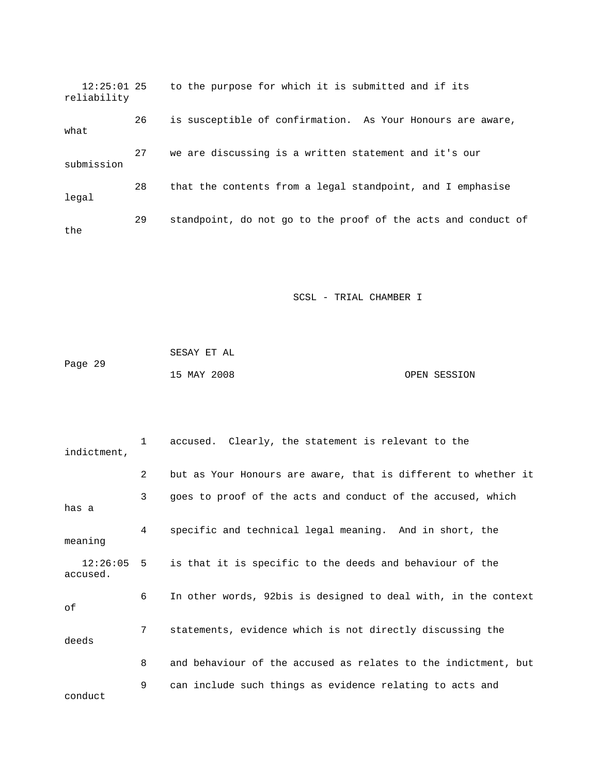12:25:01 25 to the purpose for which it is submitted and if its reliability 26 is susceptible of confirmation. As Your Honours are aware, what 27 we are discussing is a written statement and it's our submission 28 that the contents from a legal standpoint, and I emphasise legal 29 standpoint, do not go to the proof of the acts and conduct of the

|         | SESAY ET AL |              |
|---------|-------------|--------------|
| Page 29 |             |              |
|         | 15 MAY 2008 | OPEN SESSION |

| indictment,              | $\mathbf{1}$   | accused. Clearly, the statement is relevant to the             |
|--------------------------|----------------|----------------------------------------------------------------|
|                          | $\overline{2}$ | but as Your Honours are aware, that is different to whether it |
| has a                    | 3              | goes to proof of the acts and conduct of the accused, which    |
| meaning                  | 4              | specific and technical legal meaning. And in short, the        |
| $12:26:05$ 5<br>accused. |                | is that it is specific to the deeds and behaviour of the       |
| οf                       | 6              | In other words, 92bis is designed to deal with, in the context |
| deeds                    | 7              | statements, evidence which is not directly discussing the      |
|                          | 8              | and behaviour of the accused as relates to the indictment, but |
| conduct                  | 9              | can include such things as evidence relating to acts and       |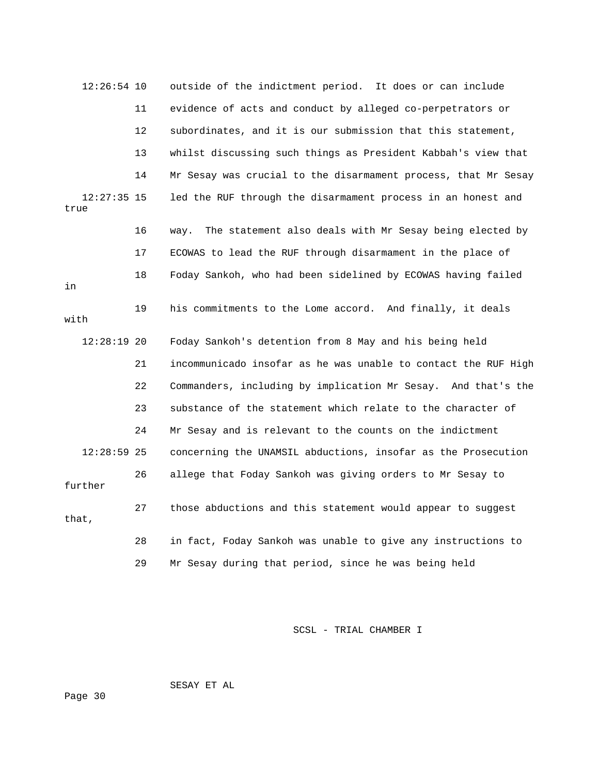12:26:54 10 outside of the indictment period. It does or can include 11 evidence of acts and conduct by alleged co-perpetrators or 12 subordinates, and it is our submission that this statement, 13 whilst discussing such things as President Kabbah's view that 14 Mr Sesay was crucial to the disarmament process, that Mr Sesay 12:27:35 15 led the RUF through the disarmament process in an honest and true 16 way. The statement also deals with Mr Sesay being elected by 17 ECOWAS to lead the RUF through disarmament in the place of 18 Foday Sankoh, who had been sidelined by ECOWAS having failed in 19 his commitments to the Lome accord. And finally, it deals with 12:28:19 20 Foday Sankoh's detention from 8 May and his being held 21 incommunicado insofar as he was unable to contact the RUF High 22 Commanders, including by implication Mr Sesay. And that's the 23 substance of the statement which relate to the character of 24 Mr Sesay and is relevant to the counts on the indictment 12:28:59 25 concerning the UNAMSIL abductions, insofar as the Prosecution 26 allege that Foday Sankoh was giving orders to Mr Sesay to further 27 those abductions and this statement would appear to suggest that, 28 in fact, Foday Sankoh was unable to give any instructions to 29 Mr Sesay during that period, since he was being held

SCSL - TRIAL CHAMBER I

SESAY ET AL

Page 30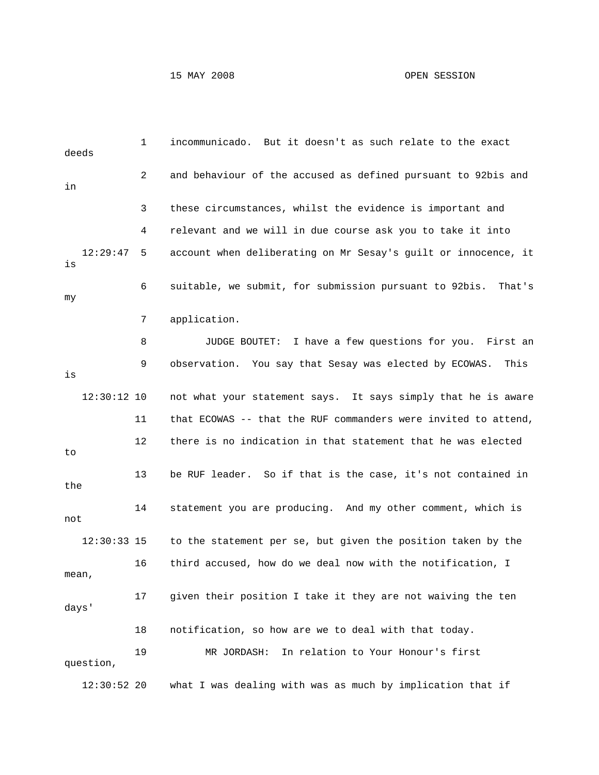# 15 MAY 2008 OPEN SESSION

| deeds |               | 1  | incommunicado. But it doesn't as such relate to the exact        |
|-------|---------------|----|------------------------------------------------------------------|
| in    |               | 2  | and behaviour of the accused as defined pursuant to 92bis and    |
|       |               | 3  | these circumstances, whilst the evidence is important and        |
|       |               | 4  | relevant and we will in due course ask you to take it into       |
| is    | 12:29:47      | 5  | account when deliberating on Mr Sesay's guilt or innocence, it   |
| my    |               | 6  | suitable, we submit, for submission pursuant to 92bis.<br>That's |
|       |               | 7  | application.                                                     |
|       |               | 8  | JUDGE BOUTET: I have a few questions for you. First an           |
| is    |               | 9  | observation. You say that Sesay was elected by ECOWAS.<br>This   |
|       | $12:30:12$ 10 |    | not what your statement says. It says simply that he is aware    |
|       |               | 11 | that ECOWAS -- that the RUF commanders were invited to attend,   |
| to    |               | 12 | there is no indication in that statement that he was elected     |
| the   |               | 13 | be RUF leader. So if that is the case, it's not contained in     |
| not   |               | 14 | statement you are producing. And my other comment, which is      |
|       | $12:30:33$ 15 |    | to the statement per se, but given the position taken by the     |
| mean  |               | 16 | third accused, how do we deal now with the notification, I       |
| days' |               | 17 | given their position I take it they are not waiving the ten      |
|       |               | 18 | notification, so how are we to deal with that today.             |
|       | question,     | 19 | In relation to Your Honour's first<br>MR JORDASH:                |
|       | $12:30:52$ 20 |    | what I was dealing with was as much by implication that if       |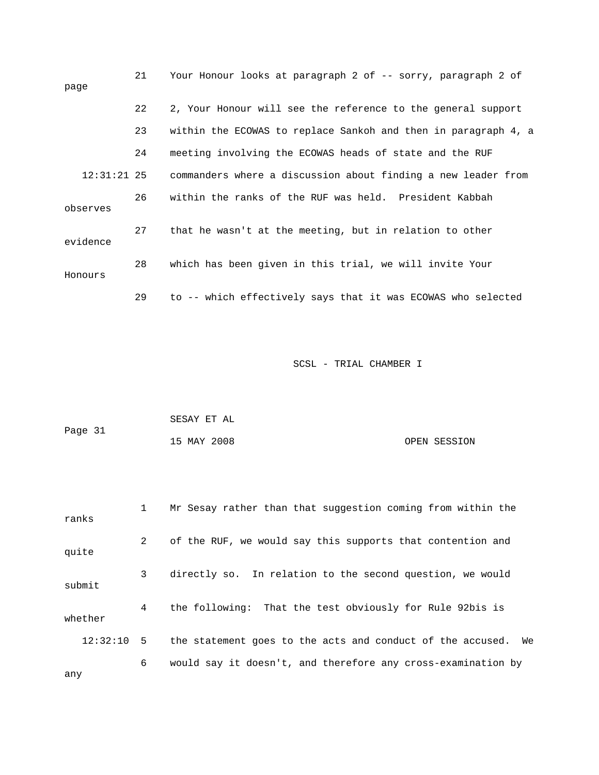| page          | 21 | Your Honour looks at paragraph 2 of -- sorry, paragraph 2 of   |
|---------------|----|----------------------------------------------------------------|
|               | 22 | 2, Your Honour will see the reference to the general support   |
|               | 23 | within the ECOWAS to replace Sankoh and then in paragraph 4, a |
|               | 24 | meeting involving the ECOWAS heads of state and the RUF        |
| $12:31:21$ 25 |    | commanders where a discussion about finding a new leader from  |
| observes      | 26 | within the ranks of the RUF was held. President Kabbah         |
| evidence      | 27 | that he wasn't at the meeting, but in relation to other        |
| Honours       | 28 | which has been given in this trial, we will invite Your        |
|               | 29 | to -- which effectively says that it was ECOWAS who selected   |

|         | SESAY ET AL |              |
|---------|-------------|--------------|
| Page 31 |             |              |
|         | 15 MAY 2008 | OPEN SESSION |

| ranks    | $\mathbf{1}$ | Mr Sesay rather than that suggestion coming from within the      |
|----------|--------------|------------------------------------------------------------------|
| quite    | $\mathbf{2}$ | of the RUF, we would say this supports that contention and       |
| submit   | 3            | directly so. In relation to the second question, we would        |
| whether  | 4            | the following: That the test obviously for Rule 92bis is         |
| 12:32:10 | 5            | the statement goes to the acts and conduct of the accused.<br>We |
|          | 6            | would say it doesn't, and therefore any cross-examination by     |

any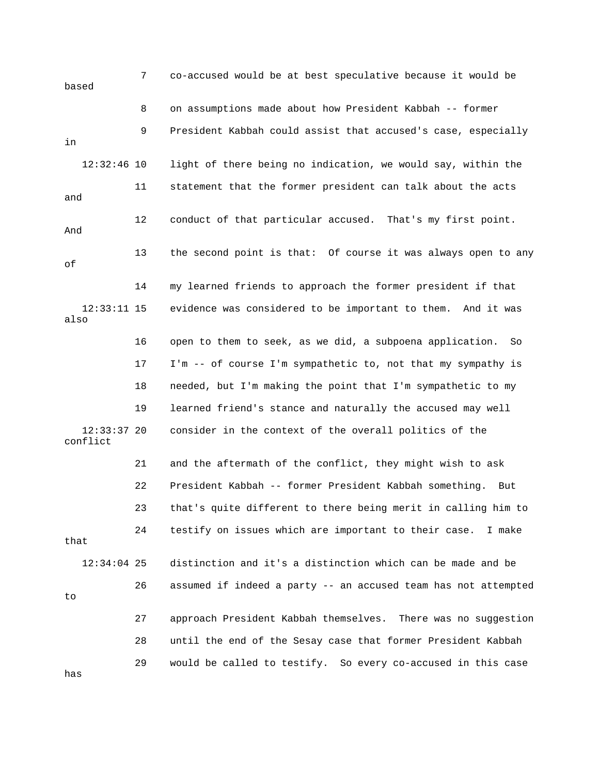7 co-accused would be at best speculative because it would be based 8 on assumptions made about how President Kabbah -- former 9 President Kabbah could assist that accused's case, especially in 12:32:46 10 light of there being no indication, we would say, within the 11 statement that the former president can talk about the acts and 12 conduct of that particular accused. That's my first point. And 13 the second point is that: Of course it was always open to any of 14 my learned friends to approach the former president if that 12:33:11 15 evidence was considered to be important to them. And it was also 16 open to them to seek, as we did, a subpoena application. So 17 I'm -- of course I'm sympathetic to, not that my sympathy is 18 needed, but I'm making the point that I'm sympathetic to my 19 learned friend's stance and naturally the accused may well 12:33:37 20 consider in the context of the overall politics of the conflict 21 and the aftermath of the conflict, they might wish to ask 22 President Kabbah -- former President Kabbah something. But 23 that's quite different to there being merit in calling him to 24 testify on issues which are important to their case. I make that 12:34:04 25 distinction and it's a distinction which can be made and be 26 assumed if indeed a party -- an accused team has not attempted to 27 approach President Kabbah themselves. There was no suggestion 28 until the end of the Sesay case that former President Kabbah 29 would be called to testify. So every co-accused in this case has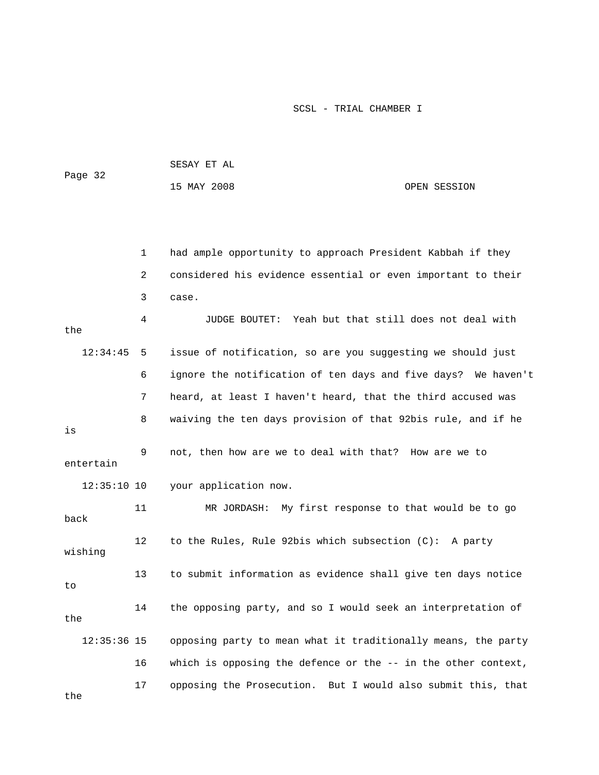| Page 32 | SESAY ET AL |              |
|---------|-------------|--------------|
|         | 15 MAY 2008 | OPEN SESSION |

|               | 1  | had ample opportunity to approach President Kabbah if they    |
|---------------|----|---------------------------------------------------------------|
|               | 2  | considered his evidence essential or even important to their  |
|               | 3  | case.                                                         |
| the           | 4  | Yeah but that still does not deal with<br>JUDGE BOUTET:       |
| 12:34:45      | 5  | issue of notification, so are you suggesting we should just   |
|               | 6  | ignore the notification of ten days and five days? We haven't |
|               | 7  | heard, at least I haven't heard, that the third accused was   |
| is            | 8  | waiving the ten days provision of that 92bis rule, and if he  |
| entertain     | 9  | not, then how are we to deal with that? How are we to         |
| $12:35:10$ 10 |    | your application now.                                         |
| back          | 11 | My first response to that would be to go<br>MR JORDASH:       |
|               |    |                                                               |
| wishing       | 12 | to the Rules, Rule 92bis which subsection (C): A party        |
| to            | 13 | to submit information as evidence shall give ten days notice  |
| the           | 14 | the opposing party, and so I would seek an interpretation of  |
| $12:35:36$ 15 |    | opposing party to mean what it traditionally means, the party |
|               | 16 | which is opposing the defence or the -- in the other context, |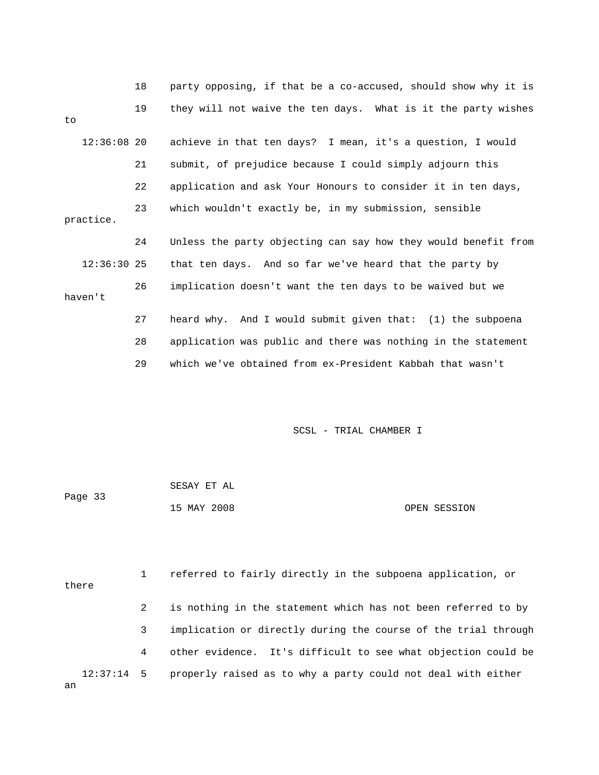|               | 18 | party opposing, if that be a co-accused, should show why it is |
|---------------|----|----------------------------------------------------------------|
| to            | 19 | they will not waive the ten days. What is it the party wishes  |
| $12:36:08$ 20 |    | achieve in that ten days? I mean, it's a question, I would     |
|               | 21 | submit, of prejudice because I could simply adjourn this       |
|               | 22 | application and ask Your Honours to consider it in ten days,   |
| practice.     | 23 | which wouldn't exactly be, in my submission, sensible          |
|               | 24 | Unless the party objecting can say how they would benefit from |
|               |    |                                                                |
| $12:36:30$ 25 |    | that ten days. And so far we've heard that the party by        |
| haven't       | 26 | implication doesn't want the ten days to be waived but we      |
|               | 27 | heard why. And I would submit given that: (1) the subpoena     |
|               | 28 | application was public and there was nothing in the statement  |

| Page 33 | SESAY ET AL |              |
|---------|-------------|--------------|
|         | 15 MAY 2008 | OPEN SESSION |

 1 referred to fairly directly in the subpoena application, or there 2 is nothing in the statement which has not been referred to by 3 implication or directly during the course of the trial through 4 other evidence. It's difficult to see what objection could be 12:37:14 5 properly raised as to why a party could not deal with either an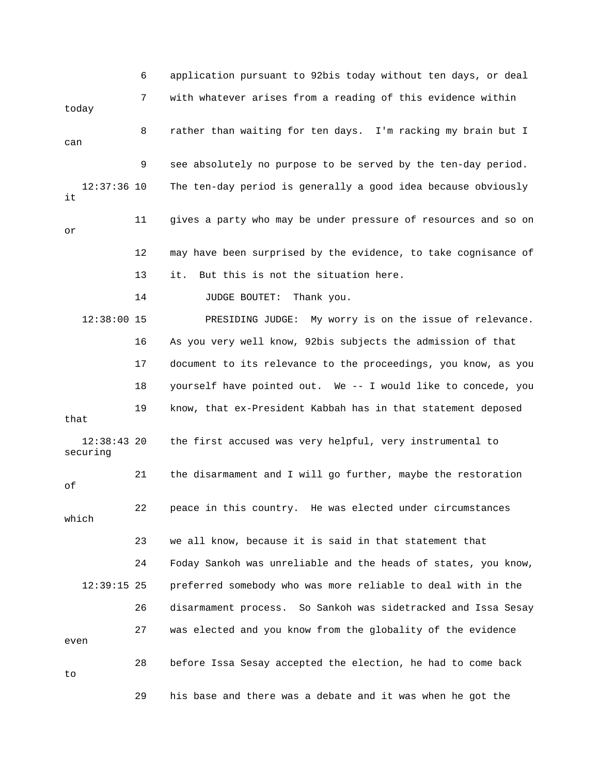6 application pursuant to 92bis today without ten days, or deal 7 with whatever arises from a reading of this evidence within today 8 rather than waiting for ten days. I'm racking my brain but I can 9 see absolutely no purpose to be served by the ten-day period. 12:37:36 10 The ten-day period is generally a good idea because obviously it 11 gives a party who may be under pressure of resources and so on or 12 may have been surprised by the evidence, to take cognisance of 13 it. But this is not the situation here. 14 JUDGE BOUTET: Thank you. 12:38:00 15 PRESIDING JUDGE: My worry is on the issue of relevance. 16 As you very well know, 92bis subjects the admission of that 17 document to its relevance to the proceedings, you know, as you 18 yourself have pointed out. We -- I would like to concede, you 19 know, that ex-President Kabbah has in that statement deposed that 12:38:43 20 the first accused was very helpful, very instrumental to securing 21 the disarmament and I will go further, maybe the restoration of 22 peace in this country. He was elected under circumstances which 23 we all know, because it is said in that statement that 24 Foday Sankoh was unreliable and the heads of states, you know, 12:39:15 25 preferred somebody who was more reliable to deal with in the 26 disarmament process. So Sankoh was sidetracked and Issa Sesay 27 was elected and you know from the globality of the evidence even 28 before Issa Sesay accepted the election, he had to come back to 29 his base and there was a debate and it was when he got the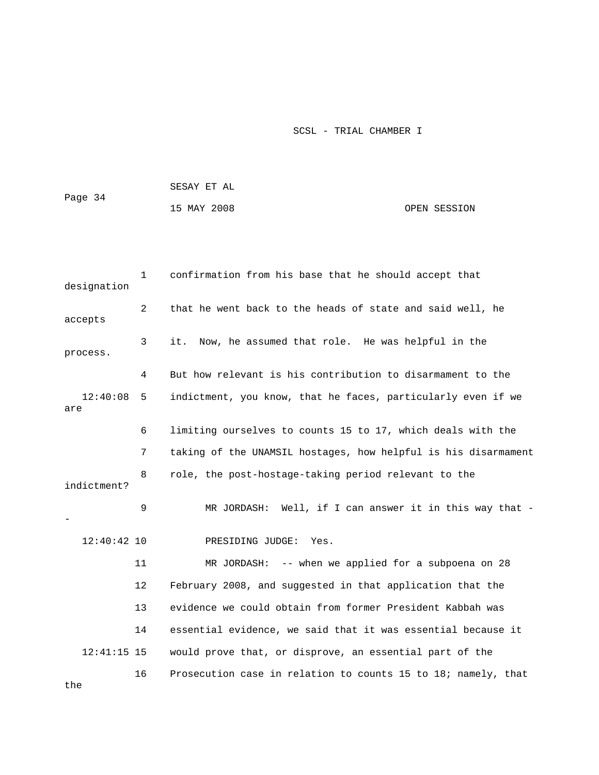|         | SESAY ET AL |  |              |  |  |  |  |
|---------|-------------|--|--------------|--|--|--|--|
| Page 34 | 15 MAY 2008 |  | OPEN SESSION |  |  |  |  |
|         |             |  |              |  |  |  |  |

| designation     | $\mathbf{1}$ | confirmation from his base that he should accept that          |
|-----------------|--------------|----------------------------------------------------------------|
| accepts         | 2            | that he went back to the heads of state and said well, he      |
| process.        | 3            | it.<br>Now, he assumed that role. He was helpful in the        |
|                 | 4            | But how relevant is his contribution to disarmament to the     |
| 12:40:08<br>are | 5            | indictment, you know, that he faces, particularly even if we   |
|                 | 6            | limiting ourselves to counts 15 to 17, which deals with the    |
|                 | 7            | taking of the UNAMSIL hostages, how helpful is his disarmament |
| indictment?     | 8            | role, the post-hostage-taking period relevant to the           |
|                 | 9            | MR JORDASH: Well, if I can answer it in this way that -        |
| $12:40:42$ 10   |              | PRESIDING JUDGE:<br>Yes.                                       |
|                 | 11           | MR JORDASH: $--$ when we applied for a subpoena on 28          |
|                 | 12           | February 2008, and suggested in that application that the      |
|                 | 13           | evidence we could obtain from former President Kabbah was      |
|                 | 14           | essential evidence, we said that it was essential because it   |
| $12:41:15$ 15   |              | would prove that, or disprove, an essential part of the        |
| the             | 16           | Prosecution case in relation to counts 15 to 18; namely, that  |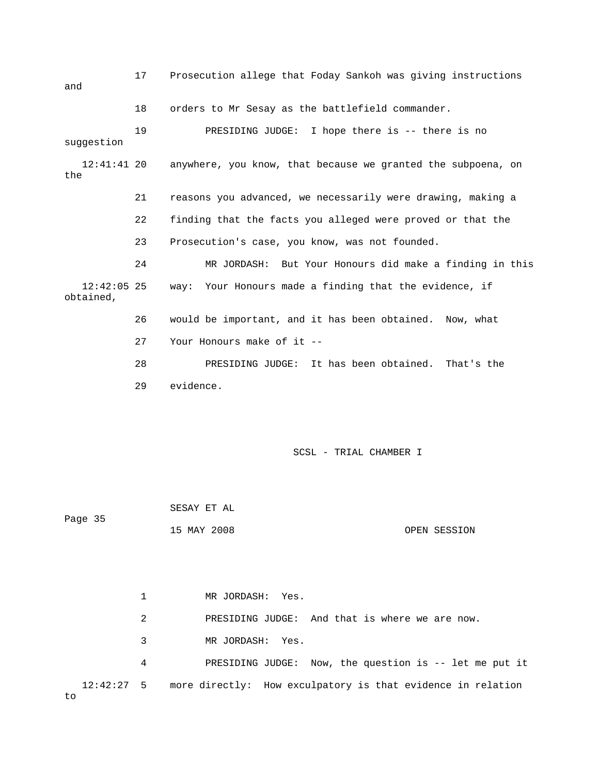17 Prosecution allege that Foday Sankoh was giving instructions and 18 orders to Mr Sesay as the battlefield commander. 19 PRESIDING JUDGE: I hope there is -- there is no suggestion 12:41:41 20 anywhere, you know, that because we granted the subpoena, on the 21 reasons you advanced, we necessarily were drawing, making a 22 finding that the facts you alleged were proved or that the 23 Prosecution's case, you know, was not founded. 24 MR JORDASH: But Your Honours did make a finding in this 12:42:05 25 way: Your Honours made a finding that the evidence, if obtained, 26 would be important, and it has been obtained. Now, what 27 Your Honours make of it -- 28 PRESIDING JUDGE: It has been obtained. That's the 29 evidence.

SCSL - TRIAL CHAMBER I

 SESAY ET AL Page 35 15 MAY 2008 OPEN SESSION

 1 MR JORDASH: Yes. 2 PRESIDING JUDGE: And that is where we are now. 3 MR JORDASH: Yes. 4 PRESIDING JUDGE: Now, the question is -- let me put it 12:42:27 5 more directly: How exculpatory is that evidence in relation to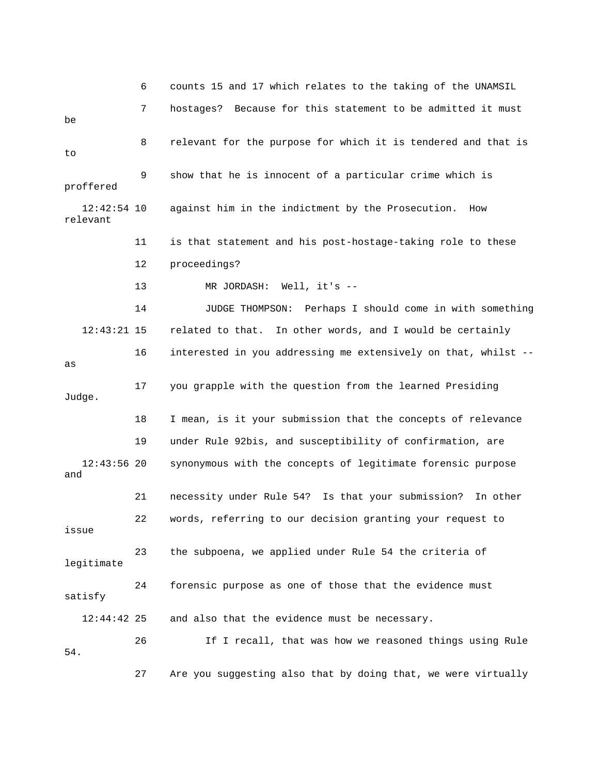6 counts 15 and 17 which relates to the taking of the UNAMSIL 7 hostages? Because for this statement to be admitted it must be 8 relevant for the purpose for which it is tendered and that is to 9 show that he is innocent of a particular crime which is proffered 12:42:54 10 against him in the indictment by the Prosecution. How relevant 11 is that statement and his post-hostage-taking role to these 12 proceedings? 13 MR JORDASH: Well, it's -- 14 JUDGE THOMPSON: Perhaps I should come in with something 12:43:21 15 related to that. In other words, and I would be certainly 16 interested in you addressing me extensively on that, whilst - as 17 you grapple with the question from the learned Presiding Judge. 18 I mean, is it your submission that the concepts of relevance 19 under Rule 92bis, and susceptibility of confirmation, are 12:43:56 20 synonymous with the concepts of legitimate forensic purpose and 21 necessity under Rule 54? Is that your submission? In other 22 words, referring to our decision granting your request to issue 23 the subpoena, we applied under Rule 54 the criteria of legitimate 24 forensic purpose as one of those that the evidence must satisfy 12:44:42 25 and also that the evidence must be necessary. 26 If I recall, that was how we reasoned things using Rule 54. 27 Are you suggesting also that by doing that, we were virtually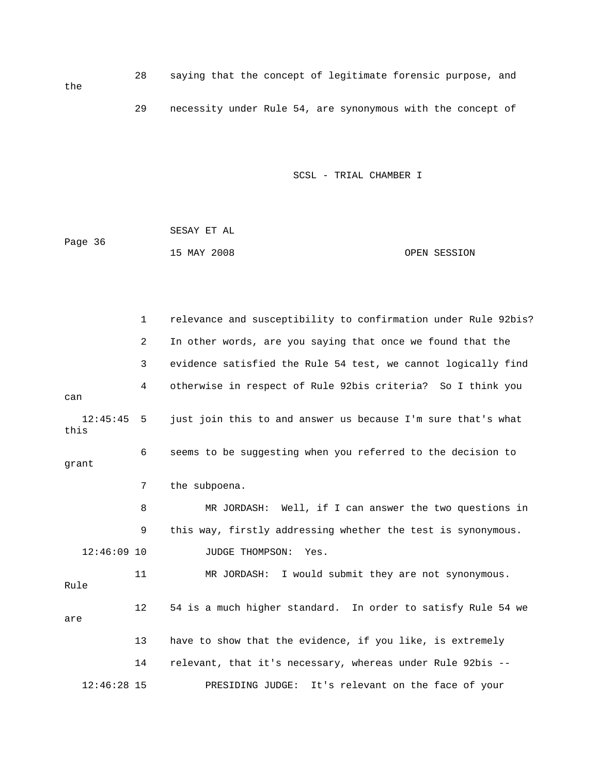| the | 28. |  |  |  | saying that the concept of legitimate forensic purpose, and |  |  |
|-----|-----|--|--|--|-------------------------------------------------------------|--|--|
|     | 29  |  |  |  | necessity under Rule 54, are synonymous with the concept of |  |  |

 SESAY ET AL Page 36 15 MAY 2008 OPEN SESSION

the

|                      | $\mathbf{1}$   | relevance and susceptibility to confirmation under Rule 92bis? |
|----------------------|----------------|----------------------------------------------------------------|
|                      | $\overline{2}$ | In other words, are you saying that once we found that the     |
|                      | 3              | evidence satisfied the Rule 54 test, we cannot logically find  |
| can                  | 4              | otherwise in respect of Rule 92bis criteria? So I think you    |
| $12:45:45$ 5<br>this |                | just join this to and answer us because I'm sure that's what   |
| qrant                | 6              | seems to be suggesting when you referred to the decision to    |
|                      | 7              | the subpoena.                                                  |
|                      | 8              | MR JORDASH: Well, if I can answer the two questions in         |
|                      | 9              | this way, firstly addressing whether the test is synonymous.   |
| $12:46:09$ 10        |                | JUDGE THOMPSON:<br>Yes.                                        |
| Rule                 | 11             | MR JORDASH: I would submit they are not synonymous.            |
| are                  | 12             | 54 is a much higher standard. In order to satisfy Rule 54 we   |
|                      | 13             | have to show that the evidence, if you like, is extremely      |
|                      | 14             | relevant, that it's necessary, whereas under Rule 92bis --     |
| $12:46:28$ 15        |                | PRESIDING JUDGE:<br>It's relevant on the face of your          |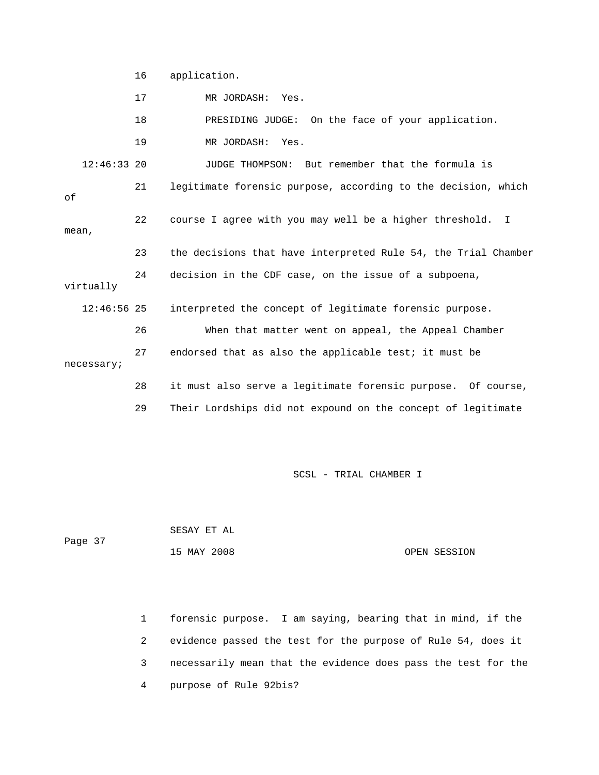16 application.

17 MR JORDASH: Yes.

18 PRESIDING JUDGE: On the face of your application.

19 MR JORDASH: Yes.

 12:46:33 20 JUDGE THOMPSON: But remember that the formula is 21 legitimate forensic purpose, according to the decision, which of 22 course I agree with you may well be a higher threshold. I mean, 23 the decisions that have interpreted Rule 54, the Trial Chamber 24 decision in the CDF case, on the issue of a subpoena, virtually 12:46:56 25 interpreted the concept of legitimate forensic purpose. 26 When that matter went on appeal, the Appeal Chamber 27 endorsed that as also the applicable test; it must be necessary; 28 it must also serve a legitimate forensic purpose. Of course, 29 Their Lordships did not expound on the concept of legitimate

SCSL - TRIAL CHAMBER I

 SESAY ET AL Page 37 15 MAY 2008 OPEN SESSION

> 1 forensic purpose. I am saying, bearing that in mind, if the 2 evidence passed the test for the purpose of Rule 54, does it 3 necessarily mean that the evidence does pass the test for the 4 purpose of Rule 92bis?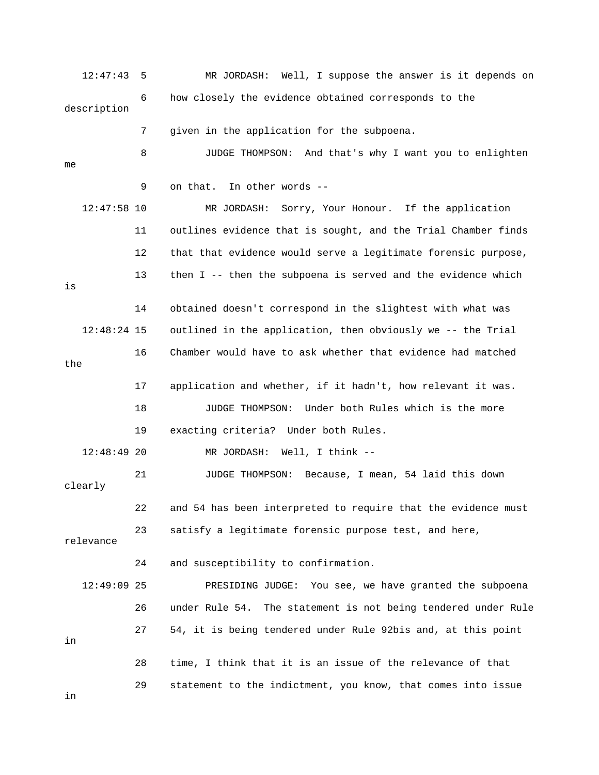12:47:43 5 MR JORDASH: Well, I suppose the answer is it depends on 6 how closely the evidence obtained corresponds to the description 7 given in the application for the subpoena. 8 JUDGE THOMPSON: And that's why I want you to enlighten me 9 on that. In other words -- 12:47:58 10 MR JORDASH: Sorry, Your Honour. If the application 11 outlines evidence that is sought, and the Trial Chamber finds 12 that that evidence would serve a legitimate forensic purpose, 13 then I -- then the subpoena is served and the evidence which is 14 obtained doesn't correspond in the slightest with what was 12:48:24 15 outlined in the application, then obviously we -- the Trial 16 Chamber would have to ask whether that evidence had matched the 17 application and whether, if it hadn't, how relevant it was. 18 JUDGE THOMPSON: Under both Rules which is the more 19 exacting criteria? Under both Rules. 12:48:49 20 MR JORDASH: Well, I think -- 21 JUDGE THOMPSON: Because, I mean, 54 laid this down clearly 22 and 54 has been interpreted to require that the evidence must 23 satisfy a legitimate forensic purpose test, and here, relevance 24 and susceptibility to confirmation. 12:49:09 25 PRESIDING JUDGE: You see, we have granted the subpoena 26 under Rule 54. The statement is not being tendered under Rule

in

 28 time, I think that it is an issue of the relevance of that 29 statement to the indictment, you know, that comes into issue

27 54, it is being tendered under Rule 92bis and, at this point

in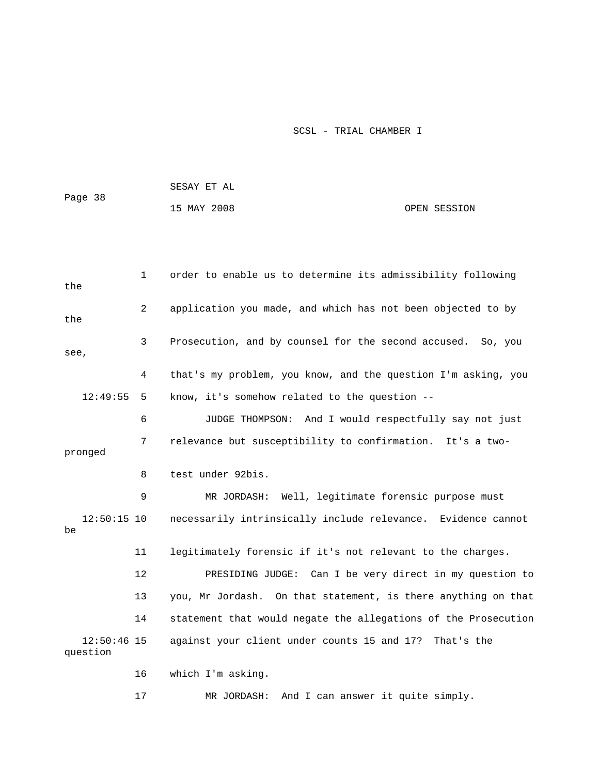15 MAY 2008 OPEN SESSION

| the                       | $\mathbf{1}$ | order to enable us to determine its admissibility following    |
|---------------------------|--------------|----------------------------------------------------------------|
| the                       | 2            | application you made, and which has not been objected to by    |
| see,                      | 3            | Prosecution, and by counsel for the second accused.<br>So, you |
|                           | 4            | that's my problem, you know, and the question I'm asking, you  |
| 12:49:55                  | 5            | know, it's somehow related to the question --                  |
|                           | 6            | JUDGE THOMPSON:<br>And I would respectfully say not just       |
| pronged                   | 7            | relevance but susceptibility to confirmation.<br>It's a two-   |
|                           | 8            | test under 92bis.                                              |
|                           | 9            | Well, legitimate forensic purpose must<br>MR JORDASH:          |
| $12:50:15$ 10<br>be       |              | necessarily intrinsically include relevance. Evidence cannot   |
|                           | 11           | legitimately forensic if it's not relevant to the charges.     |
|                           | 12           | PRESIDING JUDGE: Can I be very direct in my question to        |
|                           | 13           | you, Mr Jordash. On that statement, is there anything on that  |
|                           | 14           | statement that would negate the allegations of the Prosecution |
| $12:50:46$ 15<br>question |              | against your client under counts 15 and 17? That's the         |
|                           | 16           | which I'm asking.                                              |
|                           | 17           | And I can answer it quite simply.<br>MR JORDASH:               |

SESAY ET AL

Page 38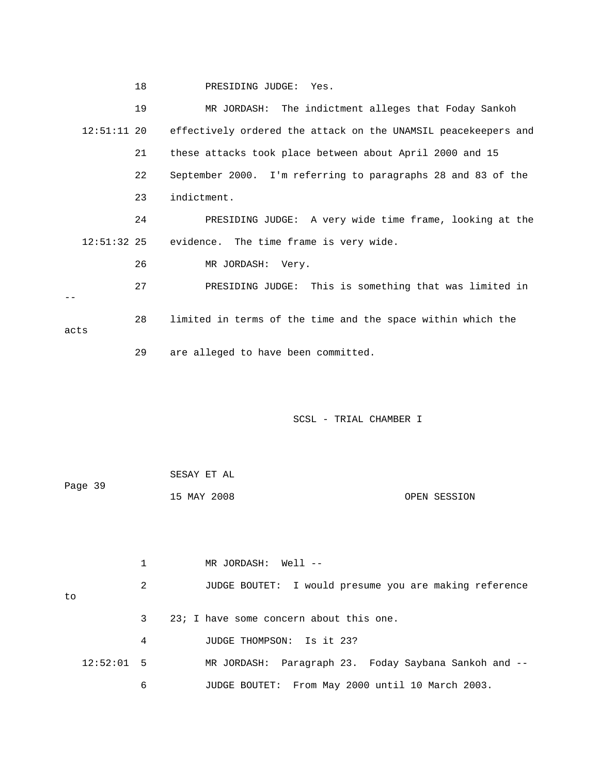18 PRESIDING JUDGE: Yes.

|               | 19 | MR JORDASH: The indictment alleges that Foday Sankoh           |
|---------------|----|----------------------------------------------------------------|
| $12:51:11$ 20 |    | effectively ordered the attack on the UNAMSIL peacekeepers and |
|               | 21 | these attacks took place between about April 2000 and 15       |
|               | 22 | September 2000. I'm referring to paragraphs 28 and 83 of the   |
|               | 23 | indictment.                                                    |
|               | 24 | PRESIDING JUDGE: A very wide time frame, looking at the        |
| $12:51:32$ 25 |    | evidence. The time frame is very wide.                         |
|               | 26 | MR JORDASH: Very.                                              |
|               | 27 | PRESIDING JUDGE: This is something that was limited in         |
| acts          | 28 | limited in terms of the time and the space within which the    |
|               | 29 | are alleged to have been committed.                            |

SCSL - TRIAL CHAMBER I

| Page 39 | SESAY ET AL |              |
|---------|-------------|--------------|
|         | 15 MAY 2008 | OPEN SESSION |

 1 MR JORDASH: Well -- 2 JUDGE BOUTET: I would presume you are making reference to 3 23; I have some concern about this one. 4 JUDGE THOMPSON: Is it 23? 12:52:01 5 MR JORDASH: Paragraph 23. Foday Saybana Sankoh and -- 6 JUDGE BOUTET: From May 2000 until 10 March 2003.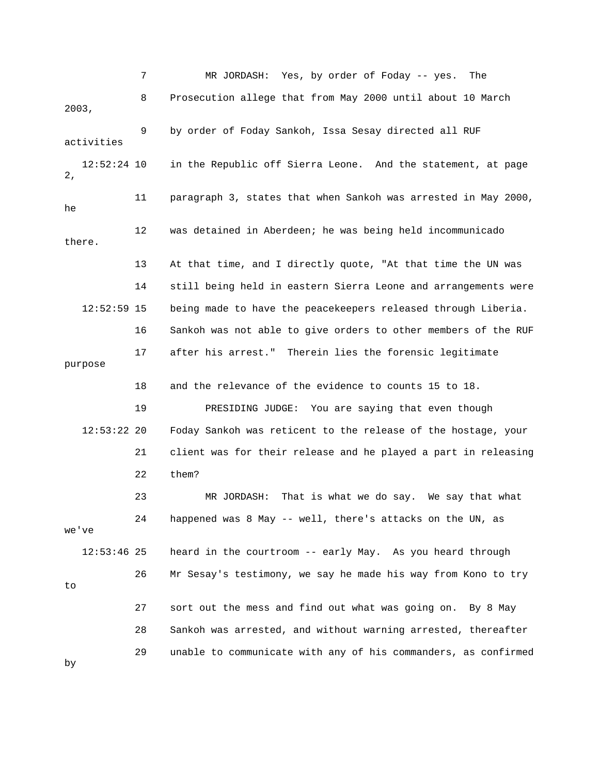7 MR JORDASH: Yes, by order of Foday -- yes. The 8 Prosecution allege that from May 2000 until about 10 March 2003, 9 by order of Foday Sankoh, Issa Sesay directed all RUF activities 12:52:24 10 in the Republic off Sierra Leone. And the statement, at page 2, 11 paragraph 3, states that when Sankoh was arrested in May 2000, he 12 was detained in Aberdeen; he was being held incommunicado there. 13 At that time, and I directly quote, "At that time the UN was 14 still being held in eastern Sierra Leone and arrangements were 12:52:59 15 being made to have the peacekeepers released through Liberia. 16 Sankoh was not able to give orders to other members of the RUF 17 after his arrest." Therein lies the forensic legitimate purpose 18 and the relevance of the evidence to counts 15 to 18. 19 PRESIDING JUDGE: You are saying that even though 12:53:22 20 Foday Sankoh was reticent to the release of the hostage, your 21 client was for their release and he played a part in releasing 22 them? 23 MR JORDASH: That is what we do say. We say that what 24 happened was 8 May -- well, there's attacks on the UN, as we've 12:53:46 25 heard in the courtroom -- early May. As you heard through 26 Mr Sesay's testimony, we say he made his way from Kono to try to 27 sort out the mess and find out what was going on. By 8 May 28 Sankoh was arrested, and without warning arrested, thereafter 29 unable to communicate with any of his commanders, as confirmed by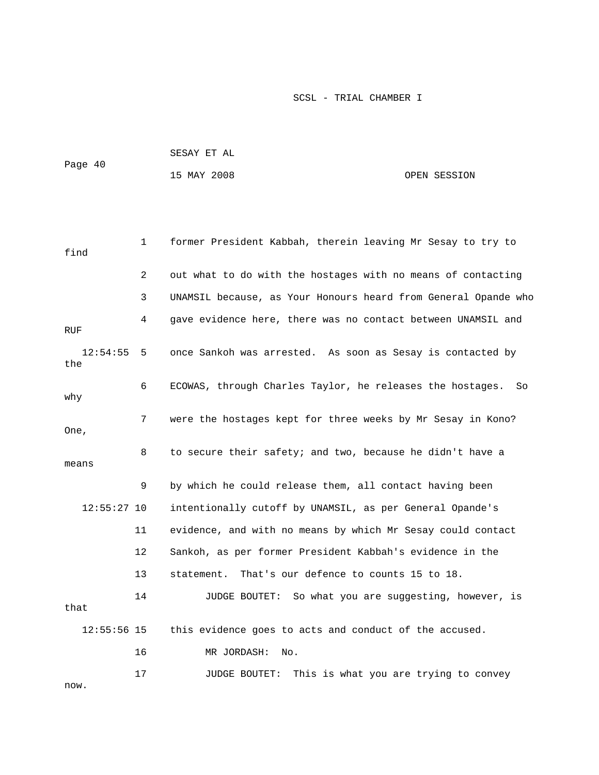| Page 40 | SESAY ET AL |              |
|---------|-------------|--------------|
|         | 15 MAY 2008 | OPEN SESSION |

```
 1 former President Kabbah, therein leaving Mr Sesay to try to 
find 
             2 out what to do with the hostages with no means of contacting 
             3 UNAMSIL because, as Your Honours heard from General Opande who 
             4 gave evidence here, there was no contact between UNAMSIL and 
RUF 
   12:54:55 5 once Sankoh was arrested. As soon as Sesay is contacted by 
the 
             6 ECOWAS, through Charles Taylor, he releases the hostages. So 
why 
             7 were the hostages kept for three weeks by Mr Sesay in Kono? 
One, 
             8 to secure their safety; and two, because he didn't have a 
means 
             9 by which he could release them, all contact having been 
   12:55:27 10 intentionally cutoff by UNAMSIL, as per General Opande's 
            11 evidence, and with no means by which Mr Sesay could contact 
            12 Sankoh, as per former President Kabbah's evidence in the 
            13 statement. That's our defence to counts 15 to 18. 
            14 JUDGE BOUTET: So what you are suggesting, however, is 
that 
    12:55:56 15 this evidence goes to acts and conduct of the accused. 
            16 MR JORDASH: No. 
           17 JUDGE BOUTET: This is what you are trying to convey
```
now.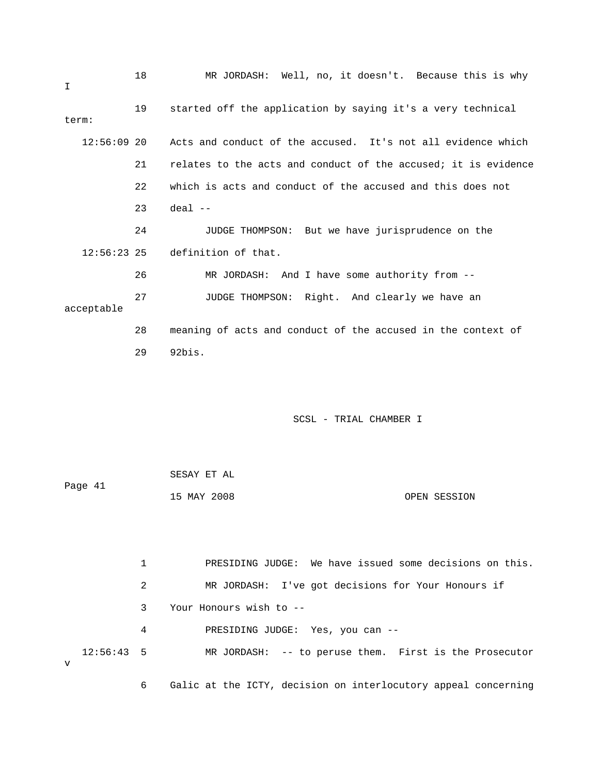| I             | 18 | MR JORDASH: Well, no, it doesn't. Because this is why          |
|---------------|----|----------------------------------------------------------------|
| term:         | 19 | started off the application by saying it's a very technical    |
| $12:56:09$ 20 |    | Acts and conduct of the accused. It's not all evidence which   |
|               | 21 | relates to the acts and conduct of the accused; it is evidence |
|               | 22 | which is acts and conduct of the accused and this does not     |
|               | 23 | $deal$ --                                                      |
|               | 24 | JUDGE THOMPSON: But we have jurisprudence on the               |
| $12:56:23$ 25 |    | definition of that.                                            |
|               | 26 | MR JORDASH: And I have some authority from --                  |
| acceptable    | 27 | JUDGE THOMPSON: Right. And clearly we have an                  |
|               | 28 | meaning of acts and conduct of the accused in the context of   |
|               | 29 | 92bis.                                                         |

|         | SESAY ET AL |              |
|---------|-------------|--------------|
| Page 41 |             |              |
|         | 15 MAY 2008 | OPEN SESSION |

 1 PRESIDING JUDGE: We have issued some decisions on this. 2 MR JORDASH: I've got decisions for Your Honours if 3 Your Honours wish to -- 4 PRESIDING JUDGE: Yes, you can -- 12:56:43 5 MR JORDASH: -- to peruse them. First is the Prosecutor v 6 Galic at the ICTY, decision on interlocutory appeal concerning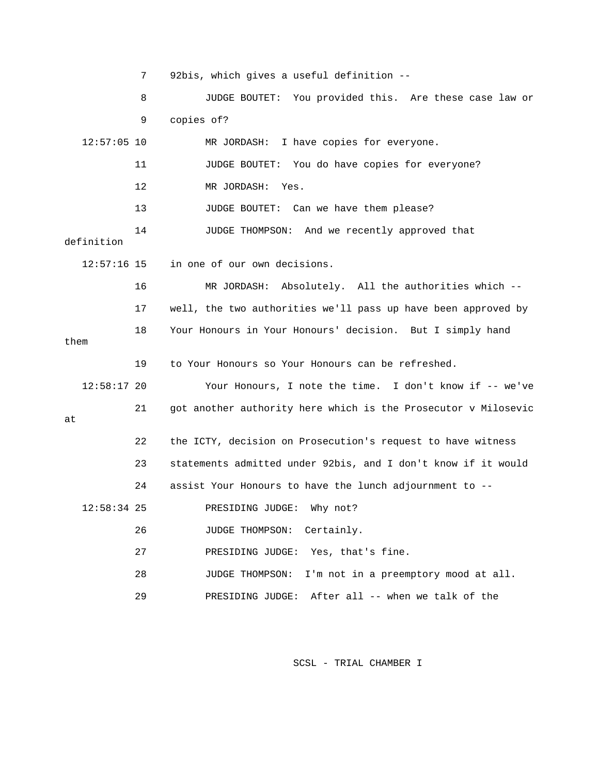7 92bis, which gives a useful definition -- 8 JUDGE BOUTET: You provided this. Are these case law or 9 copies of? 12:57:05 10 MR JORDASH: I have copies for everyone. 11 JUDGE BOUTET: You do have copies for everyone? 12 MR JORDASH: Yes. 13 JUDGE BOUTET: Can we have them please? 14 JUDGE THOMPSON: And we recently approved that definition 12:57:16 15 in one of our own decisions. 16 MR JORDASH: Absolutely. All the authorities which -- 17 well, the two authorities we'll pass up have been approved by 18 Your Honours in Your Honours' decision. But I simply hand them 19 to Your Honours so Your Honours can be refreshed. 12:58:17 20 Your Honours, I note the time. I don't know if -- we've 21 got another authority here which is the Prosecutor v Milosevic at 22 the ICTY, decision on Prosecution's request to have witness 23 statements admitted under 92bis, and I don't know if it would 24 assist Your Honours to have the lunch adjournment to -- 12:58:34 25 PRESIDING JUDGE: Why not? 26 JUDGE THOMPSON: Certainly. 27 PRESIDING JUDGE: Yes, that's fine. 28 JUDGE THOMPSON: I'm not in a preemptory mood at all. 29 PRESIDING JUDGE: After all -- when we talk of the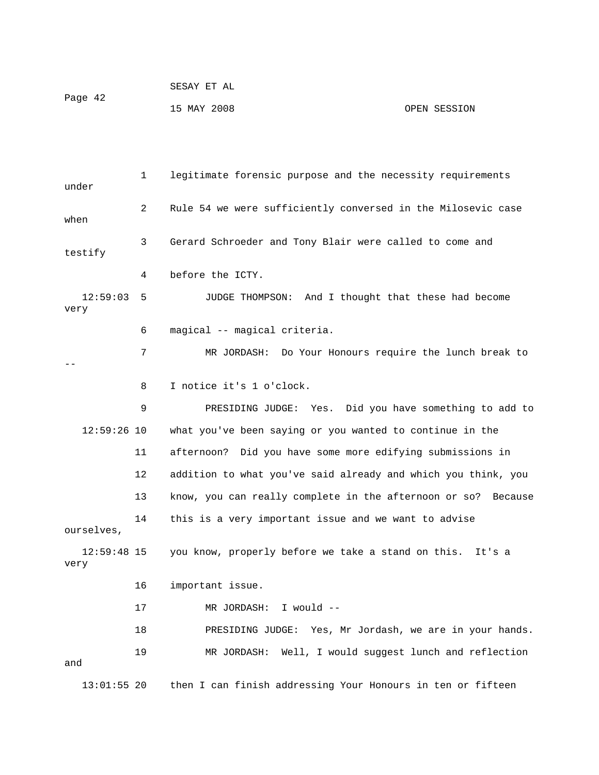| Page 42 | SESAY ET AL |              |
|---------|-------------|--------------|
|         | 15 MAY 2008 | OPEN SESSION |

 1 legitimate forensic purpose and the necessity requirements under 2 Rule 54 we were sufficiently conversed in the Milosevic case when 3 Gerard Schroeder and Tony Blair were called to come and testify 4 before the ICTY. 12:59:03 5 JUDGE THOMPSON: And I thought that these had become very 6 magical -- magical criteria. 7 MR JORDASH: Do Your Honours require the lunch break to -- 8 I notice it's 1 o'clock. 9 PRESIDING JUDGE: Yes. Did you have something to add to 12:59:26 10 what you've been saying or you wanted to continue in the 11 afternoon? Did you have some more edifying submissions in 12 addition to what you've said already and which you think, you 13 know, you can really complete in the afternoon or so? Because 14 this is a very important issue and we want to advise ourselves, 12:59:48 15 you know, properly before we take a stand on this. It's a very 16 important issue. 17 MR JORDASH: I would -- 18 PRESIDING JUDGE: Yes, Mr Jordash, we are in your hands. 19 MR JORDASH: Well, I would suggest lunch and reflection and 13:01:55 20 then I can finish addressing Your Honours in ten or fifteen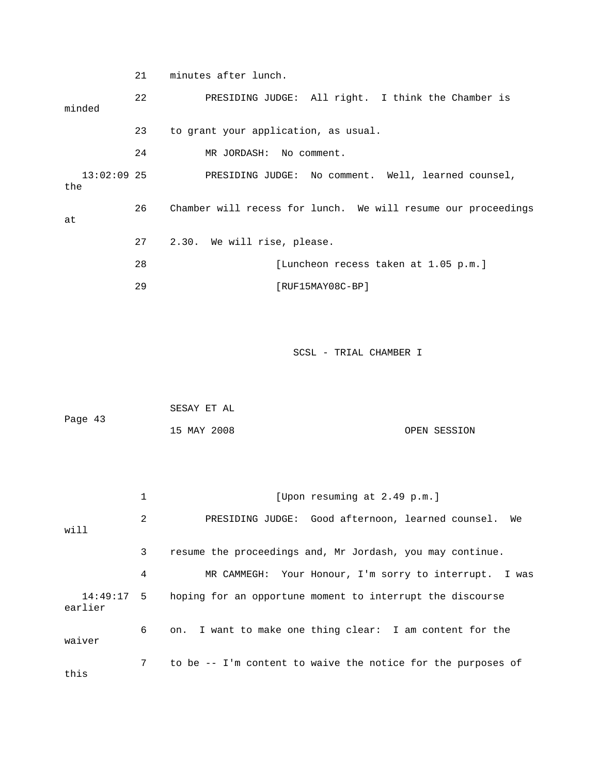21 minutes after lunch.

 22 PRESIDING JUDGE: All right. I think the Chamber is minded 23 to grant your application, as usual. 24 MR JORDASH: No comment. 13:02:09 25 PRESIDING JUDGE: No comment. Well, learned counsel, the 26 Chamber will recess for lunch. We will resume our proceedings at 27 2.30. We will rise, please. 28 [Luncheon recess taken at 1.05 p.m.] 29 [RUF15MAY08C-BP] SCSL - TRIAL CHAMBER I SESAY ET AL Page 43 15 MAY 2008 OPEN SESSION 1 [Upon resuming at 2.49 p.m.] 2 PRESIDING JUDGE: Good afternoon, learned counsel. We will

 3 resume the proceedings and, Mr Jordash, you may continue. 4 MR CAMMEGH: Your Honour, I'm sorry to interrupt. I was 14:49:17 5 hoping for an opportune moment to interrupt the discourse earlier 6 on. I want to make one thing clear: I am content for the waiver 7 to be -- I'm content to waive the notice for the purposes of this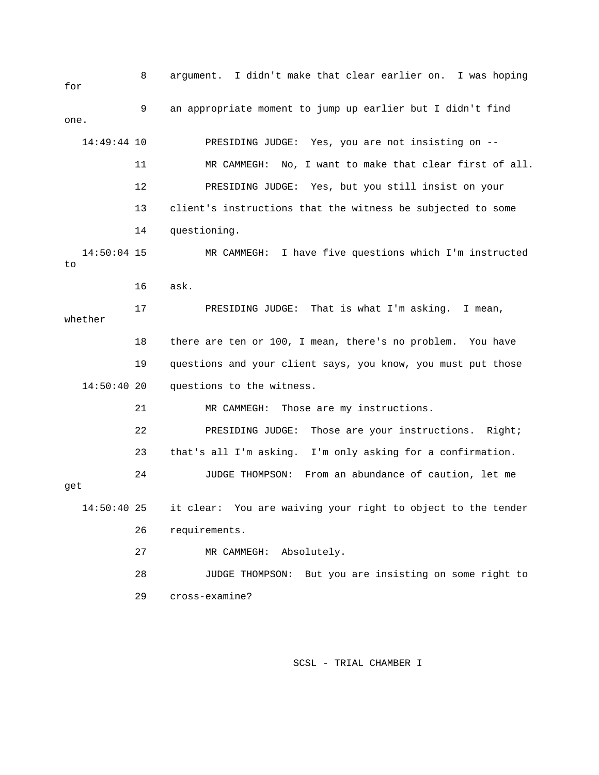8 argument. I didn't make that clear earlier on. I was hoping for 9 an appropriate moment to jump up earlier but I didn't find one. 14:49:44 10 PRESIDING JUDGE: Yes, you are not insisting on -- 11 MR CAMMEGH: No, I want to make that clear first of all. 12 PRESIDING JUDGE: Yes, but you still insist on your 13 client's instructions that the witness be subjected to some 14 questioning. 14:50:04 15 MR CAMMEGH: I have five questions which I'm instructed to 16 ask. 17 PRESIDING JUDGE: That is what I'm asking. I mean, whether 18 there are ten or 100, I mean, there's no problem. You have 19 questions and your client says, you know, you must put those 14:50:40 20 questions to the witness. 21 MR CAMMEGH: Those are my instructions. 22 PRESIDING JUDGE: Those are your instructions. Right; 23 that's all I'm asking. I'm only asking for a confirmation. 24 JUDGE THOMPSON: From an abundance of caution, let me get 14:50:40 25 it clear: You are waiving your right to object to the tender 26 requirements. 27 MR CAMMEGH: Absolutely. 28 JUDGE THOMPSON: But you are insisting on some right to 29 cross-examine?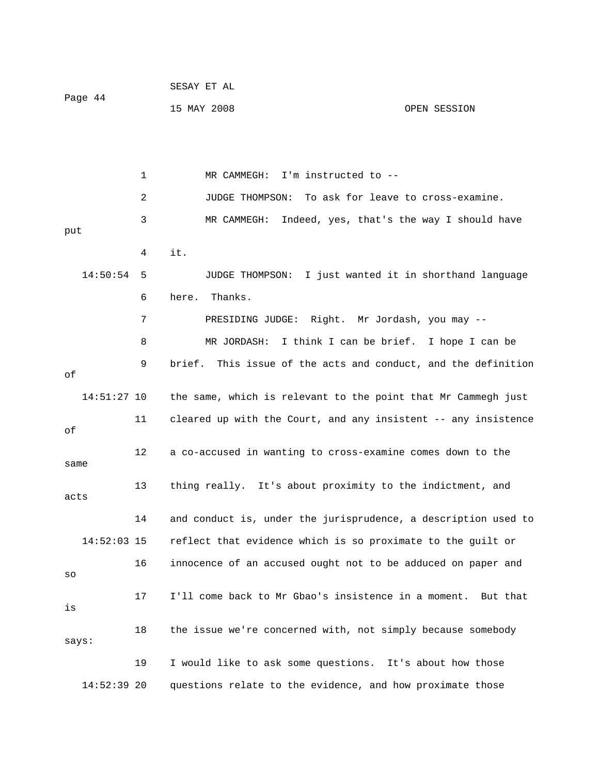| Page 44 | SESAY ET AL |              |
|---------|-------------|--------------|
|         | 15 MAY 2008 | OPEN SESSION |

1 MR CAMMEGH: I'm instructed to -- 2 JUDGE THOMPSON: To ask for leave to cross-examine. 3 MR CAMMEGH: Indeed, yes, that's the way I should have put 4 it. 14:50:54 5 JUDGE THOMPSON: I just wanted it in shorthand language 6 here. Thanks. 7 PRESIDING JUDGE: Right. Mr Jordash, you may -- 8 MR JORDASH: I think I can be brief. I hope I can be 9 brief. This issue of the acts and conduct, and the definition of 14:51:27 10 the same, which is relevant to the point that Mr Cammegh just 11 cleared up with the Court, and any insistent -- any insistence of 12 a co-accused in wanting to cross-examine comes down to the same 13 thing really. It's about proximity to the indictment, and acts 14 and conduct is, under the jurisprudence, a description used to 14:52:03 15 reflect that evidence which is so proximate to the guilt or 16 innocence of an accused ought not to be adduced on paper and so 17 I'll come back to Mr Gbao's insistence in a moment. But that is 18 the issue we're concerned with, not simply because somebody says: 19 I would like to ask some questions. It's about how those 14:52:39 20 questions relate to the evidence, and how proximate those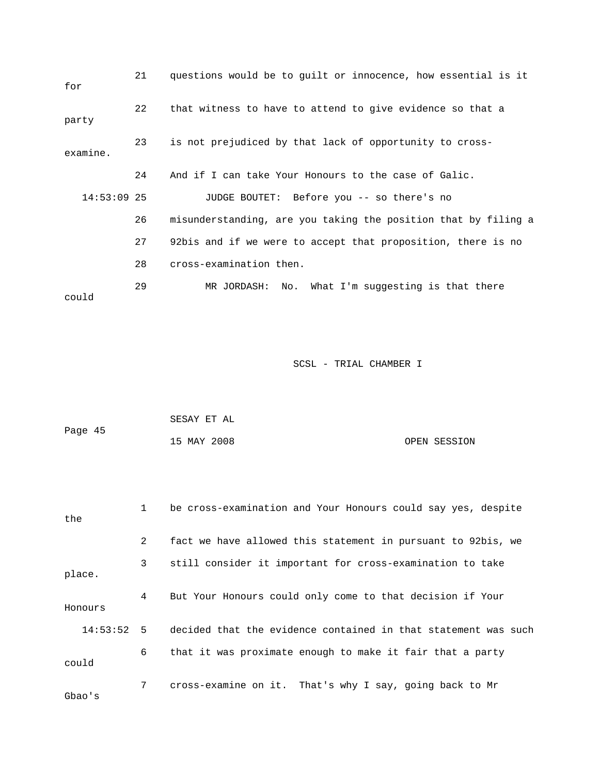| for           | 21 | questions would be to guilt or innocence, how essential is it  |
|---------------|----|----------------------------------------------------------------|
| party         | 22 | that witness to have to attend to give evidence so that a      |
| examine.      | 23 | is not prejudiced by that lack of opportunity to cross-        |
|               | 24 | And if I can take Your Honours to the case of Galic.           |
| $14:53:09$ 25 |    | JUDGE BOUTET: Before you -- so there's no                      |
|               | 26 | misunderstanding, are you taking the position that by filing a |
|               | 27 | 92bis and if we were to accept that proposition, there is no   |
|               | 28 | cross-examination then.                                        |
| could         | 29 | MR JORDASH: No. What I'm suggesting is that there              |

| Page 45 | SESAY ET AL |              |
|---------|-------------|--------------|
|         | 15 MAY 2008 | OPEN SESSION |

| the      | $\mathbf{1}$ | be cross-examination and Your Honours could say yes, despite   |
|----------|--------------|----------------------------------------------------------------|
|          | 2            | fact we have allowed this statement in pursuant to 92bis, we   |
| place.   | 3            | still consider it important for cross-examination to take      |
| Honours  | 4            | But Your Honours could only come to that decision if Your      |
| 14:53:52 | 5            | decided that the evidence contained in that statement was such |
| could    | 6            | that it was proximate enough to make it fair that a party      |
| Gbao's   | 7            | cross-examine on it. That's why I say, going back to Mr        |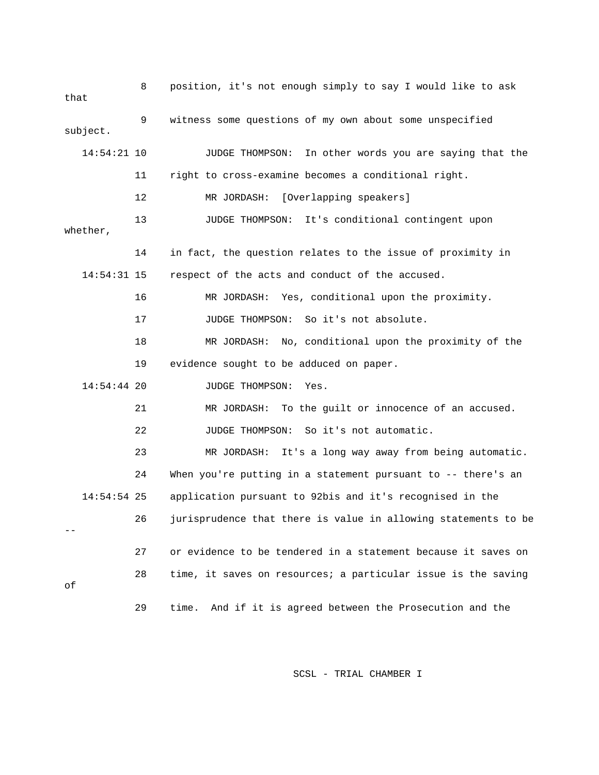| that |               | 8  | position, it's not enough simply to say I would like to ask    |
|------|---------------|----|----------------------------------------------------------------|
|      | subject.      | 9  | witness some questions of my own about some unspecified        |
|      | $14:54:21$ 10 |    | In other words you are saying that the<br>JUDGE THOMPSON:      |
|      |               | 11 | right to cross-examine becomes a conditional right.            |
|      |               | 12 | [Overlapping speakers]<br>MR JORDASH:                          |
|      | whether,      | 13 | It's conditional contingent upon<br>JUDGE THOMPSON:            |
|      |               | 14 | in fact, the question relates to the issue of proximity in     |
|      | $14:54:31$ 15 |    | respect of the acts and conduct of the accused.                |
|      |               | 16 | MR JORDASH: Yes, conditional upon the proximity.               |
|      |               | 17 | So it's not absolute.<br>JUDGE THOMPSON:                       |
|      |               | 18 | MR JORDASH: No, conditional upon the proximity of the          |
|      |               | 19 | evidence sought to be adduced on paper.                        |
|      | $14:54:44$ 20 |    | JUDGE THOMPSON:<br>Yes.                                        |
|      |               | 21 | To the guilt or innocence of an accused.<br>MR JORDASH:        |
|      |               | 22 | So it's not automatic.<br>JUDGE THOMPSON:                      |
|      |               | 23 | It's a long way away from being automatic.<br>MR JORDASH:      |
|      |               | 24 | When you're putting in a statement pursuant to -- there's an   |
|      | $14:54:54$ 25 |    | application pursuant to 92bis and it's recognised in the       |
|      |               | 26 | jurisprudence that there is value in allowing statements to be |
|      |               | 27 | or evidence to be tendered in a statement because it saves on  |
| оf   |               | 28 | time, it saves on resources; a particular issue is the saving  |
|      |               | 29 | And if it is agreed between the Prosecution and the<br>time.   |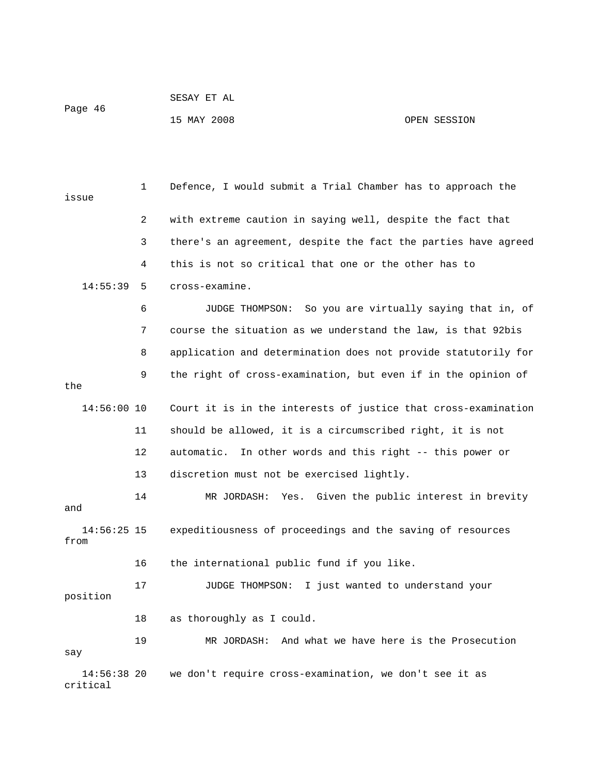| Page 46 | SESAY ET AL |              |
|---------|-------------|--------------|
|         | 15 MAY 2008 | OPEN SESSION |

 1 Defence, I would submit a Trial Chamber has to approach the issue 2 with extreme caution in saying well, despite the fact that 3 there's an agreement, despite the fact the parties have agreed 4 this is not so critical that one or the other has to 14:55:39 5 cross-examine. 6 JUDGE THOMPSON: So you are virtually saying that in, of 7 course the situation as we understand the law, is that 92bis 8 application and determination does not provide statutorily for 9 the right of cross-examination, but even if in the opinion of the 14:56:00 10 Court it is in the interests of justice that cross-examination 11 should be allowed, it is a circumscribed right, it is not 12 automatic. In other words and this right -- this power or 13 discretion must not be exercised lightly. 14 MR JORDASH: Yes. Given the public interest in brevity and 14:56:25 15 expeditiousness of proceedings and the saving of resources from 16 the international public fund if you like. 17 JUDGE THOMPSON: I just wanted to understand your position 18 as thoroughly as I could. 19 MR JORDASH: And what we have here is the Prosecution say 14:56:38 20 we don't require cross-examination, we don't see it as critical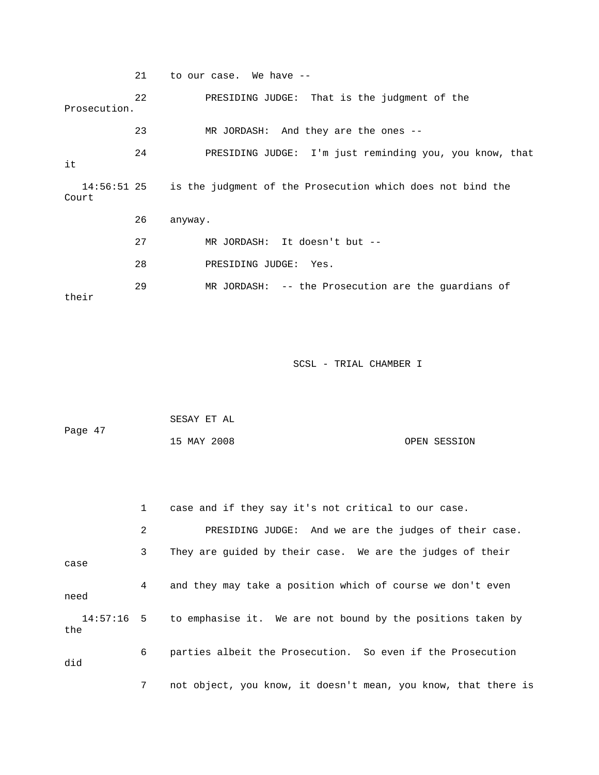21 to our case. We have -- 22 PRESIDING JUDGE: That is the judgment of the Prosecution. 23 MR JORDASH: And they are the ones -- 24 PRESIDING JUDGE: I'm just reminding you, you know, that it 14:56:51 25 is the judgment of the Prosecution which does not bind the Court 26 anyway. 27 MR JORDASH: It doesn't but -- 28 PRESIDING JUDGE: Yes. 29 MR JORDASH: -- the Prosecution are the guardians of their

| Page 47 | SESAY ET AL |              |
|---------|-------------|--------------|
|         | 15 MAY 2008 | OPEN SESSION |

|      | $\mathbf{1}$   | case and if they say it's not critical to our case.                    |
|------|----------------|------------------------------------------------------------------------|
|      | $\overline{2}$ | PRESIDING JUDGE: And we are the judges of their case.                  |
| case | $\mathbf{3}$   | They are guided by their case. We are the judges of their              |
| need | 4              | and they may take a position which of course we don't even             |
| the  |                | 14:57:16 5 to emphasise it. We are not bound by the positions taken by |
| did  | 6              | parties albeit the Prosecution. So even if the Prosecution             |
|      | 7              | not object, you know, it doesn't mean, you know, that there is         |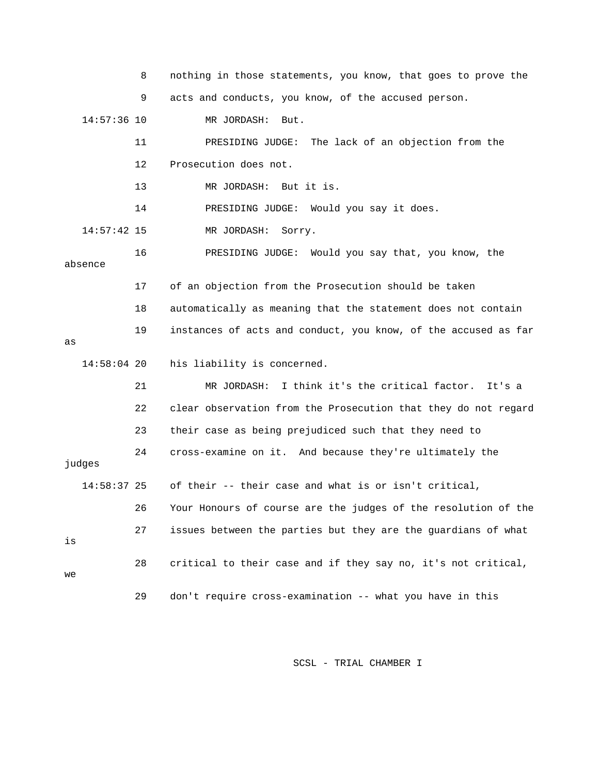|               | 8  | nothing in those statements, you know, that goes to prove the  |
|---------------|----|----------------------------------------------------------------|
|               | 9  | acts and conducts, you know, of the accused person.            |
| $14:57:36$ 10 |    | MR JORDASH:<br>But.                                            |
|               | 11 | PRESIDING JUDGE:<br>The lack of an objection from the          |
|               | 12 | Prosecution does not.                                          |
|               | 13 | MR JORDASH: But it is.                                         |
|               | 14 | PRESIDING JUDGE: Would you say it does.                        |
| $14:57:42$ 15 |    | MR JORDASH:<br>Sorry.                                          |
| absence       | 16 | PRESIDING JUDGE: Would you say that, you know, the             |
|               | 17 | of an objection from the Prosecution should be taken           |
|               | 18 | automatically as meaning that the statement does not contain   |
| as            | 19 | instances of acts and conduct, you know, of the accused as far |
| $14:58:04$ 20 |    | his liability is concerned.                                    |
|               | 21 | I think it's the critical factor.<br>MR JORDASH:<br>It's a     |
|               | 22 | clear observation from the Prosecution that they do not regard |
|               | 23 | their case as being prejudiced such that they need to          |
| judges        | 24 | cross-examine on it. And because they're ultimately the        |
| 14:58:37 25   |    | of their -- their case and what is or isn't critical,          |
|               | 26 | Your Honours of course are the judges of the resolution of the |
| is            | 27 | issues between the parties but they are the quardians of what  |
| we            | 28 | critical to their case and if they say no, it's not critical,  |
|               | 29 | don't require cross-examination -- what you have in this       |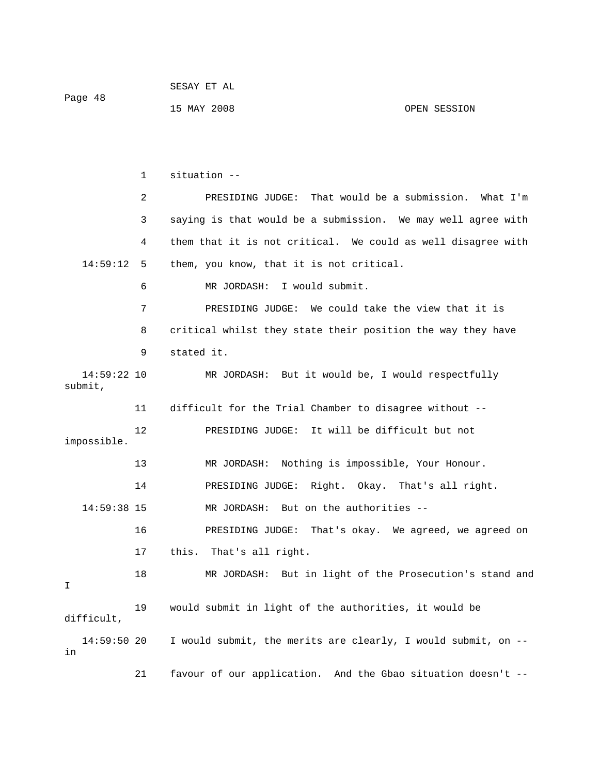1 situation -- 2 PRESIDING JUDGE: That would be a submission. What I'm 3 saying is that would be a submission. We may well agree with 4 them that it is not critical. We could as well disagree with 14:59:12 5 them, you know, that it is not critical. 6 MR JORDASH: I would submit. 7 PRESIDING JUDGE: We could take the view that it is 8 critical whilst they state their position the way they have 9 stated it. 14:59:22 10 MR JORDASH: But it would be, I would respectfully submit, 11 difficult for the Trial Chamber to disagree without -- 12 PRESIDING JUDGE: It will be difficult but not impossible. 13 MR JORDASH: Nothing is impossible, Your Honour. 14 PRESIDING JUDGE: Right. Okay. That's all right. 14:59:38 15 MR JORDASH: But on the authorities -- 16 PRESIDING JUDGE: That's okay. We agreed, we agreed on 17 this. That's all right. 18 MR JORDASH: But in light of the Prosecution's stand and I 19 would submit in light of the authorities, it would be difficult, 14:59:50 20 I would submit, the merits are clearly, I would submit, on - in

21 favour of our application. And the Gbao situation doesn't --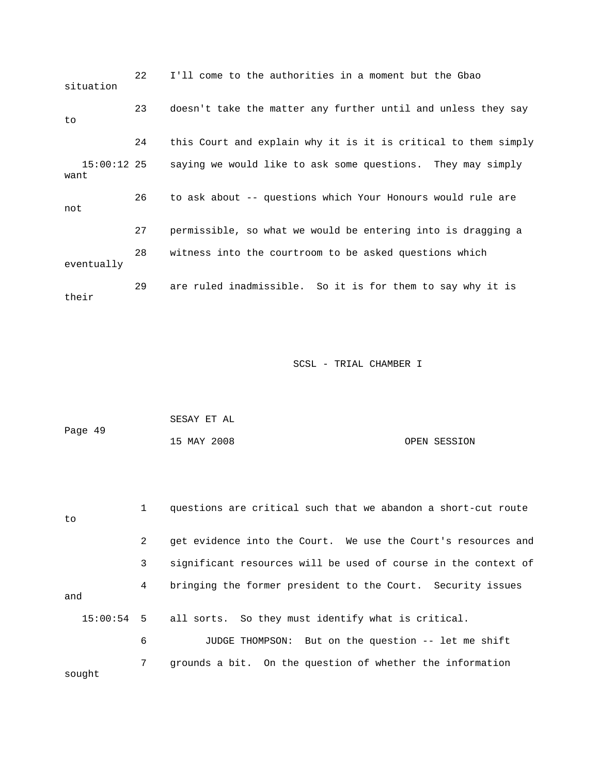22 I'll come to the authorities in a moment but the Gbao situation 23 doesn't take the matter any further until and unless they say to 24 this Court and explain why it is it is critical to them simply 15:00:12 25 saying we would like to ask some questions. They may simply want 26 to ask about -- questions which Your Honours would rule are not 27 permissible, so what we would be entering into is dragging a 28 witness into the courtroom to be asked questions which eventually 29 are ruled inadmissible. So it is for them to say why it is their

|         | SESAY ET AL |              |
|---------|-------------|--------------|
| Page 49 |             |              |
|         | 15 MAY 2008 | OPEN SESSION |

| to     | $\mathbf{1}$ | questions are critical such that we abandon a short-cut route  |
|--------|--------------|----------------------------------------------------------------|
|        | 2            | get evidence into the Court. We use the Court's resources and  |
|        | 3            | significant resources will be used of course in the context of |
| and    | 4            | bringing the former president to the Court. Security issues    |
|        |              | 15:00:54 5 all sorts. So they must identify what is critical.  |
|        | 6            | JUDGE THOMPSON: But on the question -- let me shift            |
| sought | 7            | grounds a bit. On the question of whether the information      |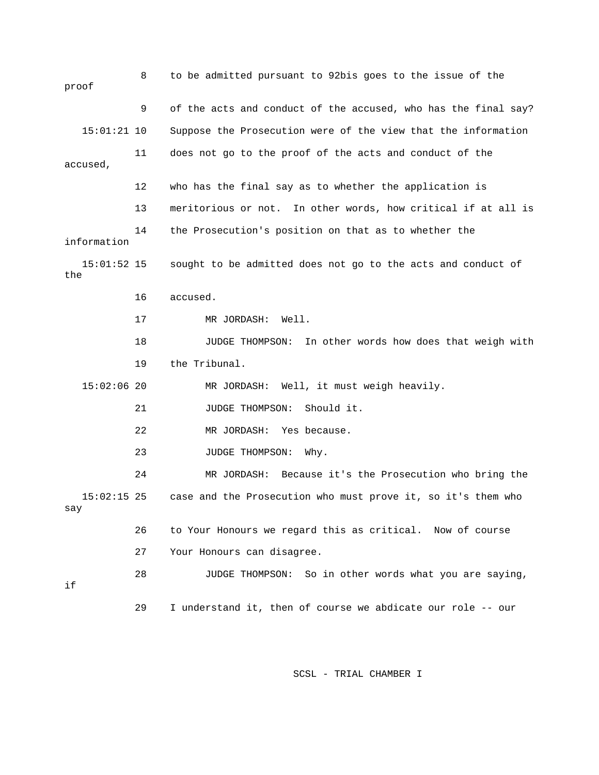| proof                | 8  | to be admitted pursuant to 92bis goes to the issue of the        |
|----------------------|----|------------------------------------------------------------------|
|                      | 9  | of the acts and conduct of the accused, who has the final say?   |
| $15:01:21$ 10        |    | Suppose the Prosecution were of the view that the information    |
| accused,             | 11 | does not go to the proof of the acts and conduct of the          |
|                      | 12 | who has the final say as to whether the application is           |
|                      | 13 | meritorious or not.<br>In other words, how critical if at all is |
| information          | 14 | the Prosecution's position on that as to whether the             |
| $15:01:52$ 15<br>the |    | sought to be admitted does not go to the acts and conduct of     |
|                      | 16 | accused.                                                         |
|                      | 17 | MR JORDASH:<br>Well.                                             |
|                      | 18 | In other words how does that weigh with<br>JUDGE THOMPSON:       |
|                      | 19 | the Tribunal.                                                    |
| $15:02:06$ 20        |    | Well, it must weigh heavily.<br>MR JORDASH:                      |
|                      | 21 | JUDGE THOMPSON:<br>Should it.                                    |
|                      | 22 | MR JORDASH:<br>Yes because.                                      |
|                      | 23 | JUDGE THOMPSON:<br>Why.                                          |
|                      | 24 | Because it's the Prosecution who bring the<br>MR JORDASH:        |
| $15:02:15$ 25<br>say |    | case and the Prosecution who must prove it, so it's them who     |
|                      | 26 | to Your Honours we regard this as critical. Now of course        |
|                      | 27 | Your Honours can disagree.                                       |
| if                   | 28 | JUDGE THOMPSON: So in other words what you are saying,           |
|                      | 29 | I understand it, then of course we abdicate our role -- our      |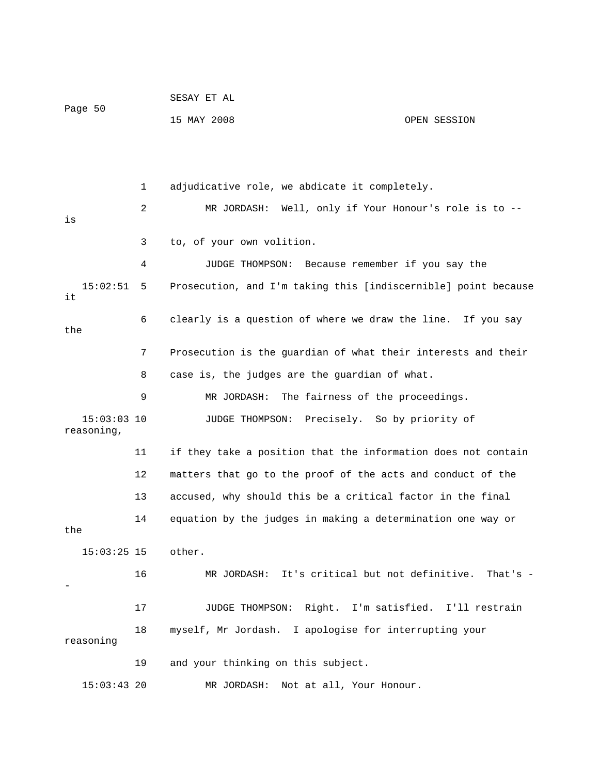| Page 50                     |    | SESAY ET AL                                                    |              |
|-----------------------------|----|----------------------------------------------------------------|--------------|
|                             |    | 15 MAY 2008                                                    | OPEN SESSION |
|                             |    |                                                                |              |
|                             |    |                                                                |              |
|                             | 1  | adjudicative role, we abdicate it completely.                  |              |
| is                          | 2  | Well, only if Your Honour's role is to --<br>MR JORDASH:       |              |
|                             | 3  | to, of your own volition.                                      |              |
|                             | 4  | JUDGE THOMPSON:<br>Because remember if you say the             |              |
| 15:02:51<br>it              | 5  | Prosecution, and I'm taking this [indiscernible] point because |              |
| the                         | 6  | clearly is a question of where we draw the line. If you say    |              |
|                             | 7  | Prosecution is the guardian of what their interests and their  |              |
|                             | 8  | case is, the judges are the guardian of what.                  |              |
|                             | 9  | The fairness of the proceedings.<br>MR JORDASH:                |              |
| $15:03:03$ 10<br>reasoning, |    | Precisely. So by priority of<br>JUDGE THOMPSON:                |              |
|                             | 11 | if they take a position that the information does not contain  |              |
|                             | 12 | matters that go to the proof of the acts and conduct of the    |              |
|                             | 13 | accused, why should this be a critical factor in the final     |              |
| the                         | 14 | equation by the judges in making a determination one way or    |              |
| 15:03:25 15 other.          |    |                                                                |              |
|                             | 16 | MR JORDASH: It's critical but not definitive. That's -         |              |
|                             | 17 | JUDGE THOMPSON: Right. I'm satisfied. I'll restrain            |              |
| reasoning                   | 18 | myself, Mr Jordash. I apologise for interrupting your          |              |
|                             | 19 | and your thinking on this subject.                             |              |
| $15:03:43$ 20               |    | MR JORDASH:<br>Not at all, Your Honour.                        |              |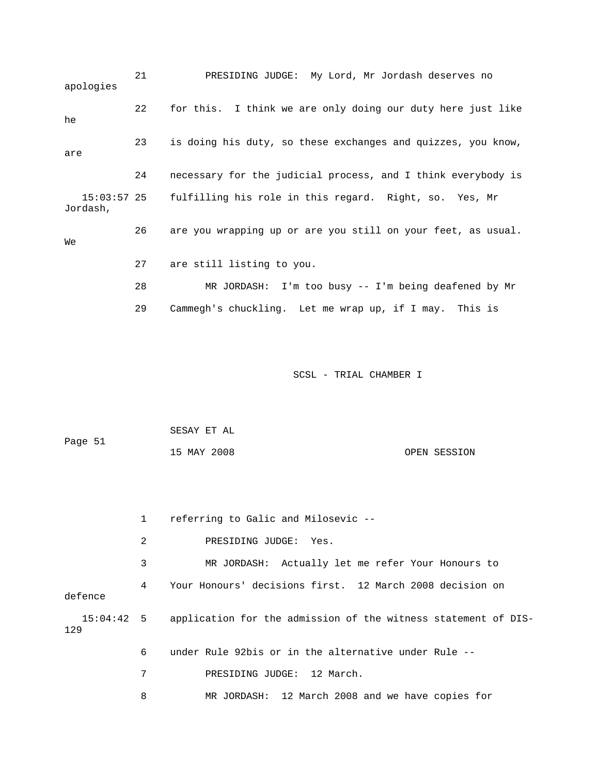21 PRESIDING JUDGE: My Lord, Mr Jordash deserves no apologies 22 for this. I think we are only doing our duty here just like he 23 is doing his duty, so these exchanges and quizzes, you know, are 24 necessary for the judicial process, and I think everybody is 15:03:57 25 fulfilling his role in this regard. Right, so. Yes, Mr Jordash, 26 are you wrapping up or are you still on your feet, as usual. We 27 are still listing to you. 28 MR JORDASH: I'm too busy -- I'm being deafened by Mr 29 Cammegh's chuckling. Let me wrap up, if I may. This is

|         | SESAY ET AL |              |
|---------|-------------|--------------|
| Page 51 |             |              |
|         | 15 MAY 2008 | OPEN SESSION |

|         |   | referring to Galic and Milosevic --                                       |
|---------|---|---------------------------------------------------------------------------|
|         | 2 | PRESIDING JUDGE: Yes.                                                     |
|         | 3 | MR JORDASH: Actually let me refer Your Honours to                         |
| defence | 4 | Your Honours' decisions first. 12 March 2008 decision on                  |
| 129     |   | 15:04:42 5 application for the admission of the witness statement of DIS- |
|         | 6 | under Rule 92bis or in the alternative under Rule --                      |
|         | 7 | PRESIDING JUDGE: 12 March.                                                |
|         | 8 | MR JORDASH: 12 March 2008 and we have copies for                          |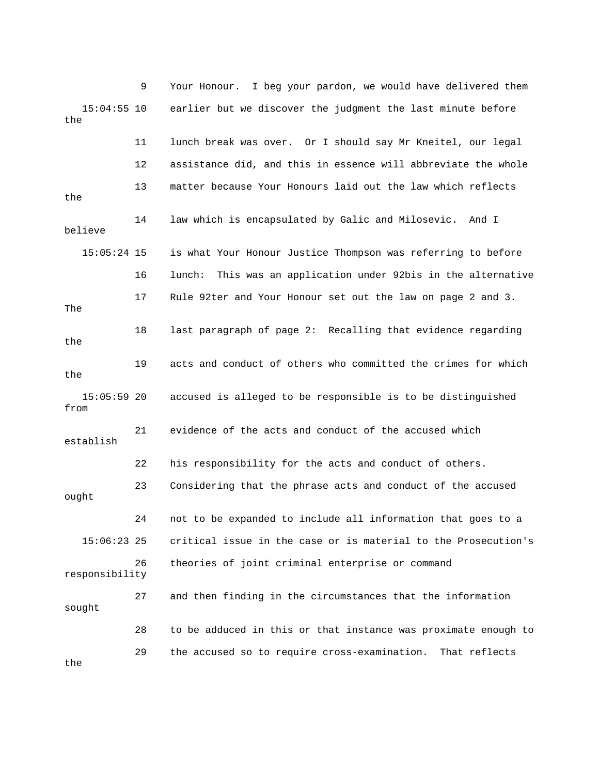9 Your Honour. I beg your pardon, we would have delivered them 15:04:55 10 earlier but we discover the judgment the last minute before the 11 lunch break was over. Or I should say Mr Kneitel, our legal 12 assistance did, and this in essence will abbreviate the whole 13 matter because Your Honours laid out the law which reflects the 14 law which is encapsulated by Galic and Milosevic. And I believe 15:05:24 15 is what Your Honour Justice Thompson was referring to before 16 lunch: This was an application under 92bis in the alternative 17 Rule 92ter and Your Honour set out the law on page 2 and 3. The 18 last paragraph of page 2: Recalling that evidence regarding the 19 acts and conduct of others who committed the crimes for which the 15:05:59 20 accused is alleged to be responsible is to be distinguished from 21 evidence of the acts and conduct of the accused which establish 22 his responsibility for the acts and conduct of others. 23 Considering that the phrase acts and conduct of the accused ought 24 not to be expanded to include all information that goes to a 15:06:23 25 critical issue in the case or is material to the Prosecution's 26 theories of joint criminal enterprise or command responsibility 27 and then finding in the circumstances that the information sought 28 to be adduced in this or that instance was proximate enough to 29 the accused so to require cross-examination. That reflects the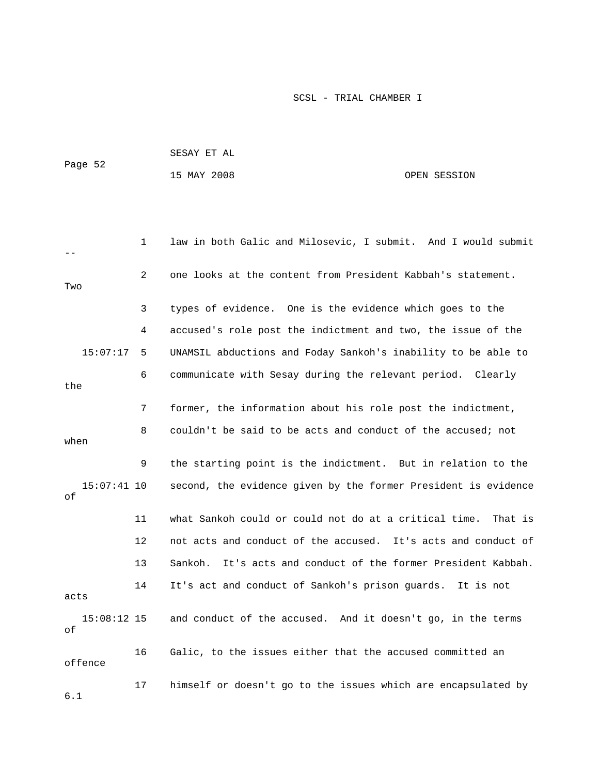|                     |              | SESAY ET AL                                                      |              |
|---------------------|--------------|------------------------------------------------------------------|--------------|
| Page 52             |              | 15 MAY 2008                                                      | OPEN SESSION |
|                     |              |                                                                  |              |
|                     |              |                                                                  |              |
|                     | $\mathbf{1}$ | law in both Galic and Milosevic, I submit. And I would submit    |              |
| Two                 | 2            | one looks at the content from President Kabbah's statement.      |              |
|                     | 3            | types of evidence. One is the evidence which goes to the         |              |
|                     | 4            | accused's role post the indictment and two, the issue of the     |              |
| 15:07:17            | 5            | UNAMSIL abductions and Foday Sankoh's inability to be able to    |              |
| the                 | 6            | communicate with Sesay during the relevant period. Clearly       |              |
|                     | 7            | former, the information about his role post the indictment,      |              |
| when                | 8            | couldn't be said to be acts and conduct of the accused; not      |              |
|                     | 9            | the starting point is the indictment. But in relation to the     |              |
| $15:07:41$ 10<br>оf |              | second, the evidence given by the former President is evidence   |              |
|                     | 11           | what Sankoh could or could not do at a critical time.            | That is      |
|                     | 12           | not acts and conduct of the accused. It's acts and conduct of    |              |
|                     | 13           | It's acts and conduct of the former President Kabbah.<br>Sankoh. |              |
| acts                | 14           | It's act and conduct of Sankoh's prison guards. It is not        |              |
| $15:08:12$ 15<br>оf |              | and conduct of the accused. And it doesn't go, in the terms      |              |
| offence             | 16           | Galic, to the issues either that the accused committed an        |              |
| 6.1                 | 17           | himself or doesn't go to the issues which are encapsulated by    |              |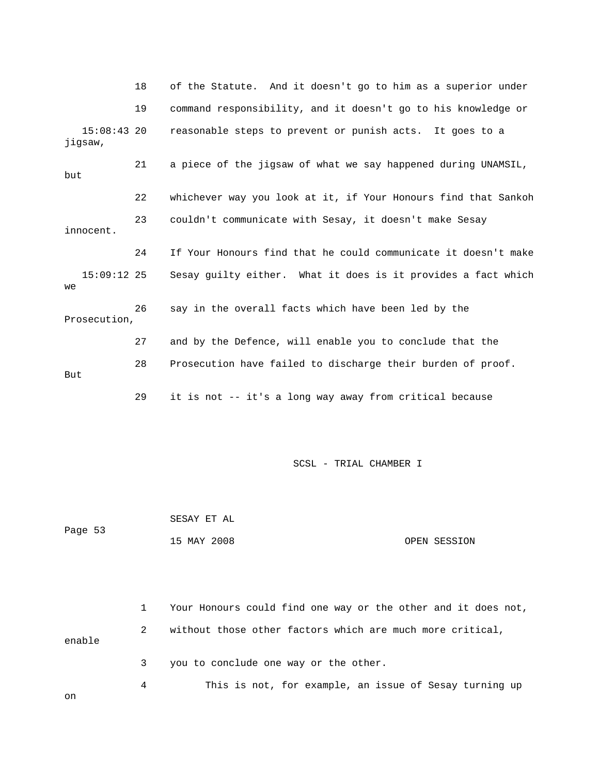|                          | 18 | of the Statute. And it doesn't go to him as a superior under   |
|--------------------------|----|----------------------------------------------------------------|
|                          | 19 | command responsibility, and it doesn't go to his knowledge or  |
| $15:08:43$ 20<br>jigsaw, |    | reasonable steps to prevent or punish acts. It goes to a       |
| but                      | 21 | a piece of the jigsaw of what we say happened during UNAMSIL,  |
|                          | 22 | whichever way you look at it, if Your Honours find that Sankoh |
| innocent.                | 23 | couldn't communicate with Sesay, it doesn't make Sesay         |
|                          | 24 | If Your Honours find that he could communicate it doesn't make |
| $15:09:12$ 25<br>we      |    | Sesay guilty either. What it does is it provides a fact which  |
| Prosecution,             | 26 | say in the overall facts which have been led by the            |
|                          | 27 | and by the Defence, will enable you to conclude that the       |
| But                      | 28 | Prosecution have failed to discharge their burden of proof.    |
|                          | 29 | it is not -- it's a long way away from critical because        |

Page 53 15 MAY 2008 OPEN SESSION 1 Your Honours could find one way or the other and it does not, 2 without those other factors which are much more critical, enable 3 you to conclude one way or the other. 4 This is not, for example, an issue of Sesay turning up

SESAY ET AL

on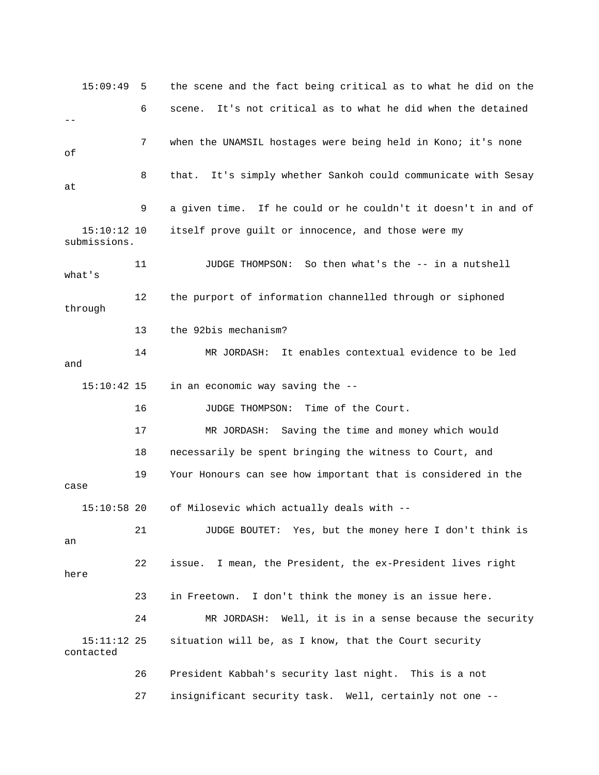15:09:49 5 the scene and the fact being critical as to what he did on the 6 scene. It's not critical as to what he did when the detained  $-$  7 when the UNAMSIL hostages were being held in Kono; it's none of 8 that. It's simply whether Sankoh could communicate with Sesay at 9 a given time. If he could or he couldn't it doesn't in and of 15:10:12 10 itself prove guilt or innocence, and those were my submissions. 11 JUDGE THOMPSON: So then what's the -- in a nutshell what's 12 the purport of information channelled through or siphoned through 13 the 92bis mechanism? 14 MR JORDASH: It enables contextual evidence to be led and 15:10:42 15 in an economic way saving the -- 16 JUDGE THOMPSON: Time of the Court. 17 MR JORDASH: Saving the time and money which would 18 necessarily be spent bringing the witness to Court, and 19 Your Honours can see how important that is considered in the case 15:10:58 20 of Milosevic which actually deals with -- 21 JUDGE BOUTET: Yes, but the money here I don't think is an 22 issue. I mean, the President, the ex-President lives right here 23 in Freetown. I don't think the money is an issue here. 24 MR JORDASH: Well, it is in a sense because the security 15:11:12 25 situation will be, as I know, that the Court security contacted 26 President Kabbah's security last night. This is a not 27 insignificant security task. Well, certainly not one --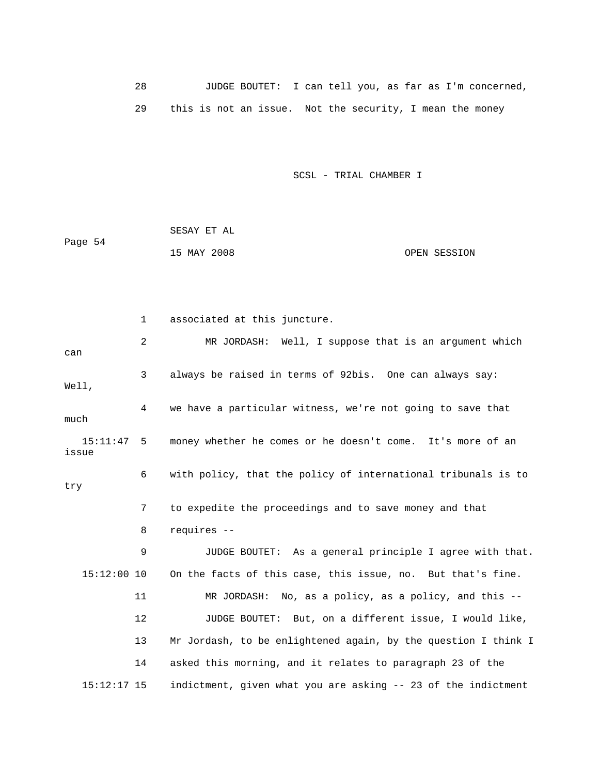28 JUDGE BOUTET: I can tell you, as far as I'm concerned, 29 this is not an issue. Not the security, I mean the money

SCSL - TRIAL CHAMBER I

 SESAY ET AL Page 54 15 MAY 2008 OPEN SESSION

 1 associated at this juncture. 2 MR JORDASH: Well, I suppose that is an argument which can 3 always be raised in terms of 92bis. One can always say: Well, 4 we have a particular witness, we're not going to save that much 15:11:47 5 money whether he comes or he doesn't come. It's more of an issue 6 with policy, that the policy of international tribunals is to try 7 to expedite the proceedings and to save money and that 8 requires -- 9 JUDGE BOUTET: As a general principle I agree with that. 15:12:00 10 On the facts of this case, this issue, no. But that's fine. 11 MR JORDASH: No, as a policy, as a policy, and this -- 12 JUDGE BOUTET: But, on a different issue, I would like, 13 Mr Jordash, to be enlightened again, by the question I think I 14 asked this morning, and it relates to paragraph 23 of the 15:12:17 15 indictment, given what you are asking -- 23 of the indictment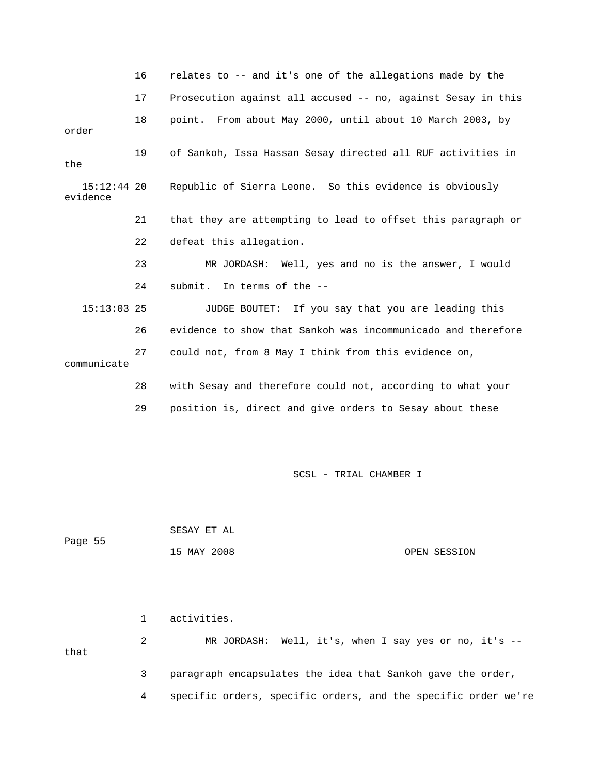|                           | 16 | relates to -- and it's one of the allegations made by the    |  |  |
|---------------------------|----|--------------------------------------------------------------|--|--|
|                           | 17 | Prosecution against all accused -- no, against Sesay in this |  |  |
| 18<br>order               |    | point. From about May 2000, until about 10 March 2003, by    |  |  |
| 19<br>the                 |    | of Sankoh, Issa Hassan Sesay directed all RUF activities in  |  |  |
| $15:12:44$ 20<br>evidence |    | Republic of Sierra Leone. So this evidence is obviously      |  |  |
|                           | 21 | that they are attempting to lead to offset this paragraph or |  |  |
|                           | 22 | defeat this allegation.                                      |  |  |
|                           | 23 | MR JORDASH: Well, yes and no is the answer, I would          |  |  |
|                           | 24 | submit. In terms of the --                                   |  |  |
| $15:13:03$ 25             |    | JUDGE BOUTET: If you say that you are leading this           |  |  |
|                           | 26 | evidence to show that Sankoh was incommunicado and therefore |  |  |
| communicate               | 27 | could not, from 8 May I think from this evidence on,         |  |  |
|                           | 28 | with Sesay and therefore could not, according to what your   |  |  |
|                           | 29 | position is, direct and give orders to Sesay about these     |  |  |

 SESAY ET AL Page 55 15 MAY 2008 OPEN SESSION

 1 activities. 2 MR JORDASH: Well, it's, when I say yes or no, it's - that 3 paragraph encapsulates the idea that Sankoh gave the order,

4 specific orders, specific orders, and the specific order we're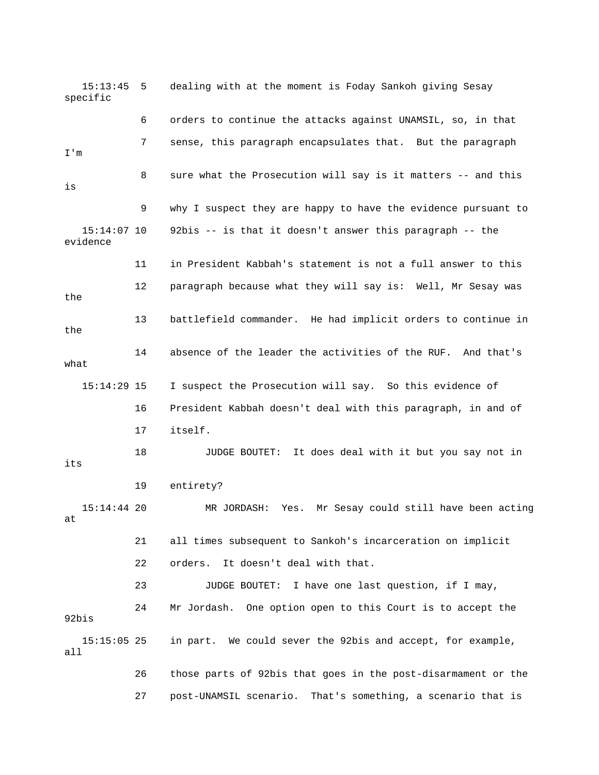15:13:45 5 dealing with at the moment is Foday Sankoh giving Sesay specific 6 orders to continue the attacks against UNAMSIL, so, in that 7 sense, this paragraph encapsulates that. But the paragraph I'm 8 sure what the Prosecution will say is it matters -- and this is 9 why I suspect they are happy to have the evidence pursuant to 15:14:07 10 92bis -- is that it doesn't answer this paragraph -- the evidence 11 in President Kabbah's statement is not a full answer to this 12 paragraph because what they will say is: Well, Mr Sesay was the 13 battlefield commander. He had implicit orders to continue in the 14 absence of the leader the activities of the RUF. And that's what 15:14:29 15 I suspect the Prosecution will say. So this evidence of 16 President Kabbah doesn't deal with this paragraph, in and of 17 itself. 18 JUDGE BOUTET: It does deal with it but you say not in its 19 entirety? 15:14:44 20 MR JORDASH: Yes. Mr Sesay could still have been acting at 21 all times subsequent to Sankoh's incarceration on implicit 22 orders. It doesn't deal with that. 23 JUDGE BOUTET: I have one last question, if I may, 24 Mr Jordash. One option open to this Court is to accept the 92bis 15:15:05 25 in part. We could sever the 92bis and accept, for example, all 26 those parts of 92bis that goes in the post-disarmament or the 27 post-UNAMSIL scenario. That's something, a scenario that is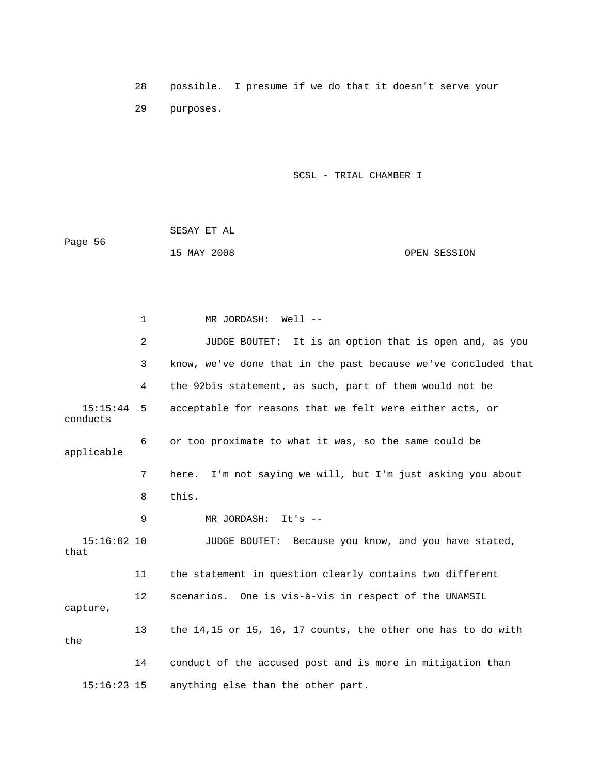28 possible. I presume if we do that it doesn't serve your 29 purposes.

SCSL - TRIAL CHAMBER I

 SESAY ET AL Page 56 15 MAY 2008 OPEN SESSION

 1 MR JORDASH: Well -- 2 JUDGE BOUTET: It is an option that is open and, as you 3 know, we've done that in the past because we've concluded that 4 the 92bis statement, as such, part of them would not be 15:15:44 5 acceptable for reasons that we felt were either acts, or conducts 6 or too proximate to what it was, so the same could be applicable 7 here. I'm not saying we will, but I'm just asking you about 8 this. 9 MR JORDASH: It's -- 15:16:02 10 JUDGE BOUTET: Because you know, and you have stated, that 11 the statement in question clearly contains two different 12 scenarios. One is vis-à-vis in respect of the UNAMSIL capture, 13 the 14,15 or 15, 16, 17 counts, the other one has to do with the 14 conduct of the accused post and is more in mitigation than 15:16:23 15 anything else than the other part.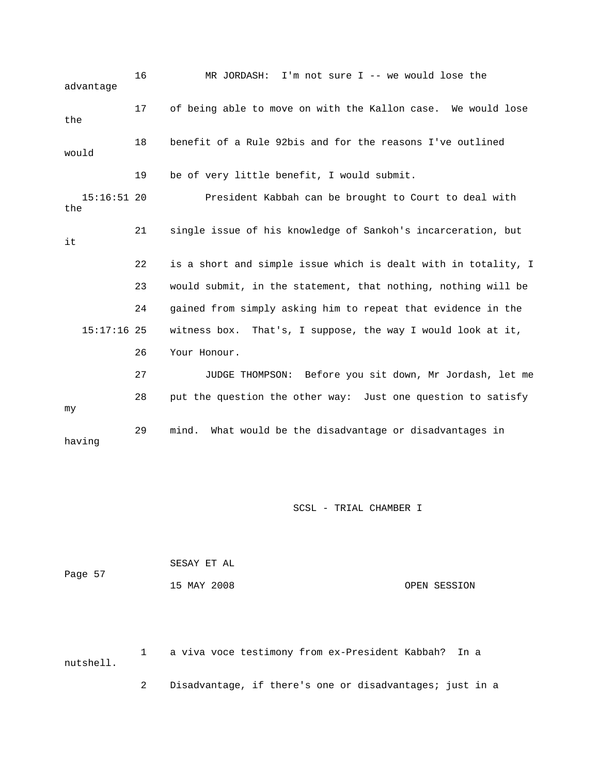16 MR JORDASH: I'm not sure I -- we would lose the advantage 17 of being able to move on with the Kallon case. We would lose the 18 benefit of a Rule 92bis and for the reasons I've outlined would 19 be of very little benefit, I would submit. 15:16:51 20 President Kabbah can be brought to Court to deal with the 21 single issue of his knowledge of Sankoh's incarceration, but it 22 is a short and simple issue which is dealt with in totality, I 23 would submit, in the statement, that nothing, nothing will be 24 gained from simply asking him to repeat that evidence in the 15:17:16 25 witness box. That's, I suppose, the way I would look at it, 26 Your Honour. 27 JUDGE THOMPSON: Before you sit down, Mr Jordash, let me 28 put the question the other way: Just one question to satisfy my 29 mind. What would be the disadvantage or disadvantages in having

SCSL - TRIAL CHAMBER I

|         | SESAY ET AL |              |
|---------|-------------|--------------|
| Page 57 |             |              |
|         | 15 MAY 2008 | OPEN SESSION |

 1 a viva voce testimony from ex-President Kabbah? In a nutshell.

2 Disadvantage, if there's one or disadvantages; just in a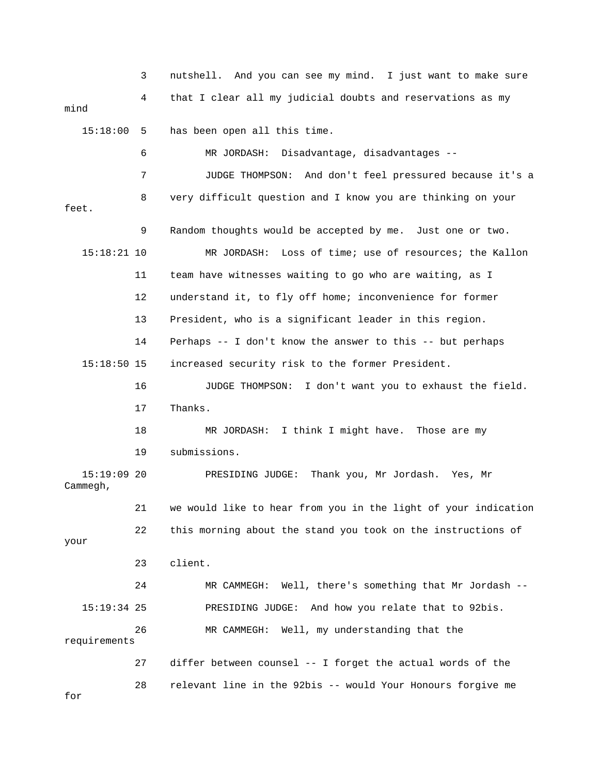3 nutshell. And you can see my mind. I just want to make sure 4 that I clear all my judicial doubts and reservations as my mind 15:18:00 5 has been open all this time. 6 MR JORDASH: Disadvantage, disadvantages -- 7 JUDGE THOMPSON: And don't feel pressured because it's a 8 very difficult question and I know you are thinking on your feet. 9 Random thoughts would be accepted by me. Just one or two. 15:18:21 10 MR JORDASH: Loss of time; use of resources; the Kallon 11 team have witnesses waiting to go who are waiting, as I 12 understand it, to fly off home; inconvenience for former 13 President, who is a significant leader in this region. 14 Perhaps -- I don't know the answer to this -- but perhaps 15:18:50 15 increased security risk to the former President. 16 JUDGE THOMPSON: I don't want you to exhaust the field. 17 Thanks. 18 MR JORDASH: I think I might have. Those are my 19 submissions. 15:19:09 20 PRESIDING JUDGE: Thank you, Mr Jordash. Yes, Mr Cammegh, 21 we would like to hear from you in the light of your indication 22 this morning about the stand you took on the instructions of your 23 client. 24 MR CAMMEGH: Well, there's something that Mr Jordash -- 15:19:34 25 PRESIDING JUDGE: And how you relate that to 92bis. 26 MR CAMMEGH: Well, my understanding that the requirements 27 differ between counsel -- I forget the actual words of the 28 relevant line in the 92bis -- would Your Honours forgive me for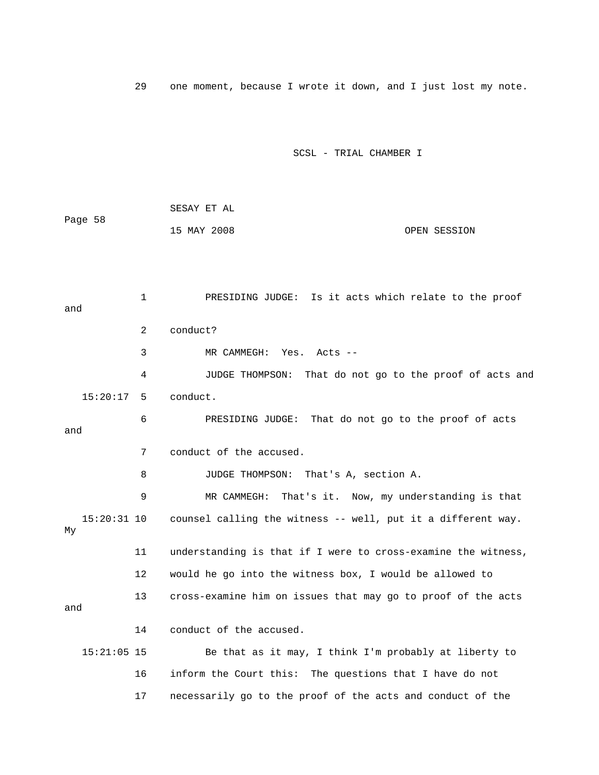29 one moment, because I wrote it down, and I just lost my note.

### SCSL - TRIAL CHAMBER I

|         | SESAY ET AL |              |
|---------|-------------|--------------|
| Page 58 |             |              |
|         | 15 MAY 2008 | OPEN SESSION |

 1 PRESIDING JUDGE: Is it acts which relate to the proof and 2 conduct? 3 MR CAMMEGH: Yes. Acts -- 4 JUDGE THOMPSON: That do not go to the proof of acts and 15:20:17 5 conduct. 6 PRESIDING JUDGE: That do not go to the proof of acts and 7 conduct of the accused. 8 JUDGE THOMPSON: That's A, section A. 9 MR CAMMEGH: That's it. Now, my understanding is that 15:20:31 10 counsel calling the witness -- well, put it a different way. My 11 understanding is that if I were to cross-examine the witness, 12 would he go into the witness box, I would be allowed to 13 cross-examine him on issues that may go to proof of the acts and 14 conduct of the accused. 15:21:05 15 Be that as it may, I think I'm probably at liberty to 16 inform the Court this: The questions that I have do not 17 necessarily go to the proof of the acts and conduct of the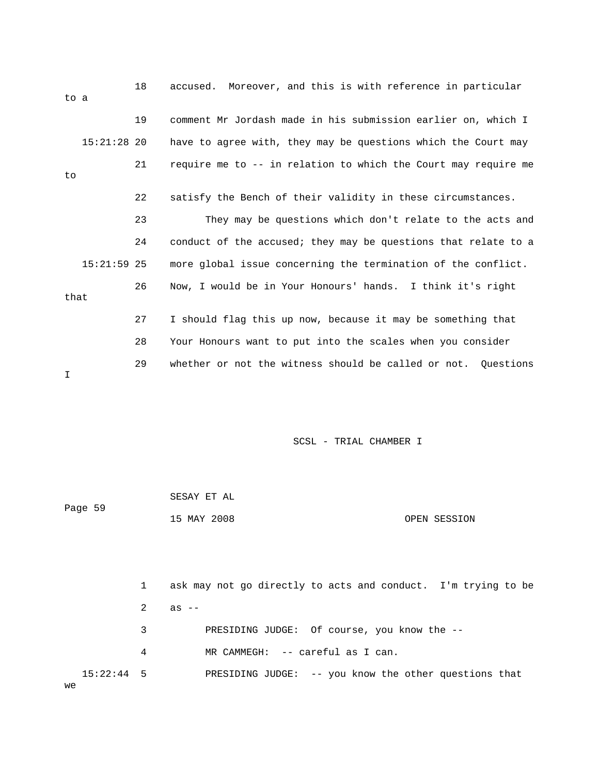| to a       |               | 18 | Moreover, and this is with reference in particular<br>accused. |  |  |  |
|------------|---------------|----|----------------------------------------------------------------|--|--|--|
|            |               | 19 | comment Mr Jordash made in his submission earlier on, which I  |  |  |  |
|            | $15:21:28$ 20 |    | have to agree with, they may be questions which the Court may  |  |  |  |
| to         |               | 21 | require me to -- in relation to which the Court may require me |  |  |  |
|            |               | 22 | satisfy the Bench of their validity in these circumstances.    |  |  |  |
|            |               | 23 | They may be questions which don't relate to the acts and       |  |  |  |
|            |               | 24 | conduct of the accused; they may be questions that relate to a |  |  |  |
|            | $15:21:59$ 25 |    | more global issue concerning the termination of the conflict.  |  |  |  |
| 26<br>that |               |    | Now, I would be in Your Honours' hands. I think it's right     |  |  |  |
|            |               | 27 | I should flag this up now, because it may be something that    |  |  |  |
|            |               | 28 | Your Honours want to put into the scales when you consider     |  |  |  |
| I          |               | 29 | whether or not the witness should be called or not. Ouestions  |  |  |  |

|    | Page 59      |   | SESAY ET AL                                                   |  |  |
|----|--------------|---|---------------------------------------------------------------|--|--|
|    |              |   | 15 MAY 2008<br>OPEN SESSION                                   |  |  |
|    |              |   |                                                               |  |  |
|    |              |   |                                                               |  |  |
|    |              | 1 | ask may not go directly to acts and conduct. I'm trying to be |  |  |
|    |              | 2 | $as$ $--$                                                     |  |  |
|    |              | 3 | PRESIDING JUDGE: Of course, you know the --                   |  |  |
|    |              | 4 | MR CAMMEGH: -- careful as I can.                              |  |  |
| we | $15:22:44$ 5 |   | PRESIDING JUDGE: -- you know the other questions that         |  |  |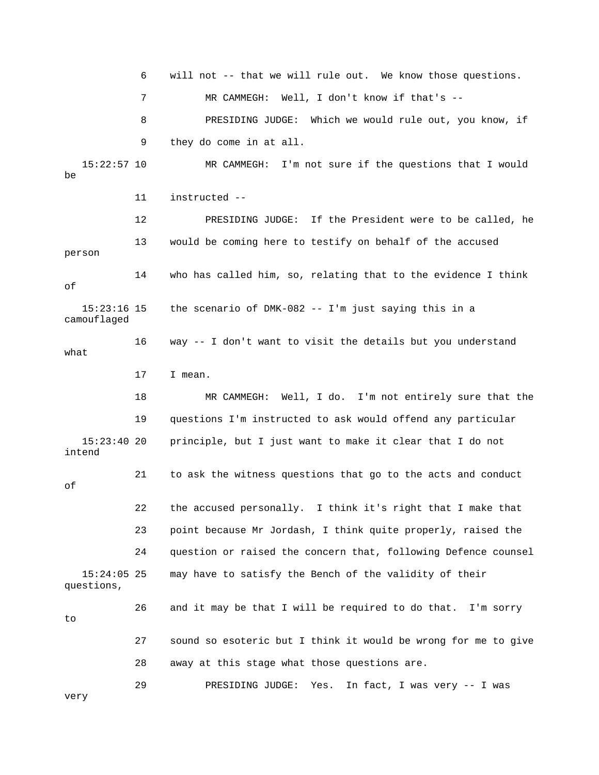6 will not -- that we will rule out. We know those questions. 7 MR CAMMEGH: Well, I don't know if that's -- 8 PRESIDING JUDGE: Which we would rule out, you know, if 9 they do come in at all. 15:22:57 10 MR CAMMEGH: I'm not sure if the questions that I would be 11 instructed -- 12 PRESIDING JUDGE: If the President were to be called, he 13 would be coming here to testify on behalf of the accused person 14 who has called him, so, relating that to the evidence I think of 15:23:16 15 the scenario of DMK-082 -- I'm just saying this in a camouflaged 16 way -- I don't want to visit the details but you understand what 17 I mean. 18 MR CAMMEGH: Well, I do. I'm not entirely sure that the 19 questions I'm instructed to ask would offend any particular 15:23:40 20 principle, but I just want to make it clear that I do not intend 21 to ask the witness questions that go to the acts and conduct of 22 the accused personally. I think it's right that I make that 23 point because Mr Jordash, I think quite properly, raised the 24 question or raised the concern that, following Defence counsel 15:24:05 25 may have to satisfy the Bench of the validity of their questions, 26 and it may be that I will be required to do that. I'm sorry  $t<sub>0</sub>$  27 sound so esoteric but I think it would be wrong for me to give 28 away at this stage what those questions are. 29 PRESIDING JUDGE: Yes. In fact, I was very -- I was very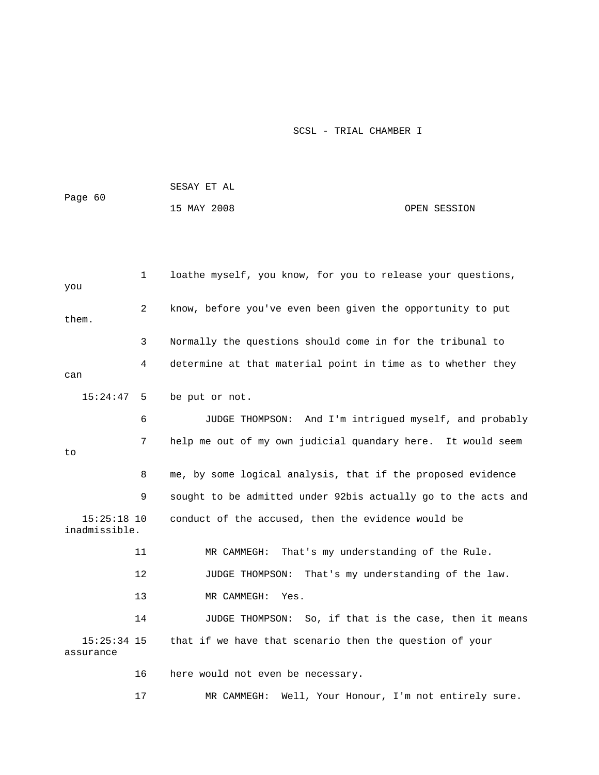|                                |              | SESAY ET AL                                                   |                                     |  |
|--------------------------------|--------------|---------------------------------------------------------------|-------------------------------------|--|
| Page 60                        |              | 15 MAY 2008                                                   | OPEN SESSION                        |  |
|                                |              |                                                               |                                     |  |
|                                |              |                                                               |                                     |  |
| you                            | $\mathbf{1}$ | loathe myself, you know, for you to release your questions,   |                                     |  |
| them.                          | 2            | know, before you've even been given the opportunity to put    |                                     |  |
|                                | 3            | Normally the questions should come in for the tribunal to     |                                     |  |
| can                            | 4            | determine at that material point in time as to whether they   |                                     |  |
| 15:24:47                       | 5            | be put or not.                                                |                                     |  |
|                                | 6            | JUDGE THOMPSON: And I'm intrigued myself, and probably        |                                     |  |
| to                             | 7            | help me out of my own judicial quandary here. It would seem   |                                     |  |
|                                | 8            | me, by some logical analysis, that if the proposed evidence   |                                     |  |
|                                | 9            | sought to be admitted under 92bis actually go to the acts and |                                     |  |
| $15:25:18$ 10<br>inadmissible. |              | conduct of the accused, then the evidence would be            |                                     |  |
|                                | 11           | That's my understanding of the Rule.<br>MR CAMMEGH:           |                                     |  |
|                                | 12           | JUDGE THOMPSON:                                               | That's my understanding of the law. |  |
|                                | 13           | MR CAMMEGH:<br>Yes.                                           |                                     |  |
|                                | 14           | JUDGE THOMPSON: So, if that is the case, then it means        |                                     |  |
| $15:25:34$ 15<br>assurance     |              | that if we have that scenario then the question of your       |                                     |  |
|                                | 16           | here would not even be necessary.                             |                                     |  |
|                                | 17           | Well, Your Honour, I'm not entirely sure.<br>MR CAMMEGH:      |                                     |  |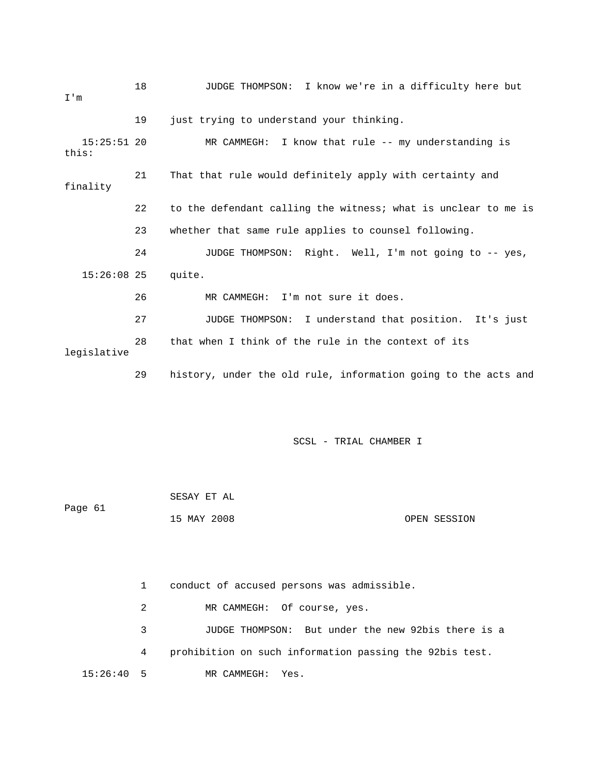| I'm                    | 18 | JUDGE THOMPSON: I know we're in a difficulty here but          |
|------------------------|----|----------------------------------------------------------------|
|                        | 19 | just trying to understand your thinking.                       |
| $15:25:51$ 20<br>this: |    | MR CAMMEGH: I know that rule $--$ my understanding is          |
| finality               | 21 | That that rule would definitely apply with certainty and       |
|                        | 22 | to the defendant calling the witness; what is unclear to me is |
|                        | 23 | whether that same rule applies to counsel following.           |
|                        | 24 | JUDGE THOMPSON: Right. Well, I'm not going to -- yes,          |
| $15:26:08$ 25          |    | quite.                                                         |
|                        | 26 | MR CAMMEGH: I'm not sure it does.                              |
|                        | 27 | JUDGE THOMPSON: I understand that position. It's just          |
| legislative            | 28 | that when I think of the rule in the context of its            |
|                        | 29 | history, under the old rule, information going to the acts and |

| Page 61 | SESAY ET AL |              |
|---------|-------------|--------------|
|         | 15 MAY 2008 | OPEN SESSION |

 1 conduct of accused persons was admissible. 2 MR CAMMEGH: Of course, yes. 3 JUDGE THOMPSON: But under the new 92bis there is a 4 prohibition on such information passing the 92bis test. 15:26:40 5 MR CAMMEGH: Yes.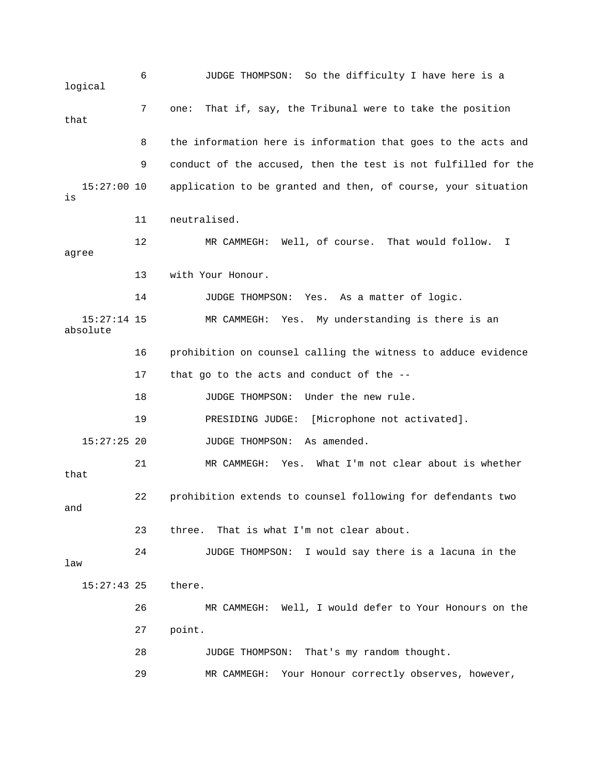6 JUDGE THOMPSON: So the difficulty I have here is a logical 7 one: That if, say, the Tribunal were to take the position that 8 the information here is information that goes to the acts and 9 conduct of the accused, then the test is not fulfilled for the 15:27:00 10 application to be granted and then, of course, your situation is 11 neutralised. 12 MR CAMMEGH: Well, of course. That would follow. I agree 13 with Your Honour. 14 JUDGE THOMPSON: Yes. As a matter of logic. 15:27:14 15 MR CAMMEGH: Yes. My understanding is there is an absolute 16 prohibition on counsel calling the witness to adduce evidence 17 that go to the acts and conduct of the -- 18 JUDGE THOMPSON: Under the new rule. 19 PRESIDING JUDGE: [Microphone not activated]. 15:27:25 20 JUDGE THOMPSON: As amended. 21 MR CAMMEGH: Yes. What I'm not clear about is whether that 22 prohibition extends to counsel following for defendants two and 23 three. That is what I'm not clear about. 24 JUDGE THOMPSON: I would say there is a lacuna in the law 15:27:43 25 there. 26 MR CAMMEGH: Well, I would defer to Your Honours on the 27 point. 28 JUDGE THOMPSON: That's my random thought. 29 MR CAMMEGH: Your Honour correctly observes, however,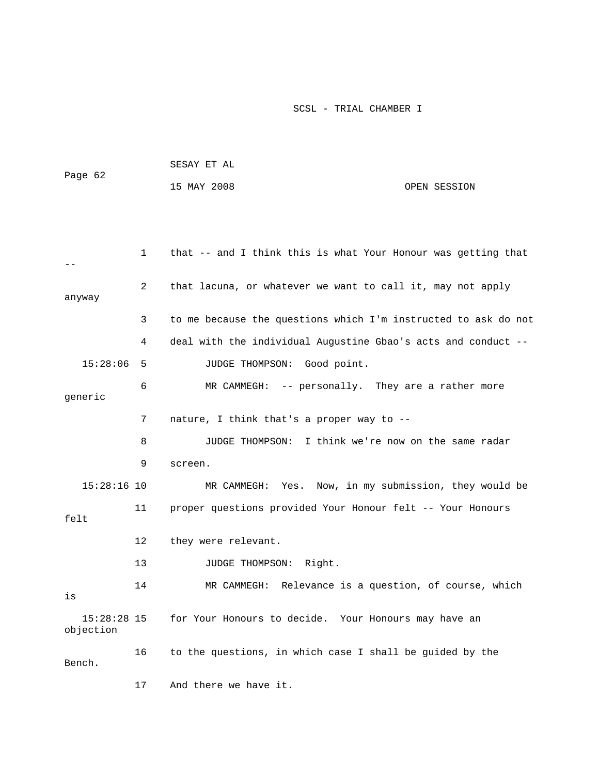|         | SESAY ET AL |  |              |
|---------|-------------|--|--------------|
| Page 62 |             |  |              |
|         | 15 MAY 2008 |  | OPEN SESSION |

|                            | 1  | that -- and I think this is what Your Honour was getting that  |
|----------------------------|----|----------------------------------------------------------------|
| anyway                     | 2  | that lacuna, or whatever we want to call it, may not apply     |
|                            | 3  | to me because the questions which I'm instructed to ask do not |
|                            | 4  | deal with the individual Augustine Gbao's acts and conduct --  |
| 15:28:06                   | 5  | JUDGE THOMPSON: Good point.                                    |
| qeneric                    | 6  | MR CAMMEGH: -- personally. They are a rather more              |
|                            | 7  | nature, I think that's a proper way to --                      |
|                            | 8  | I think we're now on the same radar<br>JUDGE THOMPSON:         |
|                            | 9  | screen.                                                        |
| $15:28:16$ 10              |    | Now, in my submission, they would be<br>MR CAMMEGH: Yes.       |
| felt                       | 11 | proper questions provided Your Honour felt -- Your Honours     |
|                            | 12 | they were relevant.                                            |
|                            | 13 | JUDGE THOMPSON:<br>Right.                                      |
| is                         | 14 | MR CAMMEGH: Relevance is a question, of course, which          |
| $15:28:28$ 15<br>objection |    | for Your Honours to decide. Your Honours may have an           |
| Bench.                     | 16 | to the questions, in which case I shall be guided by the       |
|                            | 17 | And there we have it.                                          |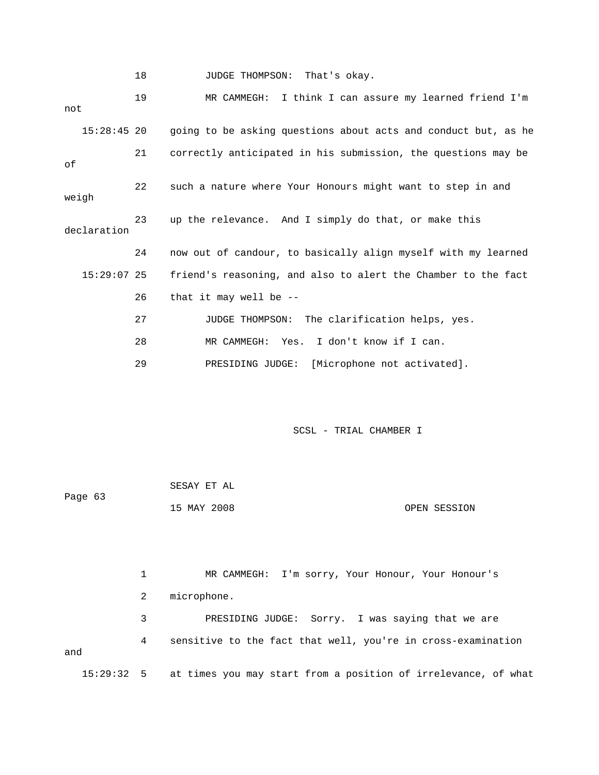18 JUDGE THOMPSON: That's okay.

 19 MR CAMMEGH: I think I can assure my learned friend I'm not 15:28:45 20 going to be asking questions about acts and conduct but, as he 21 correctly anticipated in his submission, the questions may be of 22 such a nature where Your Honours might want to step in and weigh 23 up the relevance. And I simply do that, or make this declaration 24 now out of candour, to basically align myself with my learned 15:29:07 25 friend's reasoning, and also to alert the Chamber to the fact 26 that it may well be -- 27 JUDGE THOMPSON: The clarification helps, yes. 28 MR CAMMEGH: Yes. I don't know if I can. 29 PRESIDING JUDGE: [Microphone not activated].

SCSL - TRIAL CHAMBER I

 SESAY ET AL Page 63 15 MAY 2008 OPEN SESSION

 1 MR CAMMEGH: I'm sorry, Your Honour, Your Honour's 2 microphone. 3 PRESIDING JUDGE: Sorry. I was saying that we are 4 sensitive to the fact that well, you're in cross-examination and 15:29:32 5 at times you may start from a position of irrelevance, of what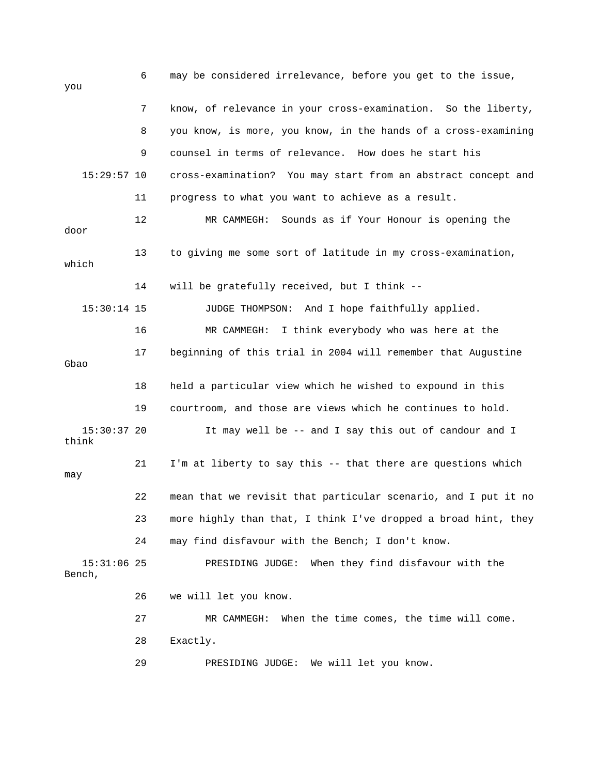6 may be considered irrelevance, before you get to the issue, you 7 know, of relevance in your cross-examination. So the liberty, 8 you know, is more, you know, in the hands of a cross-examining 9 counsel in terms of relevance. How does he start his 15:29:57 10 cross-examination? You may start from an abstract concept and 11 progress to what you want to achieve as a result. 12 MR CAMMEGH: Sounds as if Your Honour is opening the door 13 to giving me some sort of latitude in my cross-examination, which 14 will be gratefully received, but I think -- 15:30:14 15 JUDGE THOMPSON: And I hope faithfully applied. 16 MR CAMMEGH: I think everybody who was here at the 17 beginning of this trial in 2004 will remember that Augustine Gbao 18 held a particular view which he wished to expound in this 19 courtroom, and those are views which he continues to hold. 15:30:37 20 It may well be -- and I say this out of candour and I think 21 I'm at liberty to say this -- that there are questions which may 22 mean that we revisit that particular scenario, and I put it no 23 more highly than that, I think I've dropped a broad hint, they 24 may find disfavour with the Bench; I don't know. 15:31:06 25 PRESIDING JUDGE: When they find disfavour with the Bench, 26 we will let you know. 27 MR CAMMEGH: When the time comes, the time will come. 28 Exactly. 29 PRESIDING JUDGE: We will let you know.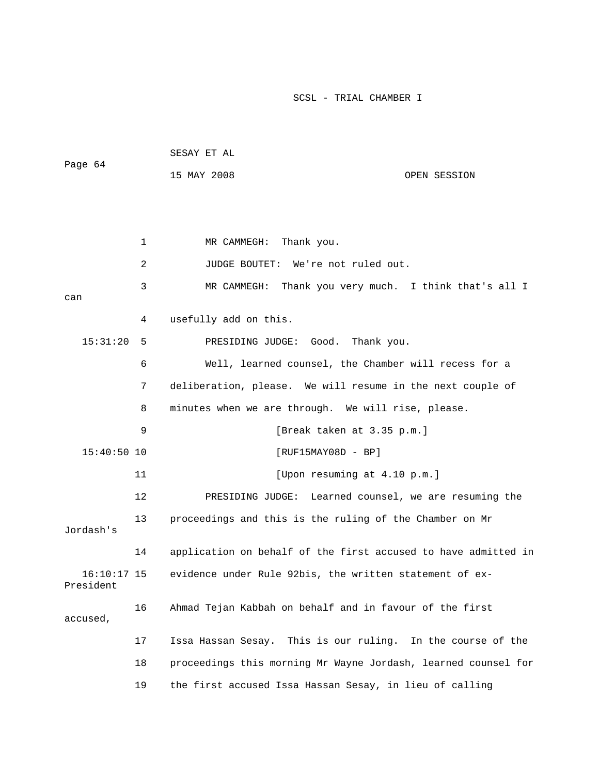| Page 64                    |              | SESAY ET AL                                                    |                                      |
|----------------------------|--------------|----------------------------------------------------------------|--------------------------------------|
|                            |              | 15 MAY 2008                                                    | OPEN SESSION                         |
|                            |              |                                                                |                                      |
|                            |              |                                                                |                                      |
|                            | $\mathbf{1}$ | MR CAMMEGH:<br>Thank you.                                      |                                      |
|                            |              |                                                                |                                      |
|                            | 2            | We're not ruled out.<br>JUDGE BOUTET:                          |                                      |
| can                        | 3            | MR CAMMEGH: Thank you very much. I think that's all I          |                                      |
|                            | 4            | usefully add on this.                                          |                                      |
| 15:31:20                   | 5            | PRESIDING JUDGE: Good.                                         | Thank you.                           |
|                            | 6            | Well, learned counsel, the Chamber will recess for a           |                                      |
|                            | 7            | deliberation, please. We will resume in the next couple of     |                                      |
|                            | 8            | minutes when we are through. We will rise, please.             |                                      |
|                            | 9            | [Break taken at 3.35 p.m.]                                     |                                      |
| $15:40:50$ 10              |              | $[RUF15MAY08D - BP]$                                           |                                      |
|                            | 11           | [Upon resuming at 4.10 p.m.]                                   |                                      |
|                            | 12           | PRESIDING JUDGE:                                               | Learned counsel, we are resuming the |
| Jordash's                  | 13           | proceedings and this is the ruling of the Chamber on Mr        |                                      |
|                            | 14           | application on behalf of the first accused to have admitted in |                                      |
| $16:10:17$ 15<br>President |              | evidence under Rule 92bis, the written statement of ex-        |                                      |
| accused,                   | 16           | Ahmad Tejan Kabbah on behalf and in favour of the first        |                                      |
|                            | 17           | Issa Hassan Sesay. This is our ruling. In the course of the    |                                      |
|                            | 18           | proceedings this morning Mr Wayne Jordash, learned counsel for |                                      |
|                            | 19           | the first accused Issa Hassan Sesay, in lieu of calling        |                                      |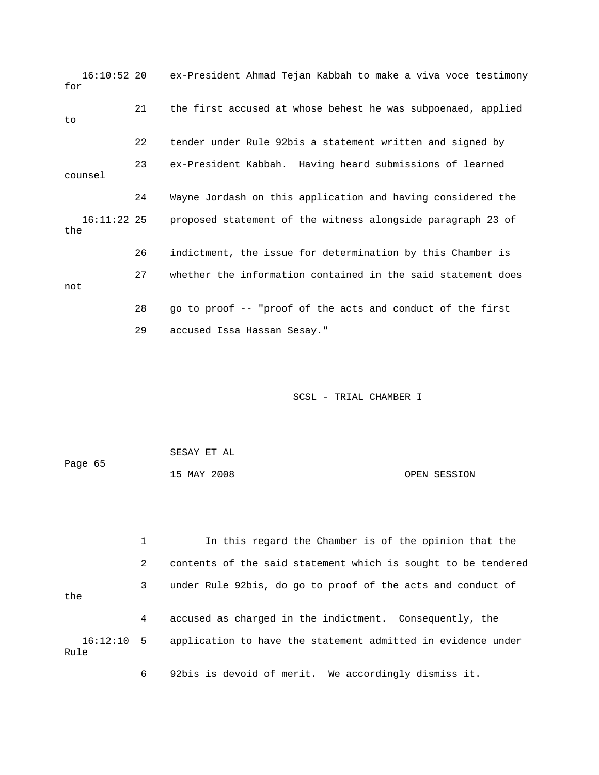16:10:52 20 ex-President Ahmad Tejan Kabbah to make a viva voce testimony for 21 the first accused at whose behest he was subpoenaed, applied to 22 tender under Rule 92bis a statement written and signed by 23 ex-President Kabbah. Having heard submissions of learned counsel 24 Wayne Jordash on this application and having considered the 16:11:22 25 proposed statement of the witness alongside paragraph 23 of the 26 indictment, the issue for determination by this Chamber is 27 whether the information contained in the said statement does not 28 go to proof -- "proof of the acts and conduct of the first 29 accused Issa Hassan Sesay."

SCSL - TRIAL CHAMBER I

| Page 65 | SESAY ET AL |              |
|---------|-------------|--------------|
|         | 15 MAY 2008 | OPEN SESSION |

 1 In this regard the Chamber is of the opinion that the 2 contents of the said statement which is sought to be tendered 3 under Rule 92bis, do go to proof of the acts and conduct of the 4 accused as charged in the indictment. Consequently, the 16:12:10 5 application to have the statement admitted in evidence under Rule

6 92bis is devoid of merit. We accordingly dismiss it.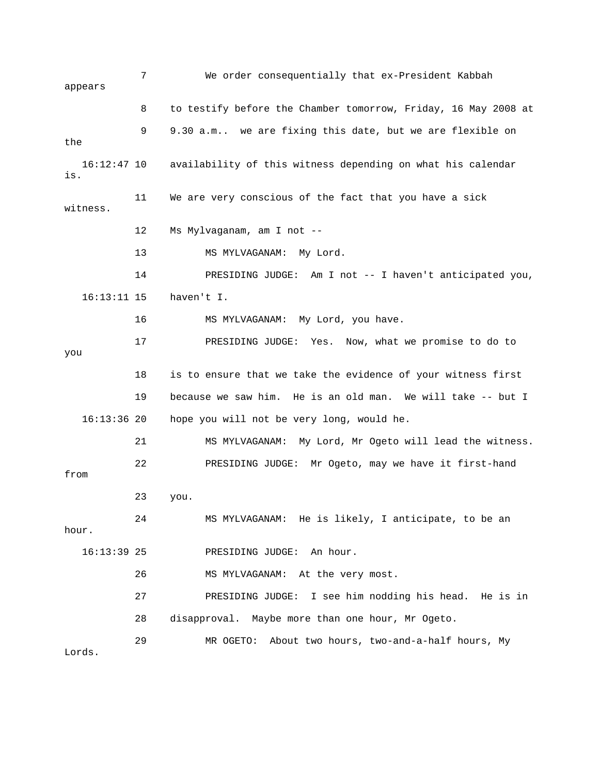7 We order consequentially that ex-President Kabbah appears 8 to testify before the Chamber tomorrow, Friday, 16 May 2008 at 9 9.30 a.m.. we are fixing this date, but we are flexible on the 16:12:47 10 availability of this witness depending on what his calendar is. 11 We are very conscious of the fact that you have a sick witness. 12 Ms Mylvaganam, am I not -- 13 MS MYLVAGANAM: My Lord. 14 PRESIDING JUDGE: Am I not -- I haven't anticipated you, 16:13:11 15 haven't I. 16 MS MYLVAGANAM: My Lord, you have. 17 PRESIDING JUDGE: Yes. Now, what we promise to do to you 18 is to ensure that we take the evidence of your witness first 19 because we saw him. He is an old man. We will take -- but I 16:13:36 20 hope you will not be very long, would he. 21 MS MYLVAGANAM: My Lord, Mr Ogeto will lead the witness. 22 PRESIDING JUDGE: Mr Ogeto, may we have it first-hand from 23 you. 24 MS MYLVAGANAM: He is likely, I anticipate, to be an hour. 16:13:39 25 PRESIDING JUDGE: An hour. 26 MS MYLVAGANAM: At the very most. 27 PRESIDING JUDGE: I see him nodding his head. He is in 28 disapproval. Maybe more than one hour, Mr Ogeto. 29 MR OGETO: About two hours, two-and-a-half hours, My Lords.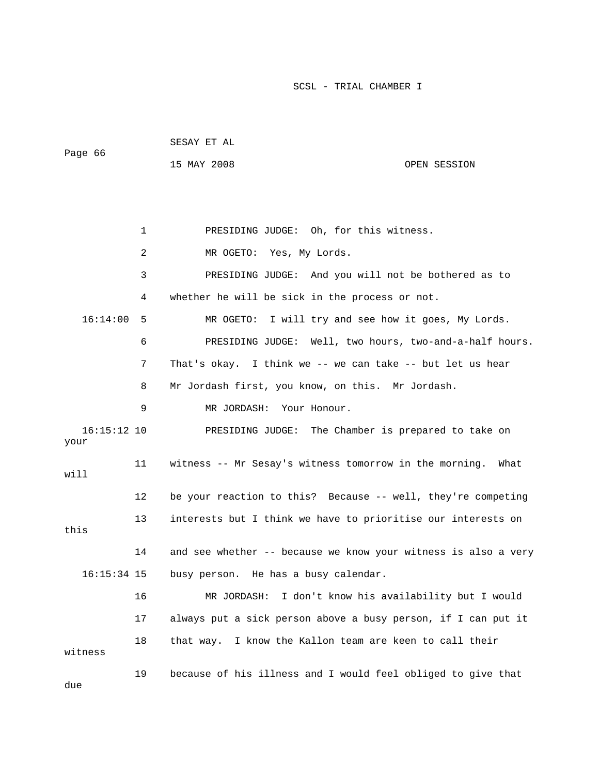|         | SESAY ET AL |              |
|---------|-------------|--------------|
| Page 66 | 15 MAY 2008 | OPEN SESSION |
|         |             |              |
|         |             |              |
|         |             |              |

1 PRESIDING JUDGE: Oh, for this witness.

 2 MR OGETO: Yes, My Lords. 3 PRESIDING JUDGE: And you will not be bothered as to 4 whether he will be sick in the process or not. 16:14:00 5 MR OGETO: I will try and see how it goes, My Lords. 6 PRESIDING JUDGE: Well, two hours, two-and-a-half hours. 7 That's okay. I think we -- we can take -- but let us hear 8 Mr Jordash first, you know, on this. Mr Jordash. 9 MR JORDASH: Your Honour. 16:15:12 10 PRESIDING JUDGE: The Chamber is prepared to take on your 11 witness -- Mr Sesay's witness tomorrow in the morning. What will 12 be your reaction to this? Because -- well, they're competing 13 interests but I think we have to prioritise our interests on this 14 and see whether -- because we know your witness is also a very 16:15:34 15 busy person. He has a busy calendar. 16 MR JORDASH: I don't know his availability but I would 17 always put a sick person above a busy person, if I can put it 18 that way. I know the Kallon team are keen to call their witness 19 because of his illness and I would feel obliged to give that due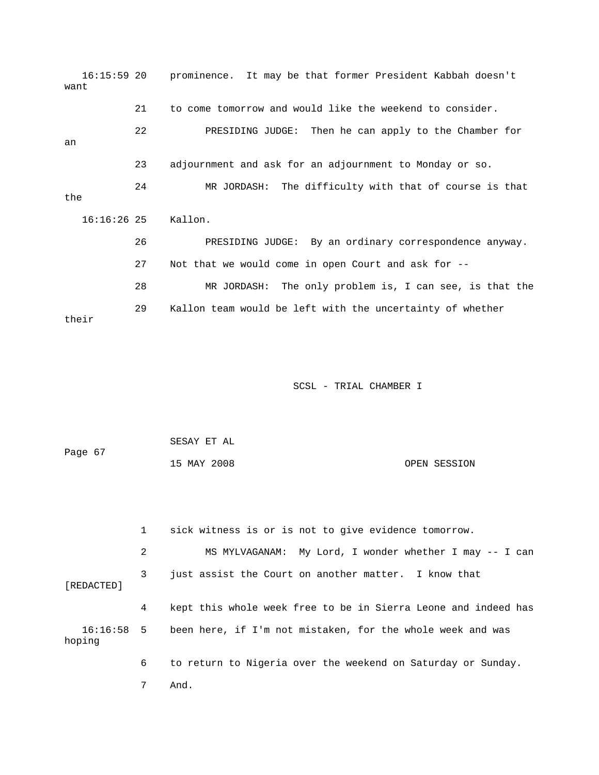16:15:59 20 prominence. It may be that former President Kabbah doesn't want 21 to come tomorrow and would like the weekend to consider. 22 PRESIDING JUDGE: Then he can apply to the Chamber for an 23 adjournment and ask for an adjournment to Monday or so. 24 MR JORDASH: The difficulty with that of course is that the 16:16:26 25 Kallon. 26 PRESIDING JUDGE: By an ordinary correspondence anyway. 27 Not that we would come in open Court and ask for -- 28 MR JORDASH: The only problem is, I can see, is that the 29 Kallon team would be left with the uncertainty of whether their

| Page 67 | SESAY ET AL |              |
|---------|-------------|--------------|
|         | 15 MAY 2008 | OPEN SESSION |

|            |   | sick witness is or is not to give evidence tomorrow.                  |
|------------|---|-----------------------------------------------------------------------|
|            | 2 | MS MYLVAGANAM: My Lord, I wonder whether I may -- I can               |
| [REDACTED] | 3 | just assist the Court on another matter. I know that                  |
|            | 4 | kept this whole week free to be in Sierra Leone and indeed has        |
| hoping     |   | 16:16:58 5 been here, if I'm not mistaken, for the whole week and was |
|            | 6 | to return to Nigeria over the weekend on Saturday or Sunday.          |
|            |   | And.                                                                  |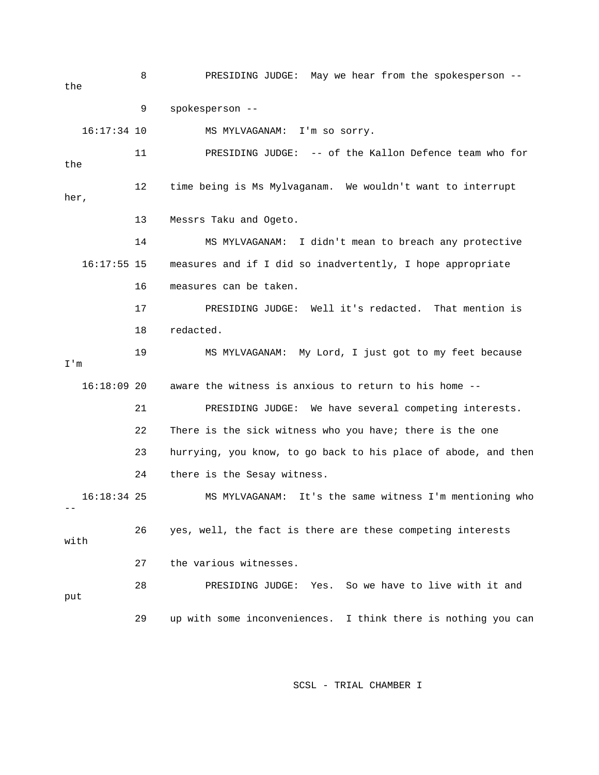8 PRESIDING JUDGE: May we hear from the spokesperson - the 9 spokesperson -- 16:17:34 10 MS MYLVAGANAM: I'm so sorry. 11 PRESIDING JUDGE: -- of the Kallon Defence team who for the 12 time being is Ms Mylvaganam. We wouldn't want to interrupt her, 13 Messrs Taku and Ogeto. 14 MS MYLVAGANAM: I didn't mean to breach any protective 16:17:55 15 measures and if I did so inadvertently, I hope appropriate 16 measures can be taken. 17 PRESIDING JUDGE: Well it's redacted. That mention is 18 redacted. 19 MS MYLVAGANAM: My Lord, I just got to my feet because I'm 16:18:09 20 aware the witness is anxious to return to his home -- 21 PRESIDING JUDGE: We have several competing interests. 22 There is the sick witness who you have; there is the one 23 hurrying, you know, to go back to his place of abode, and then 24 there is the Sesay witness. 16:18:34 25 MS MYLVAGANAM: It's the same witness I'm mentioning who  $-1$  26 yes, well, the fact is there are these competing interests with 27 the various witnesses. 28 PRESIDING JUDGE: Yes. So we have to live with it and put 29 up with some inconveniences. I think there is nothing you can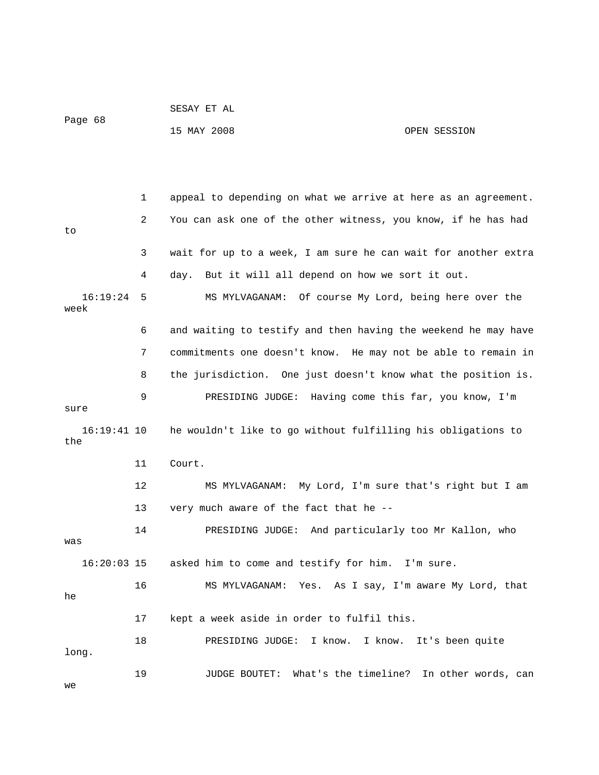|                      |    | SESAY ET AL                                                    |                                        |
|----------------------|----|----------------------------------------------------------------|----------------------------------------|
| Page 68              |    | 15 MAY 2008                                                    | OPEN SESSION                           |
|                      |    |                                                                |                                        |
|                      |    |                                                                |                                        |
|                      | 1  | appeal to depending on what we arrive at here as an agreement. |                                        |
| to                   | 2  | You can ask one of the other witness, you know, if he has had  |                                        |
|                      | 3  | wait for up to a week, I am sure he can wait for another extra |                                        |
|                      | 4  | But it will all depend on how we sort it out.<br>day.          |                                        |
| 16:19:24<br>week     | 5  | MS MYLVAGANAM: Of course My Lord, being here over the          |                                        |
|                      | 6  | and waiting to testify and then having the weekend he may have |                                        |
|                      | 7  | commitments one doesn't know. He may not be able to remain in  |                                        |
|                      | 8  | the jurisdiction. One just doesn't know what the position is.  |                                        |
| sure                 | 9  | PRESIDING JUDGE: Having come this far, you know, I'm           |                                        |
| $16:19:41$ 10<br>the |    | he wouldn't like to go without fulfilling his obligations to   |                                        |
|                      | 11 | Court.                                                         |                                        |
|                      | 12 | MS MYLVAGANAM: My Lord, I'm sure that's right but I am         |                                        |
|                      | 13 | very much aware of the fact that he --                         |                                        |
| was                  | 14 | PRESIDING JUDGE: And particularly too Mr Kallon, who           |                                        |
| $16:20:03$ 15        |    | asked him to come and testify for him. I'm sure.               |                                        |
| he                   | 16 | MS MYLVAGANAM:                                                 | Yes. As I say, I'm aware My Lord, that |
|                      | 17 | kept a week aside in order to fulfil this.                     |                                        |
| long.                | 18 | I know.<br>I know.<br>PRESIDING JUDGE:                         | It's been quite                        |
| we                   | 19 | JUDGE BOUTET: What's the timeline? In other words, can         |                                        |

SESAY ET AL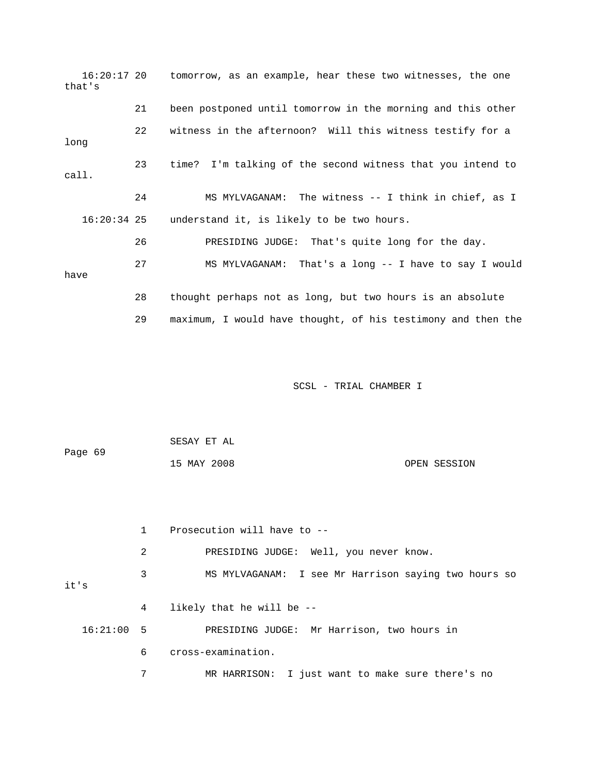| 16:20:17 20<br>that's |                 | tomorrow, as an example, hear these two witnesses, the one   |
|-----------------------|-----------------|--------------------------------------------------------------|
|                       | 21              | been postponed until tomorrow in the morning and this other  |
| long                  | 22 <sub>o</sub> | witness in the afternoon? Will this witness testify for a    |
| call.                 | 23              | time? I'm talking of the second witness that you intend to   |
|                       | 24              | MS MYLVAGANAM: The witness -- I think in chief, as I         |
| $16:20:34$ 25         |                 | understand it, is likely to be two hours.                    |
|                       | 26              | PRESIDING JUDGE: That's quite long for the day.              |
| have                  | 27              | MS MYLVAGANAM: That's a long -- I have to say I would        |
|                       | 28              | thought perhaps not as long, but two hours is an absolute    |
|                       | 29              | maximum, I would have thought, of his testimony and then the |

| Page 69 | SESAY ET AL |              |
|---------|-------------|--------------|
|         | 15 MAY 2008 | OPEN SESSION |

|              |   | Prosecution will have to --                          |
|--------------|---|------------------------------------------------------|
|              | 2 | PRESIDING JUDGE: Well, you never know.               |
| it's         | 3 | MS MYLVAGANAM: I see Mr Harrison saying two hours so |
|              | 4 | likely that he will be --                            |
| $16:21:00$ 5 |   | PRESIDING JUDGE: Mr Harrison, two hours in           |
|              | 6 | cross-examination.                                   |
|              | 7 | MR HARRISON: I just want to make sure there's no     |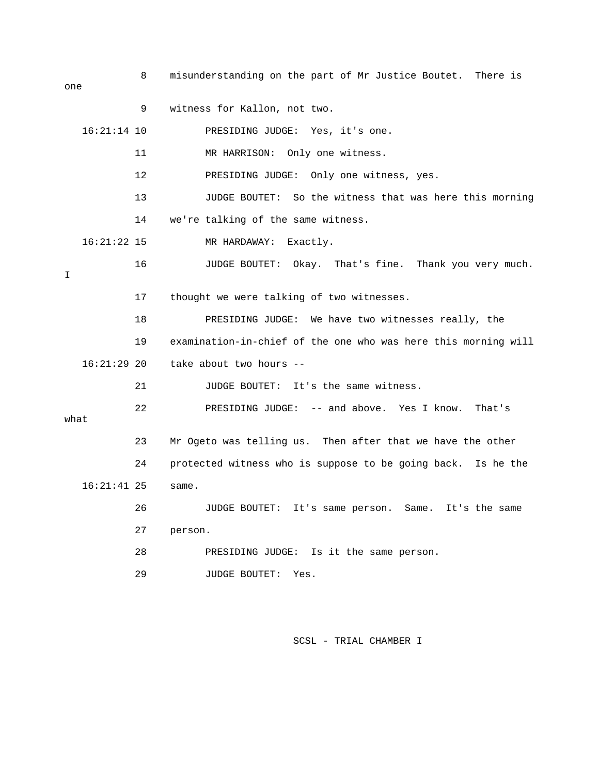8 misunderstanding on the part of Mr Justice Boutet. There is one 9 witness for Kallon, not two. 16:21:14 10 PRESIDING JUDGE: Yes, it's one. 11 MR HARRISON: Only one witness. 12 PRESIDING JUDGE: Only one witness, yes. 13 JUDGE BOUTET: So the witness that was here this morning 14 we're talking of the same witness. 16:21:22 15 MR HARDAWAY: Exactly. 16 JUDGE BOUTET: Okay. That's fine. Thank you very much. I 17 thought we were talking of two witnesses. 18 PRESIDING JUDGE: We have two witnesses really, the 19 examination-in-chief of the one who was here this morning will 16:21:29 20 take about two hours -- 21 JUDGE BOUTET: It's the same witness. 22 PRESIDING JUDGE: -- and above. Yes I know. That's what 23 Mr Ogeto was telling us. Then after that we have the other 24 protected witness who is suppose to be going back. Is he the 16:21:41 25 same. 26 JUDGE BOUTET: It's same person. Same. It's the same 27 person. 28 PRESIDING JUDGE: Is it the same person. 29 JUDGE BOUTET: Yes.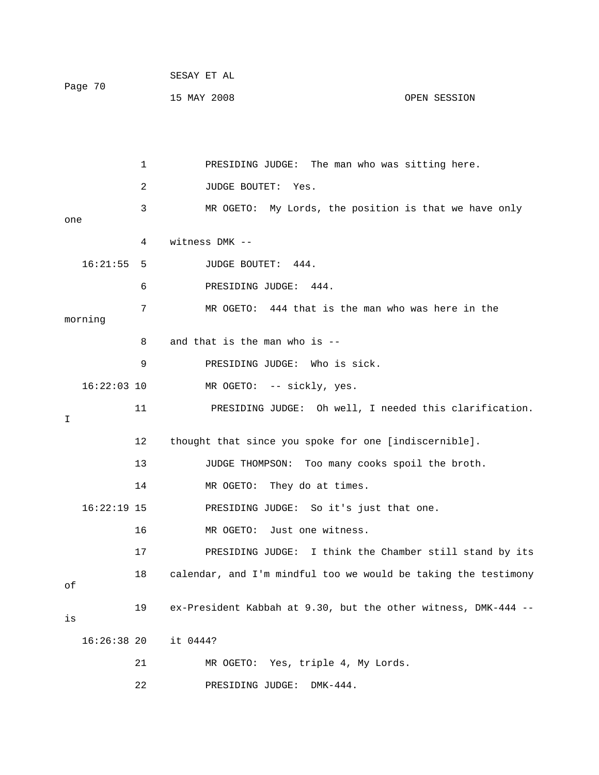| Page 70 | SESAY ET AL |              |
|---------|-------------|--------------|
|         | 15 MAY 2008 | OPEN SESSION |

 1 PRESIDING JUDGE: The man who was sitting here. 2 JUDGE BOUTET: Yes. 3 MR OGETO: My Lords, the position is that we have only one 4 witness DMK -- 16:21:55 5 JUDGE BOUTET: 444. 6 PRESIDING JUDGE: 444. 7 MR OGETO: 444 that is the man who was here in the morning 8 and that is the man who is -- 9 PRESIDING JUDGE: Who is sick. 16:22:03 10 MR OGETO: -- sickly, yes. 11 PRESIDING JUDGE: Oh well, I needed this clarification. I 12 thought that since you spoke for one [indiscernible]. 13 JUDGE THOMPSON: Too many cooks spoil the broth. 14 MR OGETO: They do at times. 16:22:19 15 PRESIDING JUDGE: So it's just that one. 16 MR OGETO: Just one witness. 17 PRESIDING JUDGE: I think the Chamber still stand by its 18 calendar, and I'm mindful too we would be taking the testimony of 19 ex-President Kabbah at 9.30, but the other witness, DMK-444 - is 16:26:38 20 it 0444? 21 MR OGETO: Yes, triple 4, My Lords.

22 PRESIDING JUDGE: DMK-444.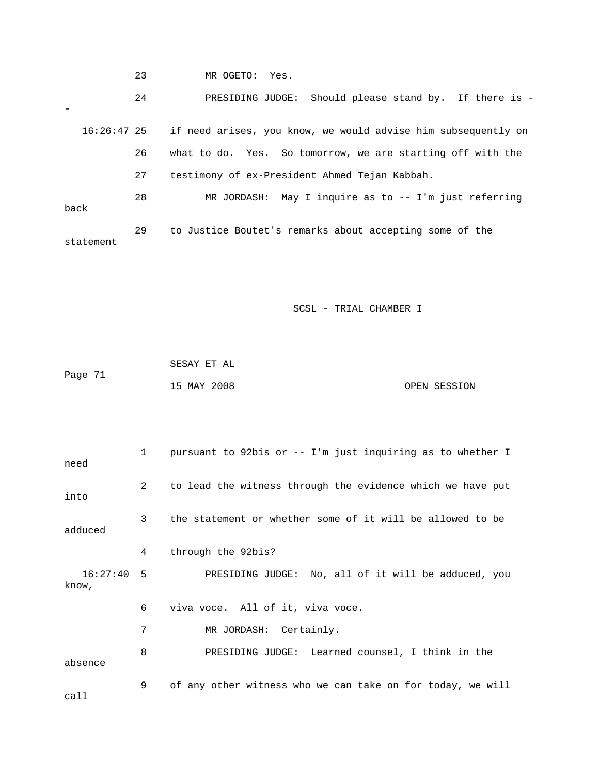23 MR OGETO: Yes.

 24 PRESIDING JUDGE: Should please stand by. If there is - - 16:26:47 25 if need arises, you know, we would advise him subsequently on 26 what to do. Yes. So tomorrow, we are starting off with the 27 testimony of ex-President Ahmed Tejan Kabbah. 28 MR JORDASH: May I inquire as to -- I'm just referring back 29 to Justice Boutet's remarks about accepting some of the

statement

|         | SESAY ET AL |              |
|---------|-------------|--------------|
| Page 71 |             |              |
|         | 15 MAY 2008 | OPEN SESSION |

| need                  | $\mathbf{1}$ | pursuant to 92bis or -- I'm just inquiring as to whether I |
|-----------------------|--------------|------------------------------------------------------------|
| into                  | 2            | to lead the witness through the evidence which we have put |
| adduced               | 3            | the statement or whether some of it will be allowed to be  |
|                       | 4            | through the 92bis?                                         |
| $16:27:40$ 5<br>know, |              | PRESIDING JUDGE: No, all of it will be adduced, you        |
|                       | 6            | viva voce. All of it, viva voce.                           |
|                       | 7            | MR JORDASH: Certainly.                                     |
| absence               | 8            | PRESIDING JUDGE: Learned counsel, I think in the           |
| call                  | 9            | of any other witness who we can take on for today, we will |